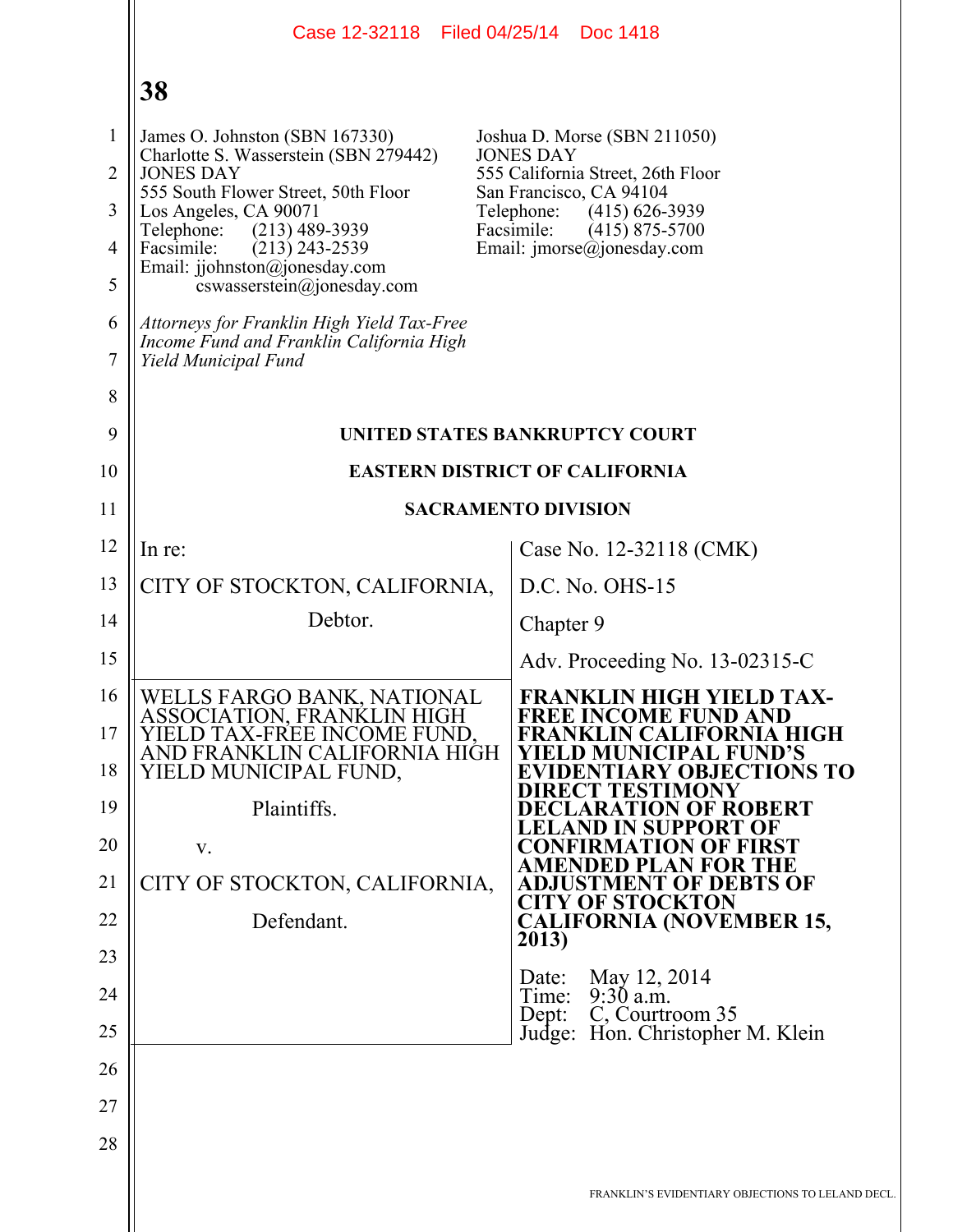|                | Case 12-32118   Filed 04/25/14   Doc 1418                                                                      |                                                                          |
|----------------|----------------------------------------------------------------------------------------------------------------|--------------------------------------------------------------------------|
|                | 38                                                                                                             |                                                                          |
| $\mathbf{1}$   | James O. Johnston (SBN 167330)                                                                                 | Joshua D. Morse (SBN 211050)<br><b>JONES DAY</b>                         |
| $\overline{2}$ | Charlotte S. Wasserstein (SBN 279442)<br><b>JONES DAY</b>                                                      | 555 California Street, 26th Floor                                        |
| 3              | 555 South Flower Street, 50th Floor<br>Los Angeles, CA 90071                                                   | San Francisco, CA 94104<br>Telephone:<br>$(415)$ 626-3939                |
| $\overline{4}$ | $(213)$ 489-3939<br>Telephone:<br>Facsimile:<br>$(213)$ 243-2539                                               | Facsimile:<br>$(415)$ 875-5700<br>Email: $\text{imorse}(a)$ jonesday.com |
| 5              | Email: jjohnston@jonesday.com<br>$coswasserstein(\theta)$ ionesday.com                                         |                                                                          |
| 6<br>7         | Attorneys for Franklin High Yield Tax-Free<br>Income Fund and Franklin California High<br>Yield Municipal Fund |                                                                          |
| 8              |                                                                                                                |                                                                          |
| 9              |                                                                                                                | UNITED STATES BANKRUPTCY COURT                                           |
| 10             | <b>EASTERN DISTRICT OF CALIFORNIA</b>                                                                          |                                                                          |
| 11             |                                                                                                                | <b>SACRAMENTO DIVISION</b>                                               |
| 12             | In re:                                                                                                         | Case No. 12-32118 (CMK)                                                  |
| 13             | CITY OF STOCKTON, CALIFORNIA,                                                                                  | D.C. No. OHS-15                                                          |
| 14             | Debtor.                                                                                                        | Chapter 9                                                                |
| 15             |                                                                                                                | Adv. Proceeding No. 13-02315-C                                           |
| 16             | WELLS FARGO BANK, NATIONAL                                                                                     | <b>FRANKLIN HIGH YIELD TAX-</b><br><b>FREE INCOME FUND AND</b>           |
| 17             | ASSOCIATION, FRANKLIN HIGH<br>IELD TAX-FREE INCOME FUND.<br>AND FRANKLIN CALIFORNIA HIGH                       | <b>FRANKLIN CALIFORNIA HIGH</b><br>ELD MUNICIPAL FUND'S                  |
| 18             | YIELD MUNICIPAL FUND,                                                                                          | <b>EVIDENTIARY OBJECTIONS TO</b><br><b>IRECT TESTIMONY</b>               |
| 19             | Plaintiffs.                                                                                                    | <b>DECLARATION OF ROBERT</b>                                             |
| 20             | V.                                                                                                             | LELAND IN SUPPORT OF<br><b>CONFIRMATION OF FIRST</b>                     |
| 21             | CITY OF STOCKTON, CALIFORNIA,                                                                                  | <b>AMENDED PLAN FOR THE</b><br><b>ADJUSTMENT OF DEBTS OF</b>             |
| 22             | Defendant.                                                                                                     | <b>CITY OF STOCKTON</b><br><b>CALIFORNIA (NOVEMBER 15,</b>               |
| 23             |                                                                                                                | 2013)                                                                    |
| 24             |                                                                                                                | May 12, 2014<br>Date:<br>$9:30$ a.m.<br>Time:                            |
| 25             |                                                                                                                | C, Courtroom 35<br>Dept:<br>Judge: Hon. Christopher M. Klein             |
| 26             |                                                                                                                |                                                                          |
| 27             |                                                                                                                |                                                                          |
| 28             |                                                                                                                |                                                                          |
|                |                                                                                                                | FRANKLIN'S EVIDENTIARY OBJECTIONS TO LELAND DECL.                        |
|                |                                                                                                                |                                                                          |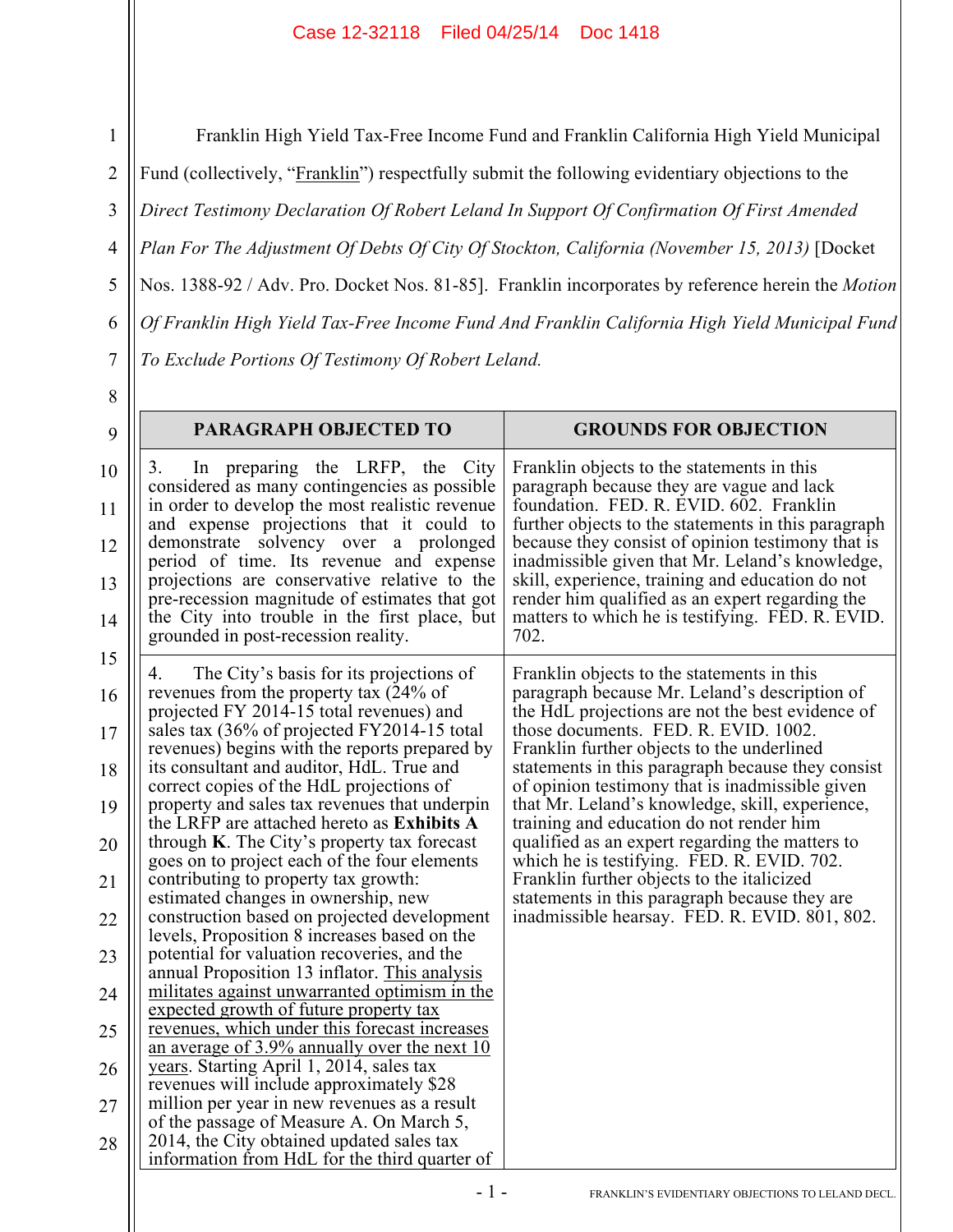1 2 3 4 5 6 7 8 9 10 11 12 13 14 15 16 17 18 19 20 21 22 23 Franklin High Yield Tax-Free Income Fund and Franklin California High Yield Municipal Fund (collectively, "Franklin") respectfully submit the following evidentiary objections to the *Direct Testimony Declaration Of Robert Leland In Support Of Confirmation Of First Amended Plan For The Adjustment Of Debts Of City Of Stockton, California (November 15, 2013)* [Docket Nos. 1388-92 / Adv. Pro. Docket Nos. 81-85]. Franklin incorporates by reference herein the *Motion Of Franklin High Yield Tax-Free Income Fund And Franklin California High Yield Municipal Fund To Exclude Portions Of Testimony Of Robert Leland.* **PARAGRAPH OBJECTED TO GROUNDS FOR OBJECTION** 3. In preparing the LRFP, the City considered as many contingencies as possible in order to develop the most realistic revenue and expense projections that it could to demonstrate solvency over a prolonged period of time. Its revenue and expense projections are conservative relative to the pre-recession magnitude of estimates that got the City into trouble in the first place, but grounded in post-recession reality. Franklin objects to the statements in this paragraph because they are vague and lack foundation. FED. R. EVID. 602. Franklin further objects to the statements in this paragraph because they consist of opinion testimony that is inadmissible given that Mr. Leland's knowledge, skill, experience, training and education do not render him qualified as an expert regarding the matters to which he is testifying. FED. R. EVID. 702. 4. The City's basis for its projections of revenues from the property tax (24% of projected FY 2014-15 total revenues) and sales tax (36% of projected FY2014-15 total revenues) begins with the reports prepared by its consultant and auditor, HdL. True and correct copies of the HdL projections of property and sales tax revenues that underpin the LRFP are attached hereto as **Exhibits A** through **K**. The City's property tax forecast goes on to project each of the four elements contributing to property tax growth: estimated changes in ownership, new construction based on projected development levels, Proposition 8 increases based on the potential for valuation recoveries, and the Franklin objects to the statements in this paragraph because Mr. Leland's description of the HdL projections are not the best evidence of those documents. FED. R. EVID. 1002. Franklin further objects to the underlined statements in this paragraph because they consist of opinion testimony that is inadmissible given that Mr. Leland's knowledge, skill, experience, training and education do not render him qualified as an expert regarding the matters to which he is testifying. FED. R. EVID. 702. Franklin further objects to the italicized statements in this paragraph because they are inadmissible hearsay. FED. R. EVID. 801, 802.

24

annual Proposition 13 inflator. This analysis militates against unwarranted optimism in the

revenues, which under this forecast increases an average of 3.9% annually over the next 10

expected growth of future property tax

years. Starting April 1, 2014, sales tax revenues will include approximately \$28 million per year in new revenues as a result of the passage of Measure A. On March 5, 2014, the City obtained updated sales tax information from HdL for the third quarter of

25

26

27

28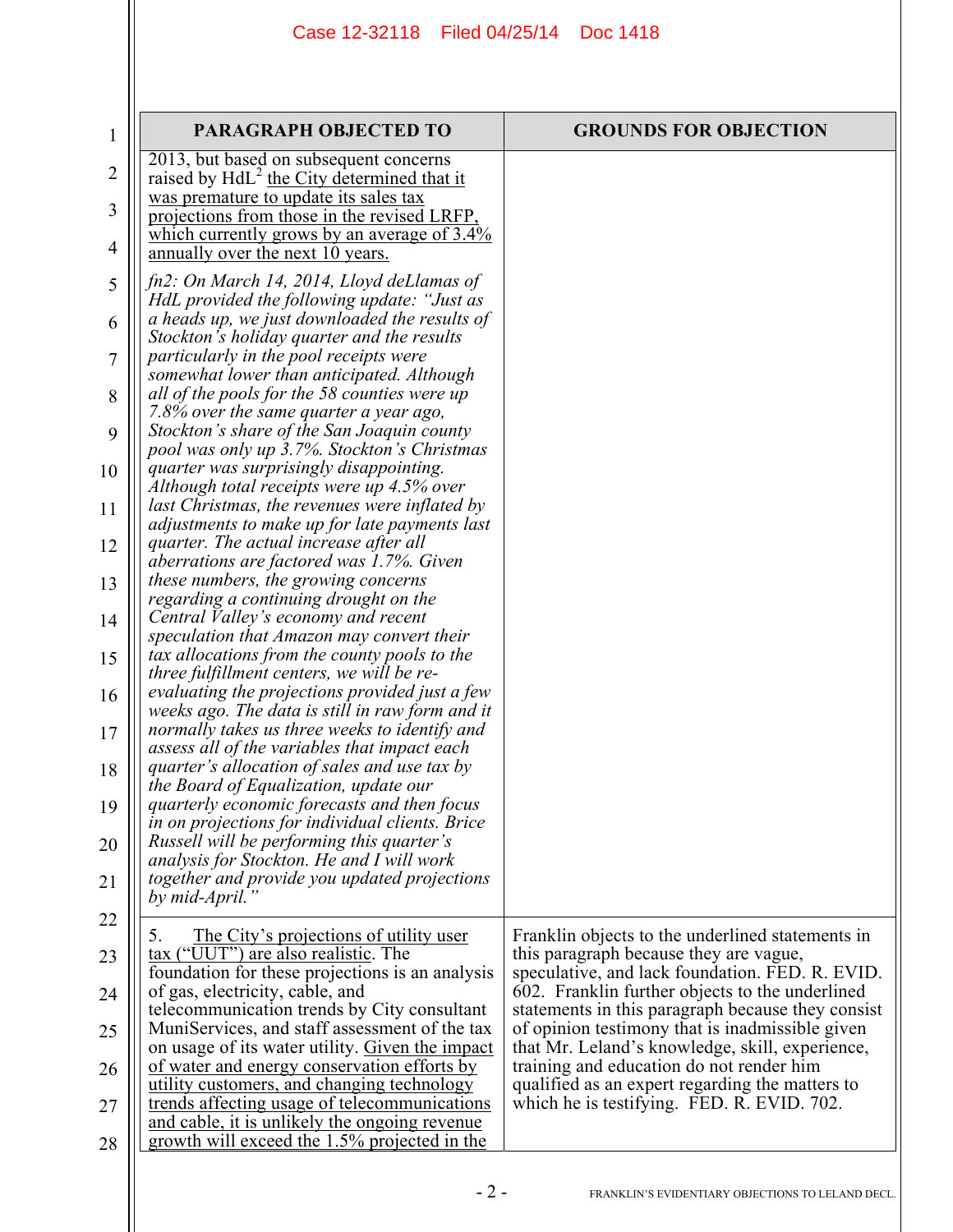| $\mathbf{1}$ | <b>PARAGRAPH OBJECTED TO</b>                                                                     | <b>GROUNDS FOR OBJECTION</b>                                                                         |
|--------------|--------------------------------------------------------------------------------------------------|------------------------------------------------------------------------------------------------------|
| 2            | 2013, but based on subsequent concerns                                                           |                                                                                                      |
| 3            | raised by $HdL^2$ the City determined that it<br>was premature to update its sales tax           |                                                                                                      |
| 4            | projections from those in the revised LRFP,<br>which currently grows by an average of $3.4\%$    |                                                                                                      |
|              | annually over the next 10 years.<br>fn2: On March 14, 2014, Lloyd deLlamas of                    |                                                                                                      |
| 5            | HdL provided the following update: "Just as                                                      |                                                                                                      |
| 6            | a heads up, we just downloaded the results of<br>Stockton's holiday quarter and the results      |                                                                                                      |
| 7            | particularly in the pool receipts were<br>somewhat lower than anticipated. Although              |                                                                                                      |
| 8            | all of the pools for the 58 counties were up<br>7.8% over the same quarter a year ago,           |                                                                                                      |
| 9            | Stockton's share of the San Joaquin county<br>pool was only up 3.7%. Stockton's Christmas        |                                                                                                      |
| 10           | quarter was surprisingly disappointing.<br>Although total receipts were up 4.5% over             |                                                                                                      |
| 11           | last Christmas, the revenues were inflated by<br>adjustments to make up for late payments last   |                                                                                                      |
| 12           | quarter. The actual increase after all<br>aberrations are factored was 1.7%. Given               |                                                                                                      |
| 13           | these numbers, the growing concerns                                                              |                                                                                                      |
| 14           | regarding a continuing drought on the<br>Central Valley's economy and recent                     |                                                                                                      |
| 15           | speculation that Amazon may convert their<br>tax allocations from the county pools to the        |                                                                                                      |
| 16           | three fulfillment centers, we will be re-<br>evaluating the projections provided just a few      |                                                                                                      |
| 17           | weeks ago. The data is still in raw form and it<br>normally takes us three weeks to identify and |                                                                                                      |
| 18           | assess all of the variables that impact each<br>quarter's allocation of sales and use tax by     |                                                                                                      |
| 19           | the Board of Equalization, update our<br>quarterly economic forecasts and then focus             |                                                                                                      |
| 20           | in on projections for individual clients. Brice<br>Russell will be performing this quarter's     |                                                                                                      |
| 21           | analysis for Stockton. He and I will work<br>together and provide you updated projections        |                                                                                                      |
|              | by mid-April.                                                                                    |                                                                                                      |
| 22           | The City's projections of utility user<br>5.                                                     | Franklin objects to the underlined statements in                                                     |
| 23           | tax ("UUT") are also realistic. The<br>foundation for these projections is an analysis           | this paragraph because they are vague,<br>speculative, and lack foundation. FED. R. EVID.            |
| 24           | of gas, electricity, cable, and<br>telecommunication trends by City consultant                   | 602. Franklin further objects to the underlined<br>statements in this paragraph because they consist |
| 25           | MuniServices, and staff assessment of the tax<br>on usage of its water utility. Given the impact | of opinion testimony that is inadmissible given<br>that Mr. Leland's knowledge, skill, experience,   |
| 26           | of water and energy conservation efforts by<br>utility customers, and changing technology        | training and education do not render him<br>qualified as an expert regarding the matters to          |
| 27           | trends affecting usage of telecommunications<br>and cable, it is unlikely the ongoing revenue    | which he is testifying. FED. R. EVID. 702.                                                           |
| 28           | growth will exceed the 1.5% projected in the                                                     |                                                                                                      |
|              | $-2-$                                                                                            | FRANKLIN'S EVIDENTIARY OBJECTIONS TO LELAND DECL.                                                    |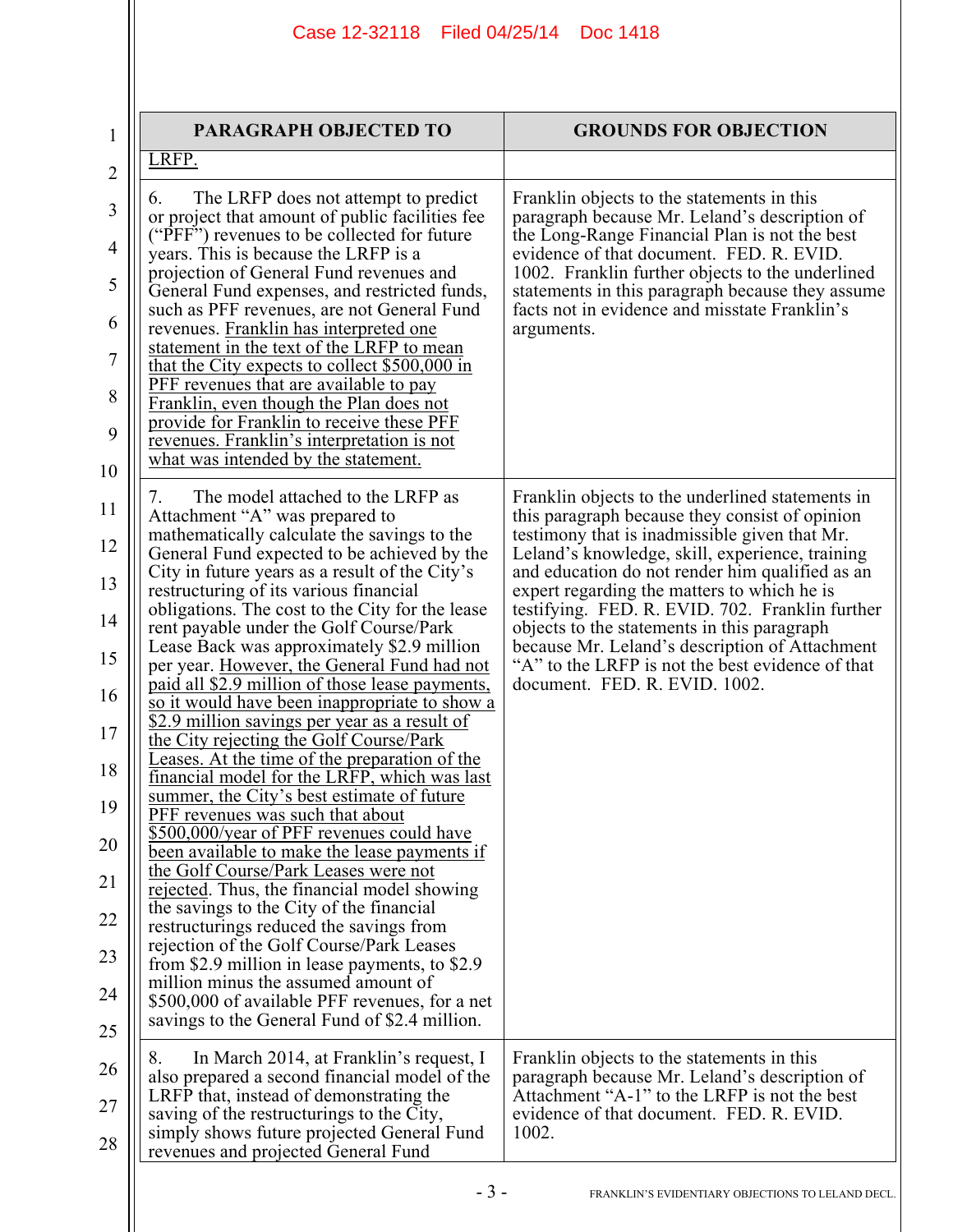| 1                                                               | PARAGRAPH OBJECTED TO                                                                                                                                                                                                                                                                                                                                                                                                                                                                                                                                                                                                                                                                                                                                                                                                                                                                                                                                    | <b>GROUNDS FOR OBJECTION</b>                                                                                                                                                                                                                                                                                                                                                                                                                                 |
|-----------------------------------------------------------------|----------------------------------------------------------------------------------------------------------------------------------------------------------------------------------------------------------------------------------------------------------------------------------------------------------------------------------------------------------------------------------------------------------------------------------------------------------------------------------------------------------------------------------------------------------------------------------------------------------------------------------------------------------------------------------------------------------------------------------------------------------------------------------------------------------------------------------------------------------------------------------------------------------------------------------------------------------|--------------------------------------------------------------------------------------------------------------------------------------------------------------------------------------------------------------------------------------------------------------------------------------------------------------------------------------------------------------------------------------------------------------------------------------------------------------|
| $\overline{2}$                                                  | LRFP.                                                                                                                                                                                                                                                                                                                                                                                                                                                                                                                                                                                                                                                                                                                                                                                                                                                                                                                                                    |                                                                                                                                                                                                                                                                                                                                                                                                                                                              |
| 3<br>$\overline{4}$<br>5<br>6<br>$\overline{7}$<br>8<br>9<br>10 | The LRFP does not attempt to predict<br>6.<br>or project that amount of public facilities fee<br>("PFF") revenues to be collected for future<br>years. This is because the LRFP is a<br>projection of General Fund revenues and<br>General Fund expenses, and restricted funds,<br>such as PFF revenues, are not General Fund<br>revenues. Franklin has interpreted one<br>statement in the text of the LRFP to mean<br>that the City expects to collect \$500,000 in<br>PFF revenues that are available to pay<br>Franklin, even though the Plan does not<br>provide for Franklin to receive these PFF<br>revenues. Franklin's interpretation is not<br>what was intended by the statement.                                                                                                                                                                                                                                                             | Franklin objects to the statements in this<br>paragraph because Mr. Leland's description of<br>the Long-Range Financial Plan is not the best<br>evidence of that document. FED. R. EVID.<br>1002. Franklin further objects to the underlined<br>statements in this paragraph because they assume<br>facts not in evidence and misstate Franklin's<br>arguments.                                                                                              |
| 11<br>12<br>13<br>14<br>15                                      | The model attached to the LRFP as<br>7.<br>Attachment "A" was prepared to<br>mathematically calculate the savings to the<br>General Fund expected to be achieved by the<br>City in future years as a result of the City's<br>restructuring of its various financial<br>obligations. The cost to the City for the lease<br>rent payable under the Golf Course/Park<br>Lease Back was approximately \$2.9 million                                                                                                                                                                                                                                                                                                                                                                                                                                                                                                                                          | Franklin objects to the underlined statements in<br>this paragraph because they consist of opinion<br>testimony that is inadmissible given that Mr.<br>Leland's knowledge, skill, experience, training<br>and education do not render him qualified as an<br>expert regarding the matters to which he is<br>testifying. FED. R. EVID. 702. Franklin further<br>objects to the statements in this paragraph<br>because Mr. Leland's description of Attachment |
| 16<br>17<br>18<br>19<br>20<br>21<br>22<br>23<br>24<br>25        | per year. However, the General Fund had not<br>paid all \$2.9 million of those lease payments,<br><u>so it would have been inappropriate to show a</u><br>\$2.9 million savings per year as a result of<br>the City rejecting the Golf Course/Park<br>Leases. At the time of the preparation of the<br>financial model for the LRFP, which was last<br>summer, the City's best estimate of future<br>PFF revenues was such that about<br>\$500,000/year of PFF revenues could have<br>been available to make the lease payments if<br>the Golf Course/Park Leases were not<br>rejected. Thus, the financial model showing<br>the savings to the City of the financial<br>restructurings reduced the savings from<br>rejection of the Golf Course/Park Leases<br>from \$2.9 million in lease payments, to \$2.9<br>million minus the assumed amount of<br>\$500,000 of available PFF revenues, for a net<br>savings to the General Fund of \$2.4 million. | "A" to the LRFP is not the best evidence of that<br>document. FED. R. EVID. 1002.                                                                                                                                                                                                                                                                                                                                                                            |
| 26<br>27<br>28                                                  | In March 2014, at Franklin's request, I<br>8.<br>also prepared a second financial model of the<br>LRFP that, instead of demonstrating the<br>saving of the restructurings to the City,<br>simply shows future projected General Fund<br>revenues and projected General Fund                                                                                                                                                                                                                                                                                                                                                                                                                                                                                                                                                                                                                                                                              | Franklin objects to the statements in this<br>paragraph because Mr. Leland's description of<br>Attachment "A-1" to the LRFP is not the best<br>evidence of that document. FED. R. EVID.<br>1002.                                                                                                                                                                                                                                                             |
|                                                                 | - 3 -                                                                                                                                                                                                                                                                                                                                                                                                                                                                                                                                                                                                                                                                                                                                                                                                                                                                                                                                                    | FRANKLIN'S EVIDENTIARY OBJECTIONS TO LELAND DECL.                                                                                                                                                                                                                                                                                                                                                                                                            |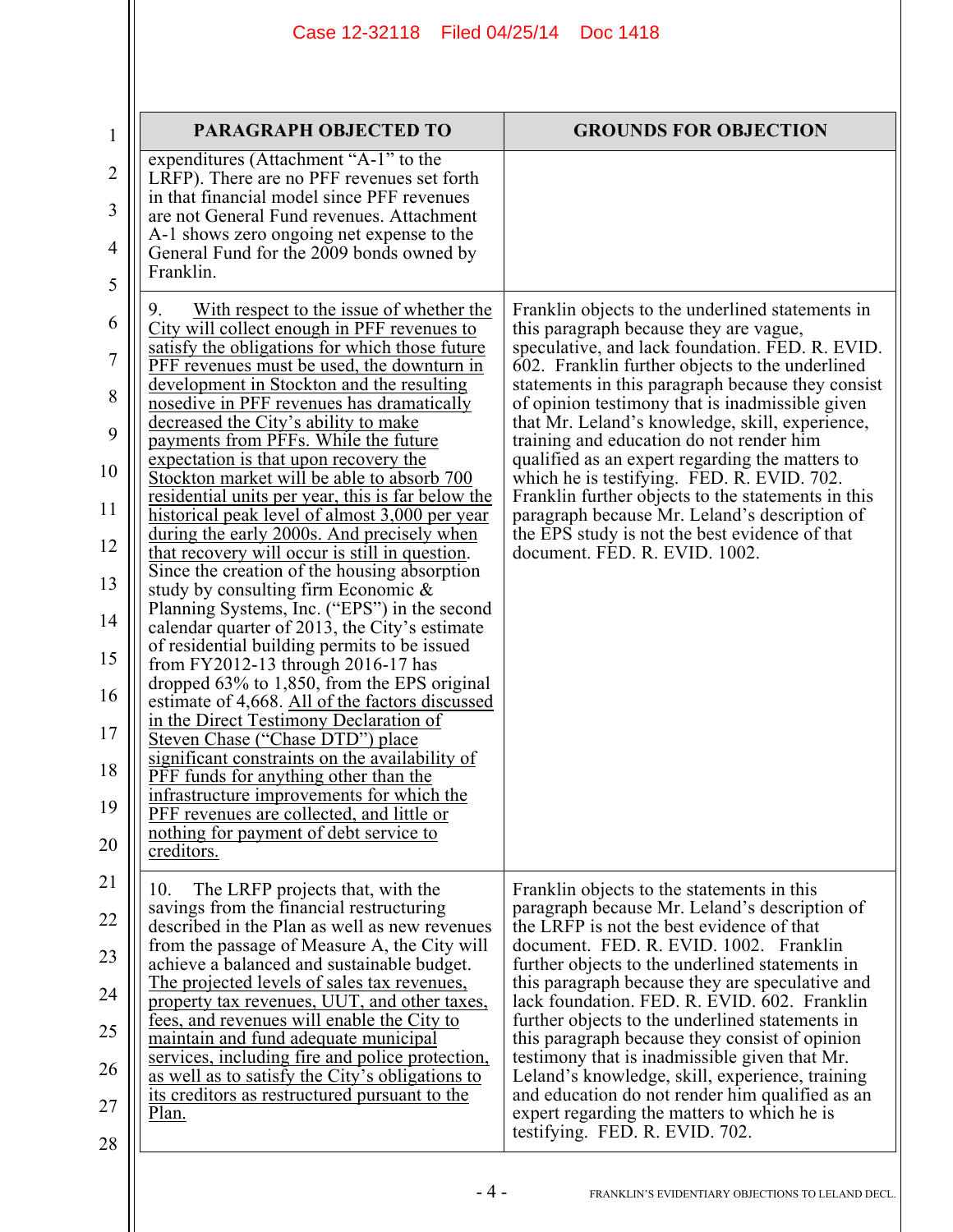| $\mathbf{1}$        | <b>PARAGRAPH OBJECTED TO</b>                                                                                                                                                                                                                | <b>GROUNDS FOR OBJECTION</b>                                                                                                                                                                                                                          |
|---------------------|---------------------------------------------------------------------------------------------------------------------------------------------------------------------------------------------------------------------------------------------|-------------------------------------------------------------------------------------------------------------------------------------------------------------------------------------------------------------------------------------------------------|
| $\overline{2}$<br>3 | expenditures (Attachment "A-1" to the<br>LRFP). There are no PFF revenues set forth<br>in that financial model since PFF revenues<br>are not General Fund revenues. Attachment                                                              |                                                                                                                                                                                                                                                       |
| 4<br>5              | A-1 shows zero ongoing net expense to the<br>General Fund for the 2009 bonds owned by<br>Franklin.                                                                                                                                          |                                                                                                                                                                                                                                                       |
| 6<br>7              | With respect to the issue of whether the<br>City will collect enough in PFF revenues to<br>satisfy the obligations for which those future<br><b>PFF</b> revenues must be used, the downturn in<br>development in Stockton and the resulting | Franklin objects to the underlined statements in<br>this paragraph because they are vague,<br>speculative, and lack foundation. FED. R. EVID.<br>602. Franklin further objects to the underlined<br>statements in this paragraph because they consist |
| 8<br>9              | nosedive in PFF revenues has dramatically<br>decreased the City's ability to make<br>payments from PFFs. While the future                                                                                                                   | of opinion testimony that is inadmissible given<br>that Mr. Leland's knowledge, skill, experience,<br>training and education do not render him                                                                                                        |
| 10                  | expectation is that upon recovery the<br>Stockton market will be able to absorb 700                                                                                                                                                         | qualified as an expert regarding the matters to<br>which he is testifying. FED. R. EVID. 702.                                                                                                                                                         |
| 11<br>12            | <u>residential units per year, this is far below the</u><br>historical peak level of almost 3,000 per year<br>during the early 2000s. And precisely when                                                                                    | Franklin further objects to the statements in this<br>paragraph because Mr. Leland's description of<br>the EPS study is not the best evidence of that                                                                                                 |
| 13                  | that recovery will occur is still in question.<br>Since the creation of the housing absorption<br>study by consulting firm Economic $\&$                                                                                                    | document. FED. R. EVID. 1002.                                                                                                                                                                                                                         |
| 14                  | Planning Systems, Inc. ("EPS") in the second<br>calendar quarter of 2013, the City's estimate<br>of residential building permits to be issued                                                                                               |                                                                                                                                                                                                                                                       |
| 15<br>16            | from FY2012-13 through 2016-17 has<br>dropped 63% to 1,850, from the EPS original                                                                                                                                                           |                                                                                                                                                                                                                                                       |
| 17                  | estimate of 4,668. All of the factors discussed<br>in the Direct Testimony Declaration of<br>Steven Chase ("Chase DTD") place                                                                                                               |                                                                                                                                                                                                                                                       |
| 18                  | significant constraints on the availability of<br><b>PFF</b> funds for anything other than the<br>infrastructure improvements for which the                                                                                                 |                                                                                                                                                                                                                                                       |
| 19<br>20            | PFF revenues are collected, and little or<br>nothing for payment of debt service to<br>creditors.                                                                                                                                           |                                                                                                                                                                                                                                                       |
| 21                  | The LRFP projects that, with the<br>10.                                                                                                                                                                                                     | Franklin objects to the statements in this                                                                                                                                                                                                            |
| 22                  | savings from the financial restructuring<br>described in the Plan as well as new revenues                                                                                                                                                   | paragraph because Mr. Leland's description of<br>the LRFP is not the best evidence of that                                                                                                                                                            |
| 23                  | from the passage of Measure A, the City will<br>achieve a balanced and sustainable budget.<br>The projected levels of sales tax revenues,                                                                                                   | document. FED. R. EVID. 1002. Franklin<br>further objects to the underlined statements in<br>this paragraph because they are speculative and                                                                                                          |
| 24                  | property tax revenues, UUT, and other taxes,<br>fees, and revenues will enable the City to                                                                                                                                                  | lack foundation. FED. R. EVID. 602. Franklin<br>further objects to the underlined statements in                                                                                                                                                       |
| 25<br>26            | maintain and fund adequate municipal<br>services, including fire and police protection,                                                                                                                                                     | this paragraph because they consist of opinion<br>testimony that is inadmissible given that Mr.                                                                                                                                                       |
| 27                  | as well as to satisfy the City's obligations to<br>its creditors as restructured pursuant to the<br>Plan.                                                                                                                                   | Leland's knowledge, skill, experience, training<br>and education do not render him qualified as an<br>expert regarding the matters to which he is                                                                                                     |
| 28                  |                                                                                                                                                                                                                                             | testifying. FED. R. EVID. 702.                                                                                                                                                                                                                        |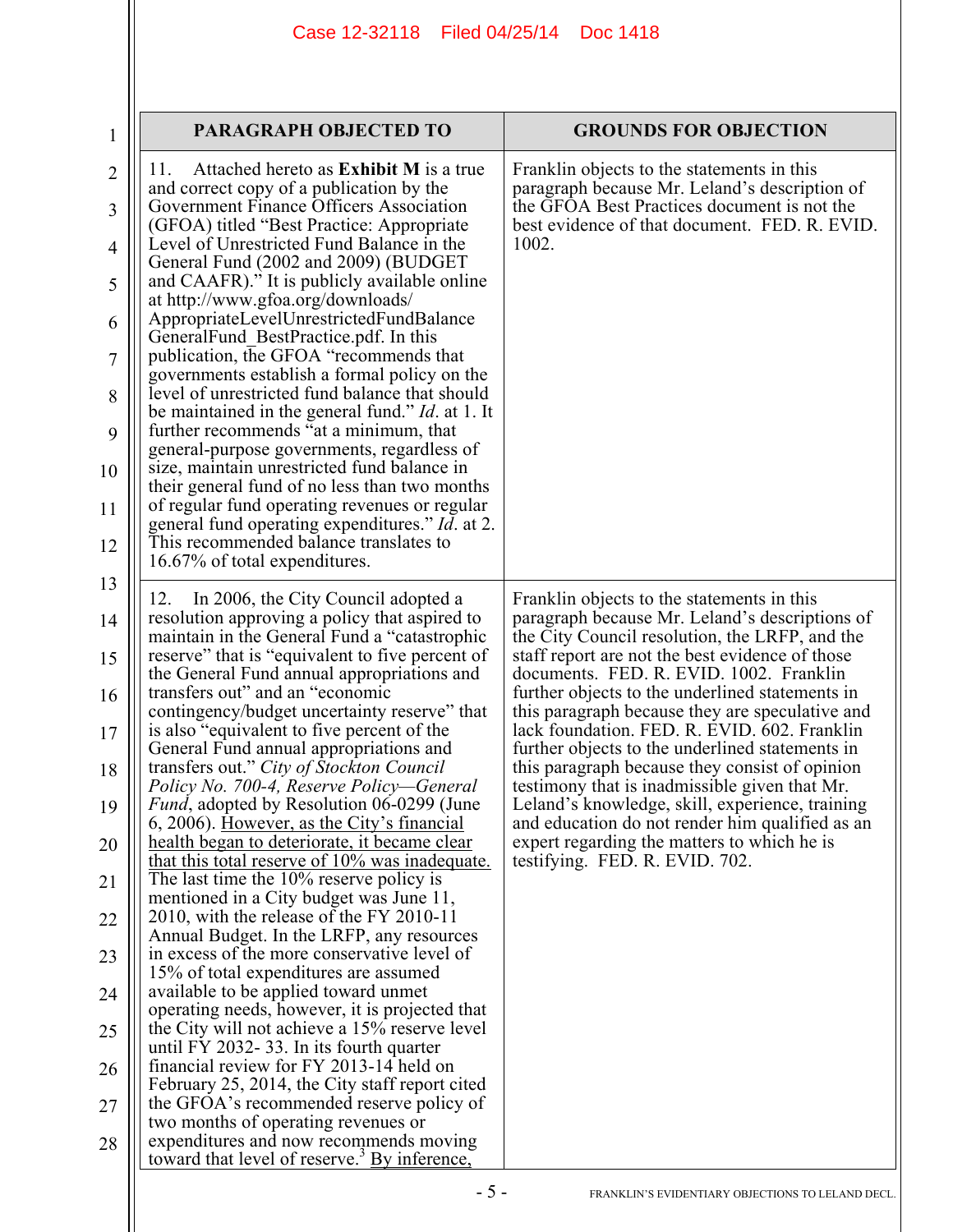| 1                   | <b>PARAGRAPH OBJECTED TO</b>                                                                                                                      | <b>GROUNDS FOR OBJECTION</b>                                                                                                                        |
|---------------------|---------------------------------------------------------------------------------------------------------------------------------------------------|-----------------------------------------------------------------------------------------------------------------------------------------------------|
| $\overline{2}$      | Attached hereto as <b>Exhibit M</b> is a true<br>11.<br>and correct copy of a publication by the<br>Government Finance Officers Association       | Franklin objects to the statements in this<br>paragraph because Mr. Leland's description of<br>the GFOA Best Practices document is not the          |
| 3<br>$\overline{4}$ | (GFOA) titled "Best Practice: Appropriate<br>Level of Unrestricted Fund Balance in the                                                            | best evidence of that document. FED. R. EVID.<br>1002.                                                                                              |
| 5                   | General Fund (2002 and 2009) (BUDGET<br>and CAAFR)." It is publicly available online<br>at http://www.gfoa.org/downloads/                         |                                                                                                                                                     |
| 6                   | AppropriateLevelUnrestrictedFundBalance<br>General Fund Best Practice pdf. In this                                                                |                                                                                                                                                     |
| 7                   | publication, the GFOA "recommends that<br>governments establish a formal policy on the                                                            |                                                                                                                                                     |
| 8                   | level of unrestricted fund balance that should<br>be maintained in the general fund." <i>Id.</i> at 1. It                                         |                                                                                                                                                     |
| 9                   | further recommends "at a minimum, that<br>general-purpose governments, regardless of                                                              |                                                                                                                                                     |
| 10                  | size, maintain unrestricted fund balance in<br>their general fund of no less than two months                                                      |                                                                                                                                                     |
| 11                  | of regular fund operating revenues or regular<br>general fund operating expenditures." Id. at 2.                                                  |                                                                                                                                                     |
| 12                  | This recommended balance translates to<br>16.67% of total expenditures.                                                                           |                                                                                                                                                     |
| 13                  | In 2006, the City Council adopted a<br>12.                                                                                                        | Franklin objects to the statements in this                                                                                                          |
| 14<br>15            | resolution approving a policy that aspired to<br>maintain in the General Fund a "catastrophic"<br>reserve" that is "equivalent to five percent of | paragraph because Mr. Leland's descriptions of<br>the City Council resolution, the LRFP, and the<br>staff report are not the best evidence of those |
| 16                  | the General Fund annual appropriations and<br>transfers out" and an "economic                                                                     | documents. FED. R. EVID. 1002. Franklin<br>further objects to the underlined statements in                                                          |
| 17                  | contingency/budget uncertainty reserve" that<br>is also "equivalent to five percent of the<br>General Fund annual appropriations and              | this paragraph because they are speculative and<br>lack foundation. FED. R. EVID. 602. Franklin<br>further objects to the underlined statements in  |
| 18                  | transfers out." City of Stockton Council<br>Policy No. 700-4, Reserve Policy-General                                                              | this paragraph because they consist of opinion<br>testimony that is inadmissible given that Mr.                                                     |
| 19                  | <i>Fund</i> , adopted by Resolution 06-0299 (June<br>6, 2006). However, as the City's financial                                                   | Leland's knowledge, skill, experience, training<br>and education do not render him qualified as an                                                  |
| 20                  | health began to deteriorate, it became clear<br>that this total reserve of 10% was inadequate.                                                    | expert regarding the matters to which he is<br>testifying. FED. R. EVID. 702.                                                                       |
| 21                  | The last time the 10% reserve policy is<br>mentioned in a City budget was June 11,                                                                |                                                                                                                                                     |
| 22                  | 2010, with the release of the FY 2010-11<br>Annual Budget. In the LRFP, any resources                                                             |                                                                                                                                                     |
| 23                  | in excess of the more conservative level of<br>15% of total expenditures are assumed                                                              |                                                                                                                                                     |
| 24                  | available to be applied toward unmet<br>operating needs, however, it is projected that                                                            |                                                                                                                                                     |
| 25                  | the City will not achieve a 15% reserve level<br>until FY 2032-33. In its fourth quarter                                                          |                                                                                                                                                     |
| 26                  | financial review for FY 2013-14 held on<br>February 25, 2014, the City staff report cited                                                         |                                                                                                                                                     |
| 27                  | the GFOA's recommended reserve policy of<br>two months of operating revenues or                                                                   |                                                                                                                                                     |
| 28                  | expenditures and now recommends moving<br>toward that level of reserve. <sup>3</sup> By inference,                                                |                                                                                                                                                     |
|                     |                                                                                                                                                   |                                                                                                                                                     |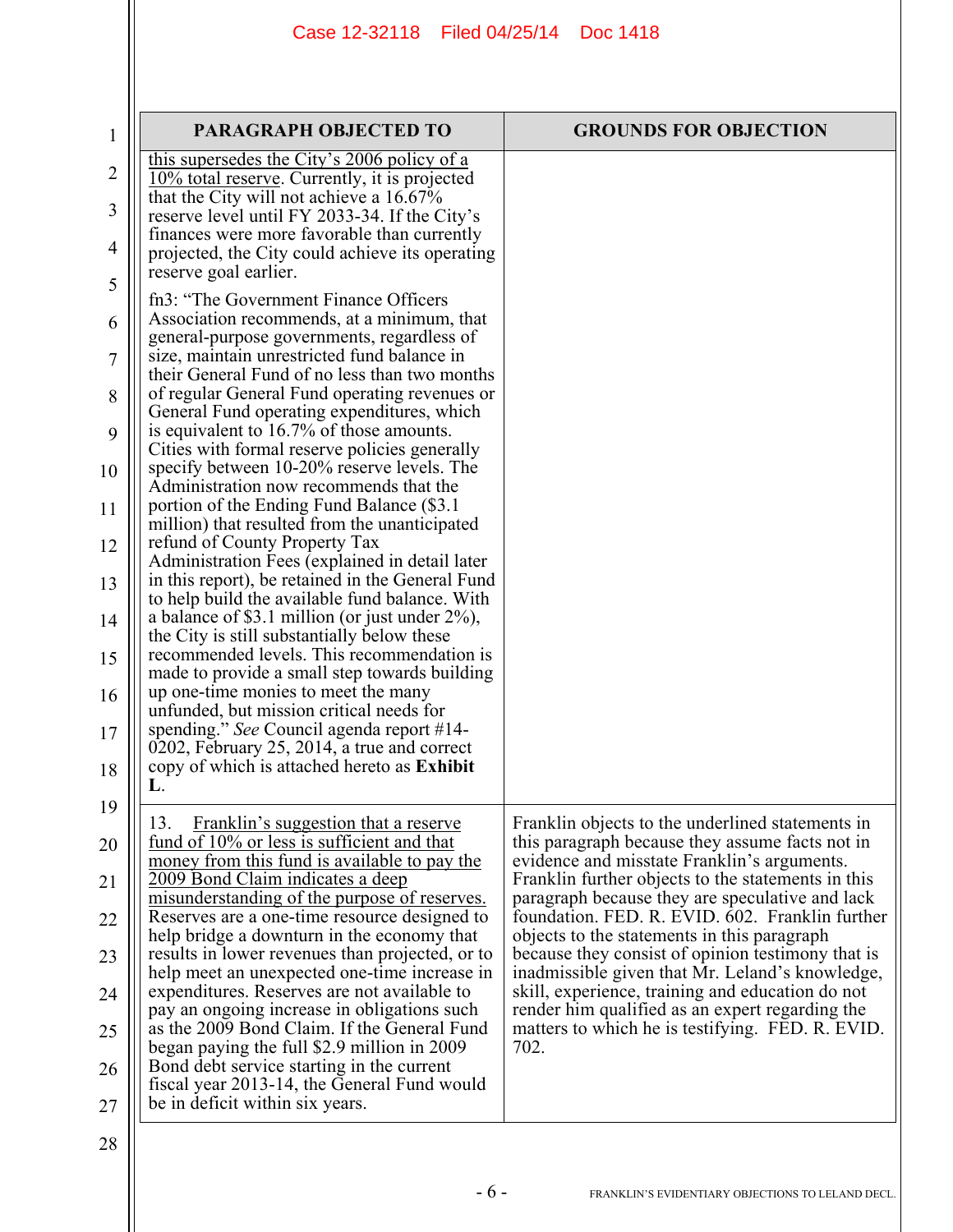| 1              | PARAGRAPH OBJECTED TO                                                                                                                     | <b>GROUNDS FOR OBJECTION</b>                                                                         |
|----------------|-------------------------------------------------------------------------------------------------------------------------------------------|------------------------------------------------------------------------------------------------------|
| $\overline{2}$ | this supersedes the City's 2006 policy of a                                                                                               |                                                                                                      |
| 3              | 10% total reserve. Currently, it is projected<br>that the City will not achieve a 16.67%<br>reserve level until FY 2033-34. If the City's |                                                                                                      |
| 4              | finances were more favorable than currently                                                                                               |                                                                                                      |
| 5              | projected, the City could achieve its operating<br>reserve goal earlier.                                                                  |                                                                                                      |
| 6              | fn3: "The Government Finance Officers"<br>Association recommends, at a minimum, that                                                      |                                                                                                      |
|                | general-purpose governments, regardless of                                                                                                |                                                                                                      |
| 7              | size, maintain unrestricted fund balance in<br>their General Fund of no less than two months                                              |                                                                                                      |
| 8              | of regular General Fund operating revenues or<br>General Fund operating expenditures, which                                               |                                                                                                      |
| 9              | is equivalent to 16.7% of those amounts.<br>Cities with formal reserve policies generally                                                 |                                                                                                      |
| 10             | specify between 10-20% reserve levels. The<br>Administration now recommends that the                                                      |                                                                                                      |
| 11             | portion of the Ending Fund Balance (\$3.1)<br>million) that resulted from the unanticipated                                               |                                                                                                      |
| 12             | refund of County Property Tax<br>Administration Fees (explained in detail later                                                           |                                                                                                      |
| 13             | in this report), be retained in the General Fund<br>to help build the available fund balance. With                                        |                                                                                                      |
| 14             | a balance of \$3.1 million (or just under $2\%$ ),<br>the City is still substantially below these                                         |                                                                                                      |
| 15             | recommended levels. This recommendation is                                                                                                |                                                                                                      |
| 16             | made to provide a small step towards building<br>up one-time monies to meet the many                                                      |                                                                                                      |
| 17             | unfunded, but mission critical needs for<br>spending." See Council agenda report #14-                                                     |                                                                                                      |
| 18             | 0202, February 25, 2014, a true and correct<br>copy of which is attached hereto as <b>Exhibit</b>                                         |                                                                                                      |
|                | L.                                                                                                                                        |                                                                                                      |
| 19<br>20       | Franklin's suggestion that a reserve<br>13.<br>fund of 10% or less is sufficient and that                                                 | Franklin objects to the underlined statements in<br>this paragraph because they assume facts not in  |
| 21             | money from this fund is available to pay the<br>2009 Bond Claim indicates a deep                                                          | evidence and misstate Franklin's arguments.<br>Franklin further objects to the statements in this    |
|                | misunderstanding of the purpose of reserves.                                                                                              | paragraph because they are speculative and lack<br>foundation. FED. R. EVID. 602. Franklin further   |
| 22             | Reserves are a one-time resource designed to<br>help bridge a downturn in the economy that                                                | objects to the statements in this paragraph                                                          |
| 23             | results in lower revenues than projected, or to<br>help meet an unexpected one-time increase in                                           | because they consist of opinion testimony that is<br>inadmissible given that Mr. Leland's knowledge, |
| 24             | expenditures. Reserves are not available to<br>pay an ongoing increase in obligations such                                                | skill, experience, training and education do not<br>render him qualified as an expert regarding the  |
| 25             | as the 2009 Bond Claim. If the General Fund<br>began paying the full \$2.9 million in 2009                                                | matters to which he is testifying. FED. R. EVID.<br>702.                                             |
| 26             | Bond debt service starting in the current<br>fiscal year 2013-14, the General Fund would                                                  |                                                                                                      |
| 27             | be in deficit within six years.                                                                                                           |                                                                                                      |
| 28             |                                                                                                                                           |                                                                                                      |
|                | $-6-$                                                                                                                                     | FRANKLIN'S EVIDENTIARY OBJECTIONS TO LELAND DECL.                                                    |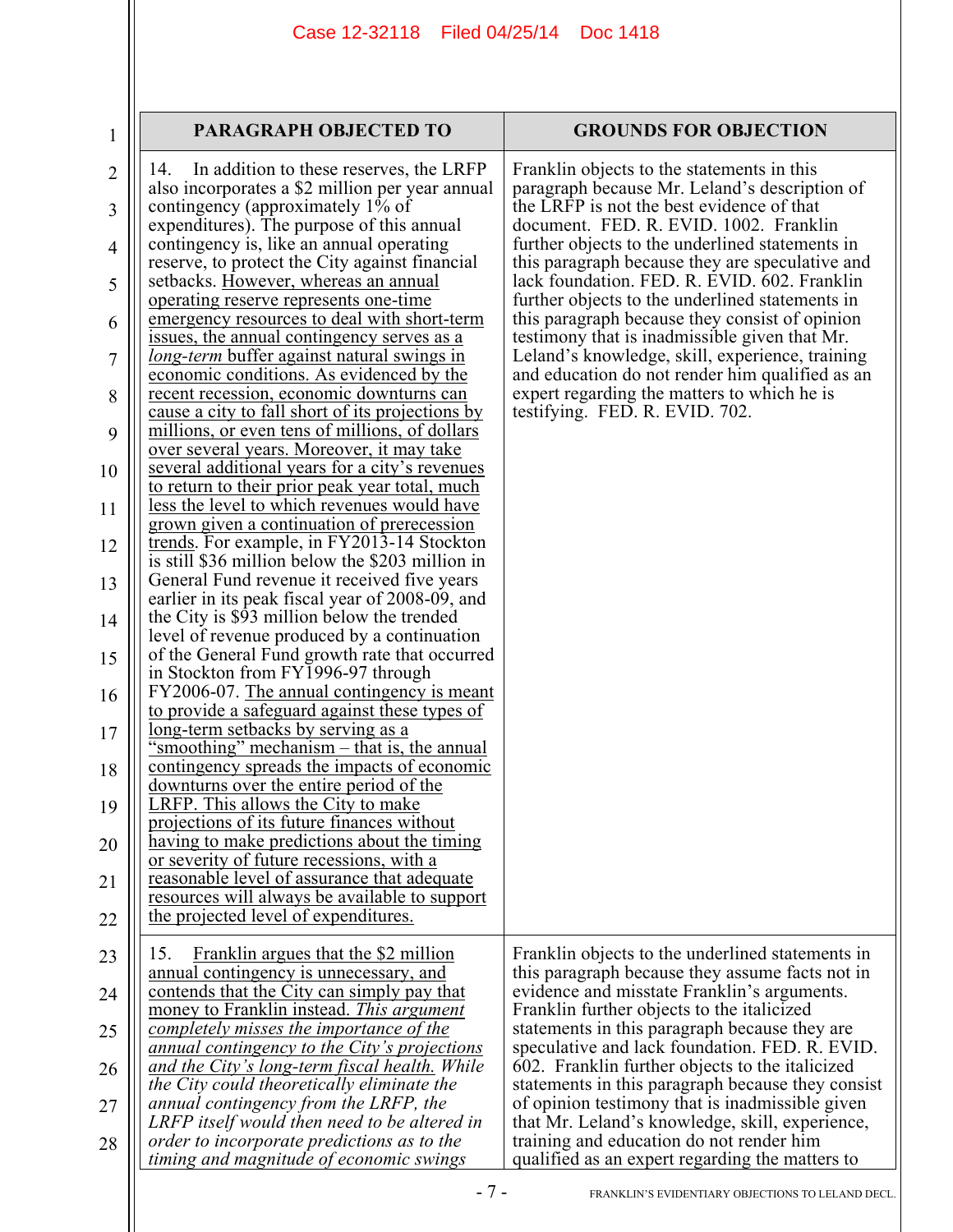| $\mathbf{1}$        | <b>PARAGRAPH OBJECTED TO</b>                                                                                                                 | <b>GROUNDS FOR OBJECTION</b>                                                                                                                      |
|---------------------|----------------------------------------------------------------------------------------------------------------------------------------------|---------------------------------------------------------------------------------------------------------------------------------------------------|
| $\overline{2}$<br>3 | In addition to these reserves, the LRFP<br>14.<br>also incorporates a \$2 million per year annual<br>contingency (approximately 1% of        | Franklin objects to the statements in this<br>paragraph because Mr. Leland's description of<br>the LRFP is not the best evidence of that          |
| $\overline{4}$      | expenditures). The purpose of this annual<br>contingency is, like an annual operating<br>reserve, to protect the City against financial      | document. FED. R. EVID. 1002. Franklin<br>further objects to the underlined statements in<br>this paragraph because they are speculative and      |
| 5                   | setbacks. However, whereas an annual<br>operating reserve represents one-time                                                                | lack foundation. FED. R. EVID. 602. Franklin<br>further objects to the underlined statements in                                                   |
| 6                   | emergency resources to deal with short-term<br>issues, the annual contingency serves as a                                                    | this paragraph because they consist of opinion<br>testimony that is inadmissible given that Mr.                                                   |
| 7                   | long-term buffer against natural swings in<br>economic conditions. As evidenced by the<br>recent recession, economic downturns can           | Leland's knowledge, skill, experience, training<br>and education do not render him qualified as an<br>expert regarding the matters to which he is |
| 8<br>9              | cause a city to fall short of its projections by<br>millions, or even tens of millions, of dollars                                           | testifying. FED. R. EVID. 702.                                                                                                                    |
| 10                  | over several years. Moreover, it may take<br>several additional years for a city's revenues                                                  |                                                                                                                                                   |
| 11                  | to return to their prior peak year total, much<br>less the level to which revenues would have<br>grown given a continuation of prerecession  |                                                                                                                                                   |
| 12                  | trends. For example, in FY2013-14 Stockton<br>is still \$36 million below the \$203 million in                                               |                                                                                                                                                   |
| 13                  | General Fund revenue it received five years<br>earlier in its peak fiscal year of 2008-09, and<br>the City is \$93 million below the trended |                                                                                                                                                   |
| 14<br>15            | level of revenue produced by a continuation<br>of the General Fund growth rate that occurred                                                 |                                                                                                                                                   |
| 16                  | in Stockton from FY1996-97 through<br>FY2006-07. The annual contingency is meant                                                             |                                                                                                                                                   |
| 17                  | to provide a safeguard against these types of<br><u>long-term setbacks by serving as a</u><br>'smoothing" mechanism – that is, the annual    |                                                                                                                                                   |
| 18                  | contingency spreads the impacts of economic<br>downturns over the entire period of the                                                       |                                                                                                                                                   |
| 19                  | <b>LRFP.</b> This allows the City to make<br>projections of its future finances without                                                      |                                                                                                                                                   |
| 20                  | having to make predictions about the timing<br>or severity of future recessions, with a<br>reasonable level of assurance that adequate       |                                                                                                                                                   |
| 21<br>22            | resources will always be available to support<br>the projected level of expenditures.                                                        |                                                                                                                                                   |
| 23                  | Franklin argues that the \$2 million<br>15.                                                                                                  | Franklin objects to the underlined statements in                                                                                                  |
| 24                  | <u>annual contingency is unnecessary, and</u><br>contends that the City can simply pay that                                                  | this paragraph because they assume facts not in<br>evidence and misstate Franklin's arguments.                                                    |
| 25                  | money to Franklin instead. This argument<br>completely misses the importance of the<br><u>annual contingency to the City's projections</u>   | Franklin further objects to the italicized<br>statements in this paragraph because they are<br>speculative and lack foundation. FED. R. EVID.     |
| 26                  | and the City's long-term fiscal health. While<br>the City could theoretically eliminate the                                                  | 602. Franklin further objects to the italicized<br>statements in this paragraph because they consist                                              |
| 27                  | annual contingency from the LRFP, the<br>LRFP itself would then need to be altered in                                                        | of opinion testimony that is inadmissible given<br>that Mr. Leland's knowledge, skill, experience,                                                |
| 28                  | order to incorporate predictions as to the<br>timing and magnitude of economic swings                                                        | training and education do not render him<br>qualified as an expert regarding the matters to                                                       |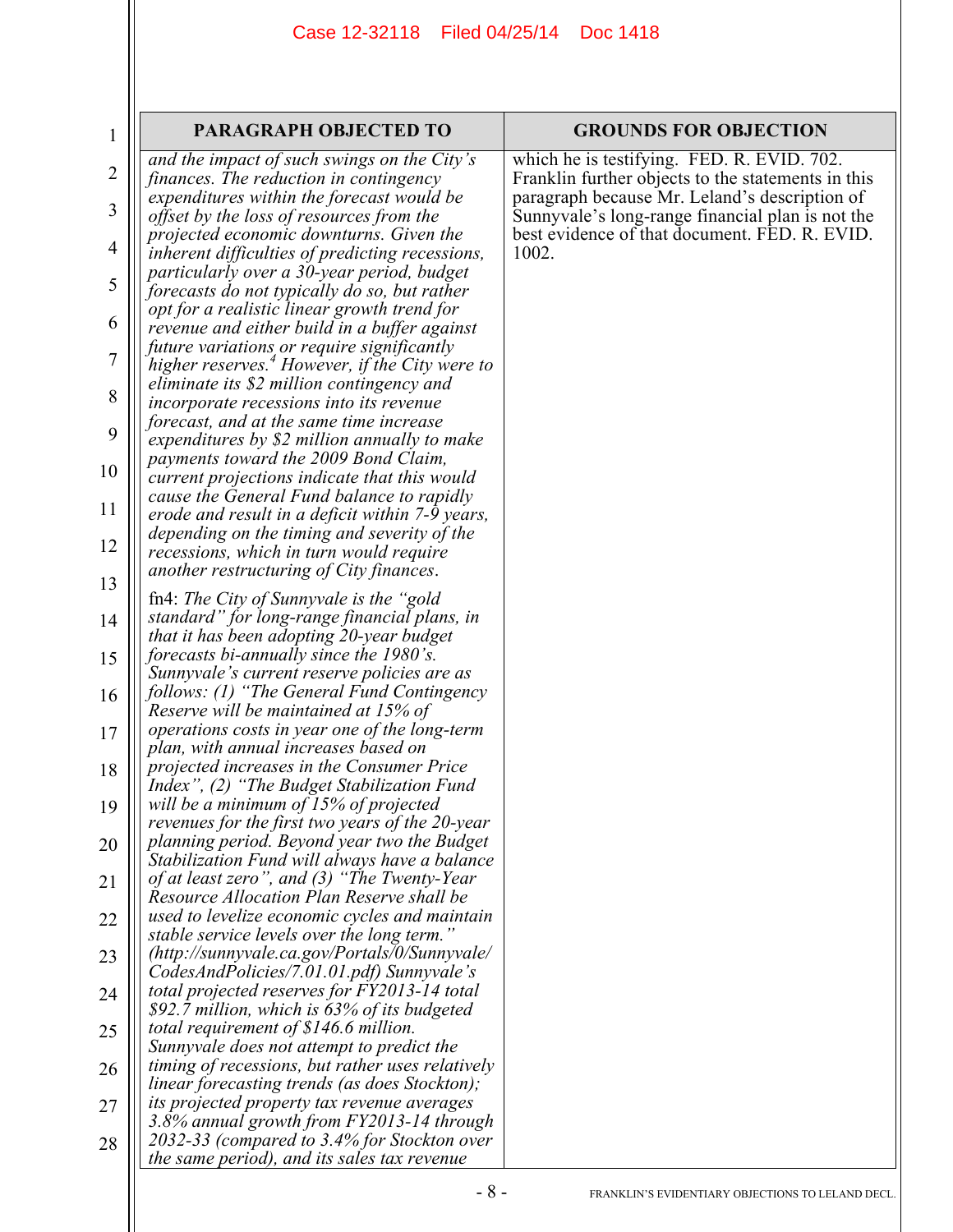| $\mathbf{1}$   | PARAGRAPH OBJECTED TO                                                                                                                              | <b>GROUNDS FOR OBJECTION</b>                                                                                                                      |
|----------------|----------------------------------------------------------------------------------------------------------------------------------------------------|---------------------------------------------------------------------------------------------------------------------------------------------------|
| 2              | and the impact of such swings on the City's<br>finances. The reduction in contingency<br>expenditures within the forecast would be                 | which he is testifying. FED. R. EVID. 702.<br>Franklin further objects to the statements in this<br>paragraph because Mr. Leland's description of |
| 3              | offset by the loss of resources from the<br>projected economic downturns. Given the                                                                | Sunnyvale's long-range financial plan is not the<br>best evidence of that document. FED. R. EVID.                                                 |
| 4              | inherent difficulties of predicting recessions,<br>particularly over a 30-year period, budget                                                      | 1002.                                                                                                                                             |
| 5<br>6         | forecasts do not typically do so, but rather<br>opt for a realistic linear growth trend for                                                        |                                                                                                                                                   |
| $\overline{7}$ | revenue and either build in a buffer against<br>future variations or require significantly                                                         |                                                                                                                                                   |
| 8              | higher reserves. <sup>4</sup> However, if the City were to<br>eliminate its \$2 million contingency and<br>incorporate recessions into its revenue |                                                                                                                                                   |
| 9              | forecast, and at the same time increase<br>expenditures by \$2 million annually to make                                                            |                                                                                                                                                   |
| 10             | payments toward the 2009 Bond Claim,<br>current projections indicate that this would                                                               |                                                                                                                                                   |
| 11             | cause the General Fund balance to rapidly<br>erode and result in a deficit within 7-9 years,                                                       |                                                                                                                                                   |
| 12             | depending on the timing and severity of the<br>recessions, which in turn would require                                                             |                                                                                                                                                   |
| 13             | another restructuring of City finances.<br>fn4: The City of Sunnyvale is the "gold"                                                                |                                                                                                                                                   |
| 14             | standard" for long-range financial plans, in<br>that it has been adopting 20-year budget                                                           |                                                                                                                                                   |
| 15             | forecasts bi-annually since the 1980's.<br>Sunnyvale's current reserve policies are as                                                             |                                                                                                                                                   |
| 16             | follows: (1) "The General Fund Contingency<br>Reserve will be maintained at 15% of                                                                 |                                                                                                                                                   |
| 17<br>18       | operations costs in year one of the long-term<br>plan, with annual increases based on<br>projected increases in the Consumer Price                 |                                                                                                                                                   |
| 19             | Index", (2) "The Budget Stabilization Fund<br>will be a minimum of $15%$ of projected                                                              |                                                                                                                                                   |
| 20             | revenues for the first two years of the 20-year<br>planning period. Beyond year two the Budget                                                     |                                                                                                                                                   |
| 21             | Stabilization Fund will always have a balance<br>of at least zero", and (3) "The Twenty-Year                                                       |                                                                                                                                                   |
| 22             | Resource Allocation Plan Reserve shall be<br>used to levelize economic cycles and maintain                                                         |                                                                                                                                                   |
| 23             | stable service levels over the long term."<br>(http://sunnyvale.ca.gov/Portals/0/Sunnyvale/<br>CodesAndPolicies/7.01.01.pdf) Sunnyvale's           |                                                                                                                                                   |
| 24             | total projected reserves for FY2013-14 total<br>\$92.7 million, which is 63% of its budgeted                                                       |                                                                                                                                                   |
| 25             | total requirement of $$146.6$ million.<br>Sunnyvale does not attempt to predict the                                                                |                                                                                                                                                   |
| 26             | timing of recessions, but rather uses relatively<br><i>linear forecasting trends (as does Stockton);</i>                                           |                                                                                                                                                   |
| 27             | its projected property tax revenue averages<br>3.8% annual growth from FY2013-14 through                                                           |                                                                                                                                                   |
| 28             | 2032-33 (compared to 3.4% for Stockton over<br>the same period), and its sales tax revenue                                                         |                                                                                                                                                   |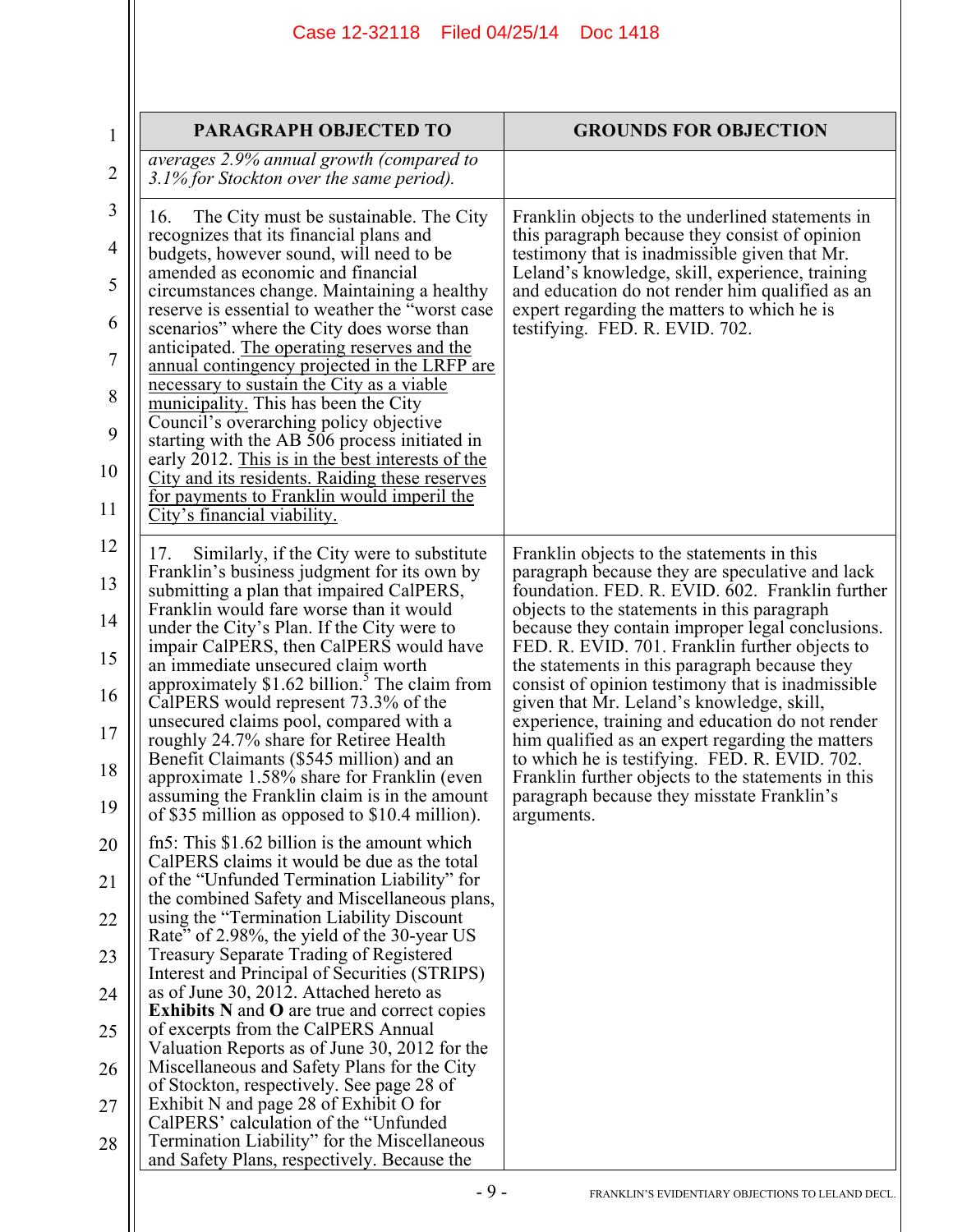| 1                                                        | PARAGRAPH OBJECTED TO                                                                                                                                                                                                                                                                                                                                                                                                                                                                                                                                                                                                                                                                                                                                                                                                                                              | <b>GROUNDS FOR OBJECTION</b>                                                                                                                                                                                                                                                                                                                                                                                                                                                                                                                                                                                                                                                                                                         |
|----------------------------------------------------------|--------------------------------------------------------------------------------------------------------------------------------------------------------------------------------------------------------------------------------------------------------------------------------------------------------------------------------------------------------------------------------------------------------------------------------------------------------------------------------------------------------------------------------------------------------------------------------------------------------------------------------------------------------------------------------------------------------------------------------------------------------------------------------------------------------------------------------------------------------------------|--------------------------------------------------------------------------------------------------------------------------------------------------------------------------------------------------------------------------------------------------------------------------------------------------------------------------------------------------------------------------------------------------------------------------------------------------------------------------------------------------------------------------------------------------------------------------------------------------------------------------------------------------------------------------------------------------------------------------------------|
| $\overline{2}$                                           | averages 2.9% annual growth (compared to<br>3.1% for Stockton over the same period).                                                                                                                                                                                                                                                                                                                                                                                                                                                                                                                                                                                                                                                                                                                                                                               |                                                                                                                                                                                                                                                                                                                                                                                                                                                                                                                                                                                                                                                                                                                                      |
| 3<br>$\overline{4}$<br>5<br>6<br>7<br>8<br>9<br>10<br>11 | The City must be sustainable. The City<br>16.<br>recognizes that its financial plans and<br>budgets, however sound, will need to be<br>amended as economic and financial<br>circumstances change. Maintaining a healthy<br>reserve is essential to weather the "worst case"<br>scenarios" where the City does worse than<br>anticipated. The operating reserves and the<br><u>annual contingency projected in the LRFP are</u><br>necessary to sustain the City as a viable<br>municipality. This has been the City<br>Council's overarching policy objective<br>starting with the AB 506 process initiated in<br>early 2012. This is in the best interests of the<br><b>City and its residents. Raiding these reserves</b><br><u>for payments to Franklin would imperil the</u><br>City's financial viability.                                                    | Franklin objects to the underlined statements in<br>this paragraph because they consist of opinion<br>testimony that is inadmissible given that Mr.<br>Leland's knowledge, skill, experience, training<br>and education do not render him qualified as an<br>expert regarding the matters to which he is<br>testifying. FED. R. EVID. 702.                                                                                                                                                                                                                                                                                                                                                                                           |
| 12<br>13<br>14<br>15<br>16<br>17<br>18<br>19             | Similarly, if the City were to substitute<br>17.<br>Franklin's business judgment for its own by<br>submitting a plan that impaired CalPERS,<br>Franklin would fare worse than it would<br>under the City's Plan. If the City were to<br>impair CalPERS, then CalPERS would have<br>an immediate unsecured claim worth<br>approximately \$1.62 billion. <sup>5</sup> The claim from<br>CalPERS would represent 73.3% of the<br>unsecured claims pool, compared with a<br>roughly 24.7% share for Retiree Health<br>Benefit Claimants (\$545 million) and an<br>approximate 1.58% share for Franklin (even<br>assuming the Franklin claim is in the amount<br>of \$35 million as opposed to \$10.4 million).                                                                                                                                                         | Franklin objects to the statements in this<br>paragraph because they are speculative and lack<br>foundation. FED. R. EVID. 602. Franklin further<br>objects to the statements in this paragraph<br>because they contain improper legal conclusions.<br>FED. R. EVID. 701. Franklin further objects to<br>the statements in this paragraph because they<br>consist of opinion testimony that is inadmissible.<br>given that Mr. Leland's knowledge, skill,<br>experience, training and education do not render<br>him qualified as an expert regarding the matters<br>to which he is testifying. FED. R. EVID. 702.<br>Franklin further objects to the statements in this<br>paragraph because they misstate Franklin's<br>arguments. |
| 20<br>21<br>22<br>23<br>24<br>25<br>26<br>27<br>28       | fn5: This \$1.62 billion is the amount which<br>CalPERS claims it would be due as the total<br>of the "Unfunded Termination Liability" for<br>the combined Safety and Miscellaneous plans,<br>using the "Termination Liability Discount<br>Rate" of 2.98%, the yield of the 30-year US<br><b>Treasury Separate Trading of Registered</b><br>Interest and Principal of Securities (STRIPS)<br>as of June 30, 2012. Attached hereto as<br><b>Exhibits N and O are true and correct copies</b><br>of excerpts from the CalPERS Annual<br>Valuation Reports as of June 30, 2012 for the<br>Miscellaneous and Safety Plans for the City<br>of Stockton, respectively. See page 28 of<br>Exhibit N and page 28 of Exhibit O for<br>CalPERS' calculation of the "Unfunded"<br>Termination Liability" for the Miscellaneous<br>and Safety Plans, respectively. Because the |                                                                                                                                                                                                                                                                                                                                                                                                                                                                                                                                                                                                                                                                                                                                      |
|                                                          | $-9-$                                                                                                                                                                                                                                                                                                                                                                                                                                                                                                                                                                                                                                                                                                                                                                                                                                                              | FRANKLIN'S EVIDENTIARY OBJECTIONS TO LELAND DECL.                                                                                                                                                                                                                                                                                                                                                                                                                                                                                                                                                                                                                                                                                    |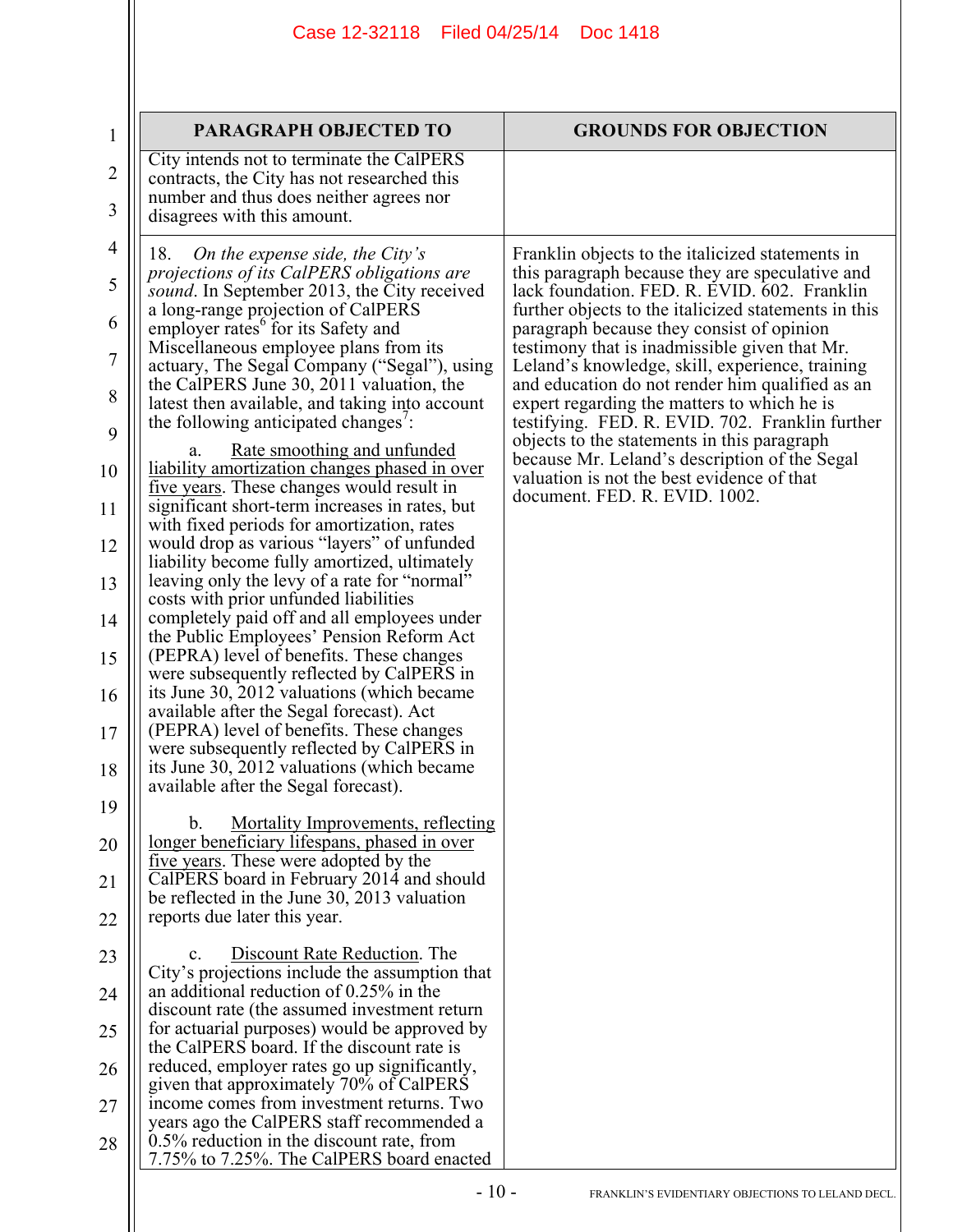|                | Case 12-32118   Filed 04/25/14                                                                           | Doc 1418                                                                                          |
|----------------|----------------------------------------------------------------------------------------------------------|---------------------------------------------------------------------------------------------------|
|                |                                                                                                          |                                                                                                   |
|                |                                                                                                          |                                                                                                   |
| $\mathbf{1}$   | <b>PARAGRAPH OBJECTED TO</b>                                                                             | <b>GROUNDS FOR OBJECTION</b>                                                                      |
| $\overline{2}$ | City intends not to terminate the CalPERS<br>contracts, the City has not researched this                 |                                                                                                   |
| 3              | number and thus does neither agrees nor<br>disagrees with this amount.                                   |                                                                                                   |
| $\overline{4}$ | On the expense side, the City's<br>18.                                                                   | Franklin objects to the italicized statements in                                                  |
| 5              | projections of its CalPERS obligations are<br>sound. In September 2013, the City received                | this paragraph because they are speculative and<br>lack foundation. FED. R. EVID. 602. Franklin   |
| 6              | a long-range projection of CalPERS<br>employer rates <sup>6</sup> for its Safety and                     | further objects to the italicized statements in this<br>paragraph because they consist of opinion |
| 7              | Miscellaneous employee plans from its<br>actuary, The Segal Company ("Segal"), using                     | testimony that is inadmissible given that Mr.<br>Leland's knowledge, skill, experience, training  |
| 8              | the CalPERS June 30, 2011 valuation, the<br>latest then available, and taking into account               | and education do not render him qualified as an<br>expert regarding the matters to which he is    |
| 9              | the following anticipated changes':<br>Rate smoothing and unfunded<br>a.                                 | testifying. FED. R. EVID. 702. Franklin further<br>objects to the statements in this paragraph    |
| 10             | liability amortization changes phased in over<br>five years. These changes would result in               | because Mr. Leland's description of the Segal<br>valuation is not the best evidence of that       |
| 11             | significant short-term increases in rates, but<br>with fixed periods for amortization, rates             | document. FED. R. EVID. 1002.                                                                     |
| 12             | would drop as various "layers" of unfunded<br>liability become fully amortized, ultimately               |                                                                                                   |
| 13             | leaving only the levy of a rate for "normal"                                                             |                                                                                                   |
| 14             | costs with prior unfunded liabilities<br>completely paid off and all employees under                     |                                                                                                   |
| 15             | the Public Employees' Pension Reform Act<br>(PEPRA) level of benefits. These changes                     |                                                                                                   |
| 16             | were subsequently reflected by CalPERS in<br>its June 30, 2012 valuations (which became                  |                                                                                                   |
| 17             | available after the Segal forecast). Act<br>(PEPRA) level of benefits. These changes                     |                                                                                                   |
| 18             | were subsequently reflected by CalPERS in<br>its June 30, 2012 valuations (which became                  |                                                                                                   |
| 19             | available after the Segal forecast).                                                                     |                                                                                                   |
|                | <b>Mortality Improvements, reflecting</b><br>$b_{\cdot}$<br>longer beneficiary lifespans, phased in over |                                                                                                   |
| 20             | five years. These were adopted by the                                                                    |                                                                                                   |
| 21             | CalPERS board in February 2014 and should<br>be reflected in the June 30, 2013 valuation                 |                                                                                                   |
| 22             | reports due later this year.                                                                             |                                                                                                   |
| 23             | Discount Rate Reduction. The<br>$\mathbf{c}$ .<br>City's projections include the assumption that         |                                                                                                   |
| 24             | an additional reduction of 0.25% in the<br>discount rate (the assumed investment return                  |                                                                                                   |
| 25             | for actuarial purposes) would be approved by<br>the CalPERS board. If the discount rate is               |                                                                                                   |
| 26             | reduced, employer rates go up significantly,<br>given that approximately 70% of CalPERS                  |                                                                                                   |
| 27             | income comes from investment returns. Two<br>years ago the CalPERS staff recommended a                   |                                                                                                   |
| 28             | $0.5\%$ reduction in the discount rate, from<br>7.75% to 7.25%. The CalPERS board enacted                |                                                                                                   |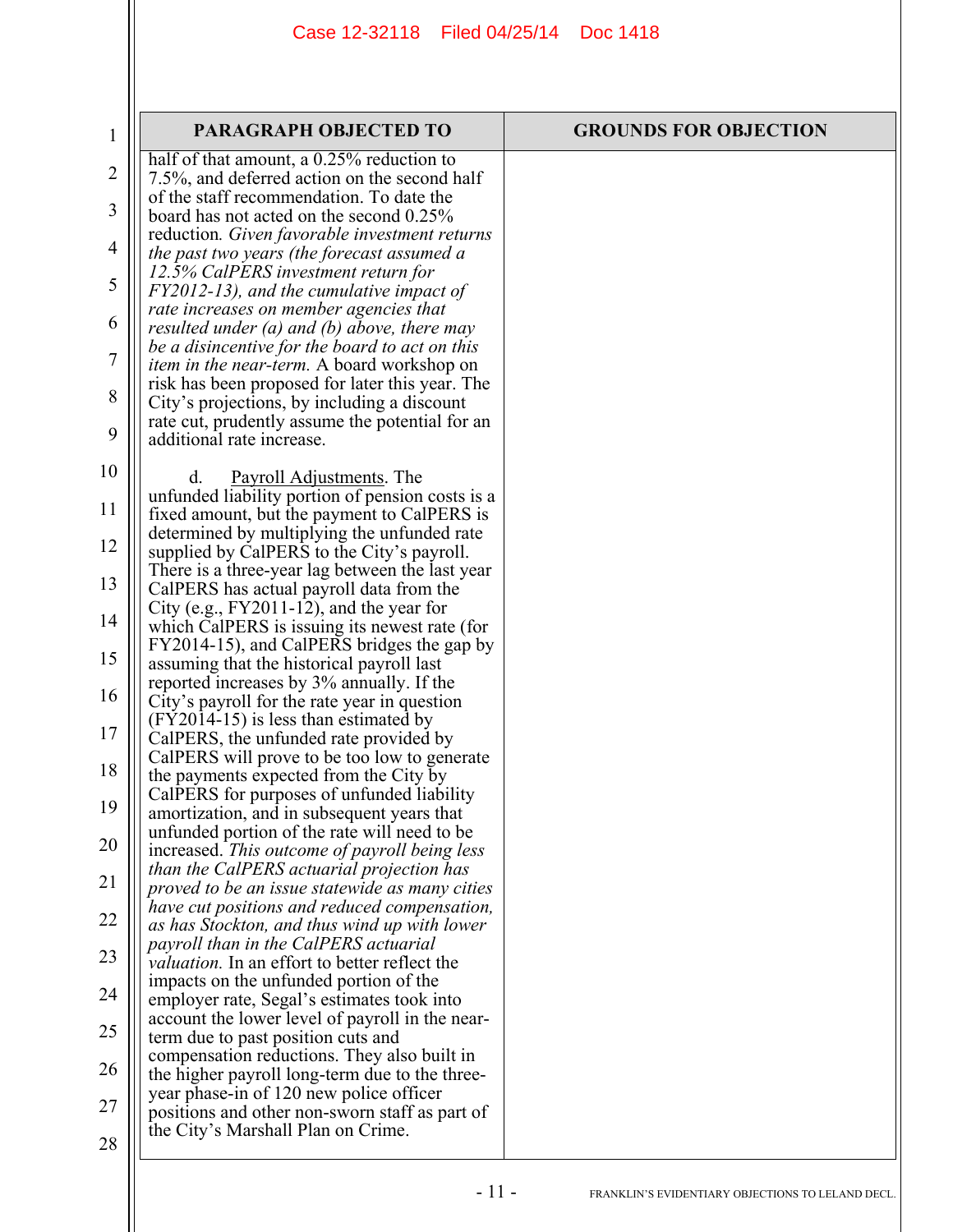| $\mathbf 1$    | <b>PARAGRAPH OBJECTED TO</b>                                                                                                      | <b>GROUNDS FOR OBJECTION</b> |
|----------------|-----------------------------------------------------------------------------------------------------------------------------------|------------------------------|
| $\overline{2}$ | half of that amount, $a$ 0.25% reduction to<br>7.5%, and deferred action on the second half                                       |                              |
| 3              | of the staff recommendation. To date the<br>board has not acted on the second 0.25%                                               |                              |
| 4              | reduction. Given favorable investment returns<br>the past two years (the forecast assumed a                                       |                              |
| 5              | 12.5% CalPERS investment return for<br>FY2012-13), and the cumulative impact of                                                   |                              |
| 6              | rate increases on member agencies that<br>resulted under $(a)$ and $(b)$ above, there may                                         |                              |
| 7              | be a disincentive for the board to act on this<br><i>item in the near-term.</i> A board workshop on                               |                              |
| 8              | risk has been proposed for later this year. The<br>City's projections, by including a discount                                    |                              |
| 9              | rate cut, prudently assume the potential for an<br>additional rate increase.                                                      |                              |
| 10             | <b>Payroll Adjustments</b> . The<br>d.                                                                                            |                              |
| 11             | unfunded liability portion of pension costs is a<br>fixed amount, but the payment to CalPERS is                                   |                              |
| 12             | determined by multiplying the unfunded rate<br>supplied by CalPERS to the City's payroll.                                         |                              |
| 13             | There is a three-year lag between the last year<br>CalPERS has actual payroll data from the                                       |                              |
| 14             | City (e.g., FY2011-12), and the year for<br>which CalPERS is issuing its newest rate (for                                         |                              |
| 15             | FY2014-15), and CalPERS bridges the gap by<br>assuming that the historical payroll last                                           |                              |
| 16             | reported increases by 3% annually. If the<br>City's payroll for the rate year in question                                         |                              |
| 17             | $(FY2014-15)$ is less than estimated by<br>CalPERS, the unfunded rate provided by<br>CalPERS will prove to be too low to generate |                              |
| 18             | the payments expected from the City by<br>CalPERS for purposes of unfunded liability                                              |                              |
| 19             | amortization, and in subsequent years that<br>unfunded portion of the rate will need to be                                        |                              |
| 20             | increased. This outcome of payroll being less<br>than the CalPERS actuarial projection has                                        |                              |
| 21             | proved to be an issue statewide as many cities                                                                                    |                              |
| 22             | have cut positions and reduced compensation,<br>as has Stockton, and thus wind up with lower                                      |                              |
| 23             | payroll than in the CalPERS actuarial<br><i>valuation</i> . In an effort to better reflect the                                    |                              |
| 24             | impacts on the unfunded portion of the<br>employer rate, Segal's estimates took into                                              |                              |
| 25             | account the lower level of payroll in the near-<br>term due to past position cuts and                                             |                              |
| 26             | compensation reductions. They also built in<br>the higher payroll long-term due to the three-                                     |                              |
| 27             | year phase-in of 120 new police officer<br>positions and other non-sworn staff as part of                                         |                              |
| 28             | the City's Marshall Plan on Crime.                                                                                                |                              |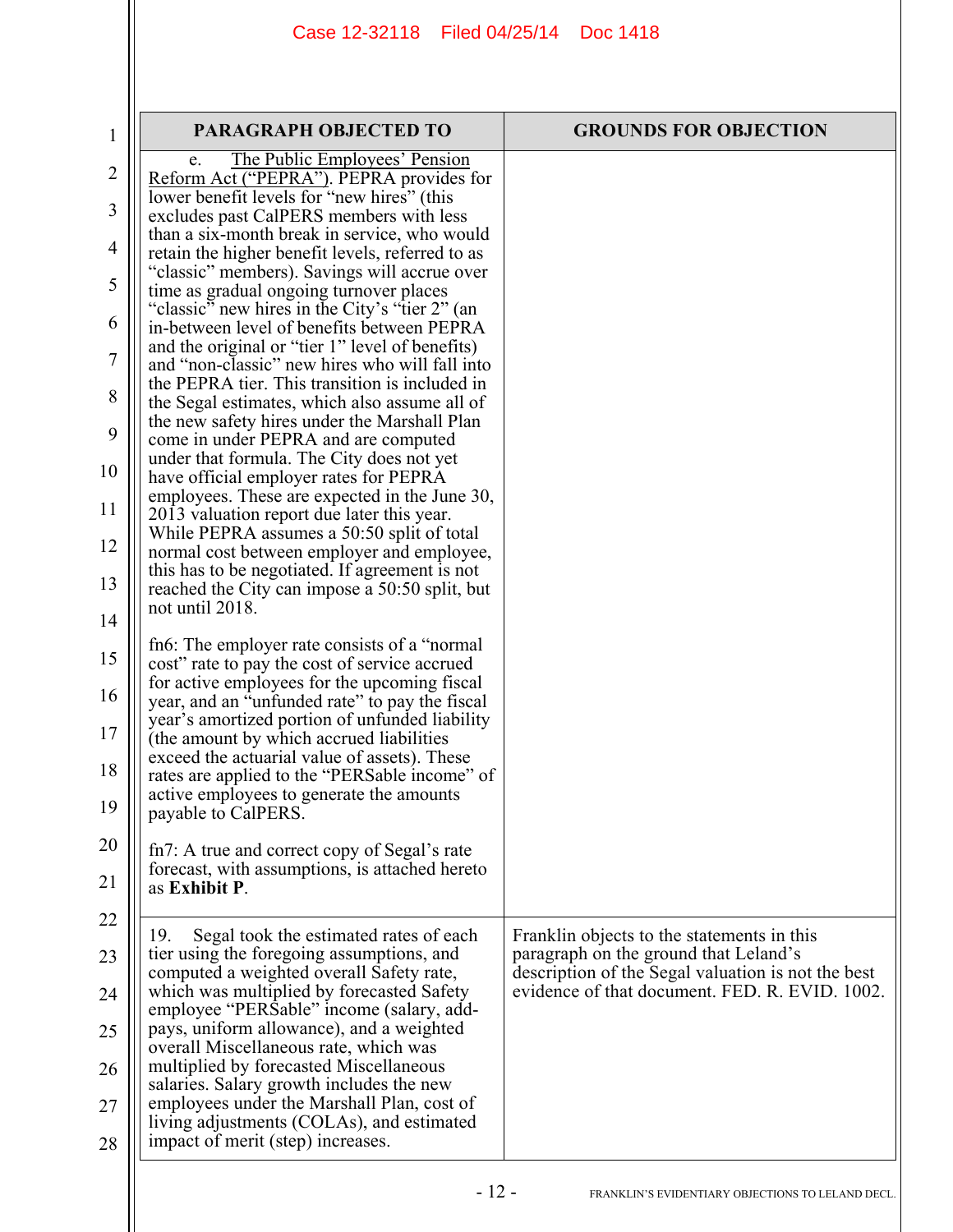| $\mathbf{1}$ | <b>PARAGRAPH OBJECTED TO</b>                                                                     | <b>GROUNDS FOR OBJECTION</b>                                                        |
|--------------|--------------------------------------------------------------------------------------------------|-------------------------------------------------------------------------------------|
|              | The Public Employees' Pension<br>e.                                                              |                                                                                     |
| 2            | Reform Act ("PEPRA"). PEPRA provides for                                                         |                                                                                     |
| 3            | lower benefit levels for "new hires" (this<br>excludes past CalPERS members with less            |                                                                                     |
|              | than a six-month break in service, who would                                                     |                                                                                     |
| 4            | retain the higher benefit levels, referred to as                                                 |                                                                                     |
| 5            | "classic" members). Savings will accrue over<br>time as gradual ongoing turnover places          |                                                                                     |
|              | "classic" new hires in the City's "tier 2" (an                                                   |                                                                                     |
| 6            | in-between level of benefits between PEPRA                                                       |                                                                                     |
| 7            | and the original or "tier 1" level of benefits)                                                  |                                                                                     |
|              | and "non-classic" new hires who will fall into<br>the PEPRA tier. This transition is included in |                                                                                     |
| 8            | the Segal estimates, which also assume all of                                                    |                                                                                     |
|              | the new safety hires under the Marshall Plan                                                     |                                                                                     |
| 9            | come in under PEPRA and are computed                                                             |                                                                                     |
| 10           | under that formula. The City does not yet                                                        |                                                                                     |
|              | have official employer rates for PEPRA<br>employees. These are expected in the June 30,          |                                                                                     |
| 11           | 2013 valuation report due later this year.                                                       |                                                                                     |
| 12           | While PEPRA assumes a 50:50 split of total                                                       |                                                                                     |
|              | normal cost between employer and employee,<br>this has to be negotiated. If agreement is not     |                                                                                     |
| 13           | reached the City can impose a 50:50 split, but                                                   |                                                                                     |
| 14           | not until 2018.                                                                                  |                                                                                     |
|              |                                                                                                  |                                                                                     |
| 15           | fn6: The employer rate consists of a "normal"<br>cost" rate to pay the cost of service accrued   |                                                                                     |
|              | for active employees for the upcoming fiscal                                                     |                                                                                     |
| 16           | year, and an "unfunded rate" to pay the fiscal                                                   |                                                                                     |
| 17           | year's amortized portion of unfunded liability<br>(the amount by which accrued liabilities)      |                                                                                     |
|              | exceed the actuarial value of assets). These                                                     |                                                                                     |
| 18           | rates are applied to the "PERSable income" of                                                    |                                                                                     |
| 19           | active employees to generate the amounts                                                         |                                                                                     |
|              | payable to CalPERS.                                                                              |                                                                                     |
| 20           | fn7: A true and correct copy of Segal's rate                                                     |                                                                                     |
| 21           | forecast, with assumptions, is attached hereto                                                   |                                                                                     |
|              | as Exhibit P.                                                                                    |                                                                                     |
| 22           |                                                                                                  |                                                                                     |
|              | Segal took the estimated rates of each<br>19.<br>tier using the foregoing assumptions, and       | Franklin objects to the statements in this<br>paragraph on the ground that Leland's |
| 23           | computed a weighted overall Safety rate,                                                         | description of the Segal valuation is not the best                                  |
| 24           | which was multiplied by forecasted Safety                                                        | evidence of that document. FED. R. EVID. 1002.                                      |
|              | employee "PERSable" income (salary, add-                                                         |                                                                                     |
| 25           | pays, uniform allowance), and a weighted<br>overall Miscellaneous rate, which was                |                                                                                     |
| 26           | multiplied by forecasted Miscellaneous                                                           |                                                                                     |
|              | salaries. Salary growth includes the new                                                         |                                                                                     |
| 27           | employees under the Marshall Plan, cost of                                                       |                                                                                     |
| 28           | living adjustments (COLAs), and estimated<br>impact of merit (step) increases.                   |                                                                                     |
|              |                                                                                                  |                                                                                     |
|              |                                                                                                  |                                                                                     |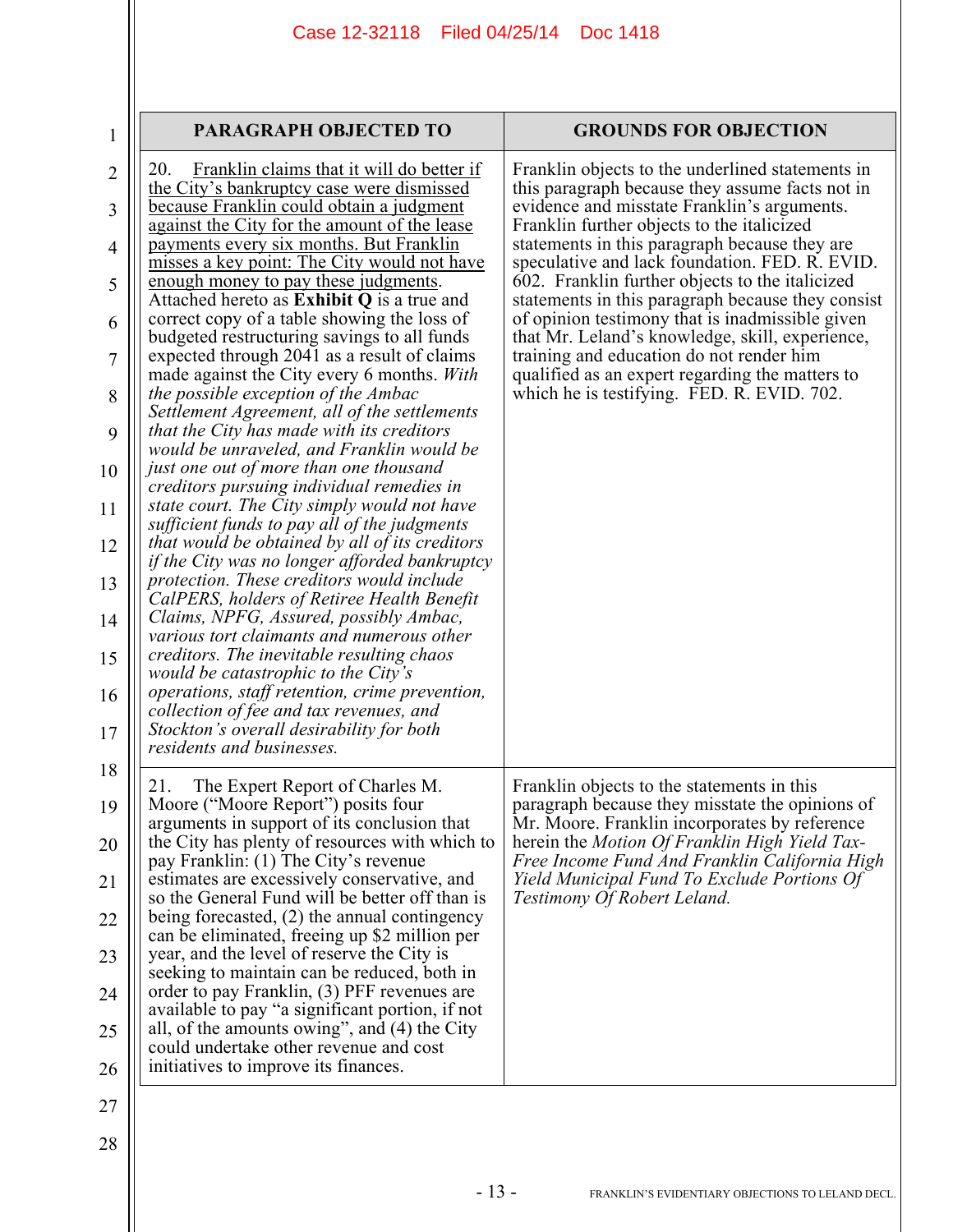| 1                   | <b>PARAGRAPH OBJECTED TO</b>                                                                                                                    | <b>GROUNDS FOR OBJECTION</b>                                                                                                                           |
|---------------------|-------------------------------------------------------------------------------------------------------------------------------------------------|--------------------------------------------------------------------------------------------------------------------------------------------------------|
| $\overline{2}$<br>3 | 20.<br>Franklin claims that it will do better if<br>the City's bankruptcy case were dismissed<br>because Franklin could obtain a judgment       | Franklin objects to the underlined statements in<br>this paragraph because they assume facts not in<br>evidence and misstate Franklin's arguments.     |
| 4                   | against the City for the amount of the lease<br>payments every six months. But Franklin<br>misses a key point: The City would not have          | Franklin further objects to the italicized<br>statements in this paragraph because they are                                                            |
| 5                   | enough money to pay these judgments.<br>Attached hereto as <b>Exhibit Q</b> is a true and                                                       | speculative and lack foundation. FED. R. EVID.<br>602. Franklin further objects to the italicized<br>statements in this paragraph because they consist |
| 6                   | correct copy of a table showing the loss of<br>budgeted restructuring savings to all funds                                                      | of opinion testimony that is inadmissible given<br>that Mr. Leland's knowledge, skill, experience,                                                     |
| 7                   | expected through 2041 as a result of claims<br>made against the City every 6 months. With                                                       | training and education do not render him<br>qualified as an expert regarding the matters to                                                            |
| 8<br>9              | the possible exception of the Ambac<br>Settlement Agreement, all of the settlements<br>that the City has made with its creditors                | which he is testifying. FED. R. EVID. 702.                                                                                                             |
| 10                  | would be unraveled, and Franklin would be<br>just one out of more than one thousand                                                             |                                                                                                                                                        |
| 11                  | creditors pursuing individual remedies in<br>state court. The City simply would not have                                                        |                                                                                                                                                        |
| 12                  | sufficient funds to pay all of the judgments<br>that would be obtained by all of its creditors<br>if the City was no longer afforded bankruptcy |                                                                                                                                                        |
| 13                  | protection. These creditors would include<br>CalPERS, holders of Retiree Health Benefit                                                         |                                                                                                                                                        |
| 14                  | Claims, NPFG, Assured, possibly Ambac,<br>various tort claimants and numerous other                                                             |                                                                                                                                                        |
| 15                  | creditors. The inevitable resulting chaos<br>would be catastrophic to the City's                                                                |                                                                                                                                                        |
| 16<br>17            | operations, staff retention, crime prevention,<br>collection of fee and tax revenues, and<br>Stockton's overall desirability for both           |                                                                                                                                                        |
| 18                  | residents and businesses.                                                                                                                       |                                                                                                                                                        |
| 19                  | 21.<br>The Expert Report of Charles M.<br>Moore ("Moore Report") posits four                                                                    | Franklin objects to the statements in this<br>paragraph because they misstate the opinions of                                                          |
| 20                  | arguments in support of its conclusion that<br>the City has plenty of resources with which to<br>pay Franklin: (1) The City's revenue           | Mr. Moore. Franklin incorporates by reference<br>herein the Motion Of Franklin High Yield Tax-<br>Free Income Fund And Franklin California High        |
| 21                  | estimates are excessively conservative, and<br>so the General Fund will be better off than is                                                   | Yield Municipal Fund To Exclude Portions Of<br>Testimony Of Robert Leland.                                                                             |
| 22                  | being forecasted, $(2)$ the annual contingency<br>can be eliminated, freeing up \$2 million per                                                 |                                                                                                                                                        |
| 23                  | year, and the level of reserve the City is<br>seeking to maintain can be reduced, both in                                                       |                                                                                                                                                        |
| 24                  | order to pay Franklin, (3) PFF revenues are<br>available to pay "a significant portion, if not                                                  |                                                                                                                                                        |
| 25                  | all, of the amounts owing", and (4) the City<br>could undertake other revenue and cost                                                          |                                                                                                                                                        |
| 26                  | initiatives to improve its finances.                                                                                                            |                                                                                                                                                        |
| 27                  |                                                                                                                                                 |                                                                                                                                                        |
| 28                  |                                                                                                                                                 |                                                                                                                                                        |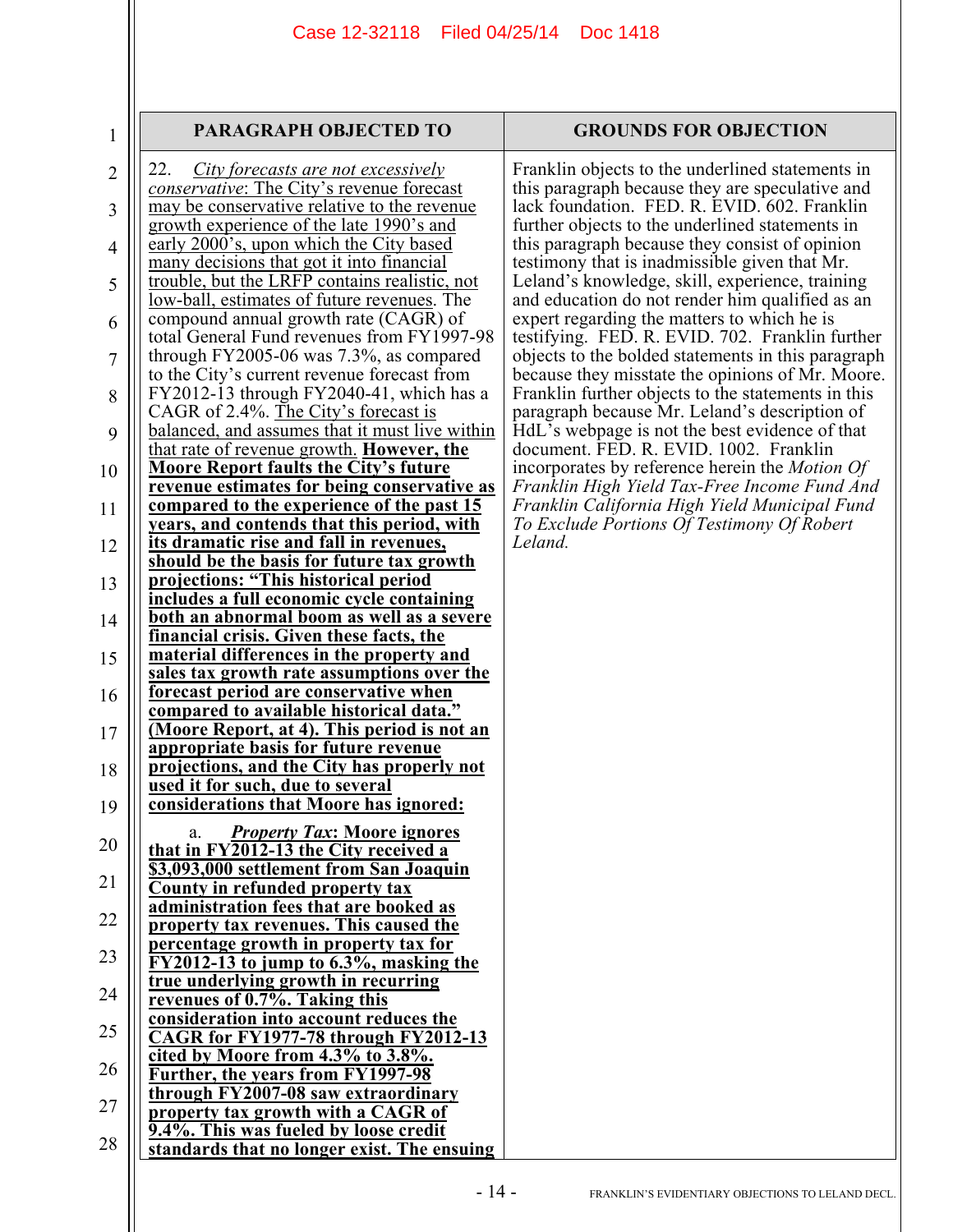#### **PARAGRAPH OBJECTED TO GROUNDS FOR OBJECTION**

1

| 2              | City forecasts are not excessively<br>22.                                                  | $\Gamma$                        |
|----------------|--------------------------------------------------------------------------------------------|---------------------------------|
|                | conservative: The City's revenue forecast                                                  | th                              |
| 3              | may be conservative relative to the revenue                                                | la                              |
|                | growth experience of the late 1990's and                                                   | fi                              |
| $\overline{4}$ | early 2000's, upon which the City based                                                    | th                              |
|                | many decisions that got it into financial                                                  | te                              |
| 5              | trouble, but the LRFP contains realistic, not                                              | L                               |
|                | low-ball, estimates of future revenues. The                                                | ai                              |
| 6              | compound annual growth rate (CAGR) of                                                      | $\mathbf{e}$                    |
|                | total General Fund revenues from FY1997-98<br>through FY2005-06 was $7.3\%$ , as compared  | te<br>$\mathbf{0}^{\mathsf{l}}$ |
| $\overline{7}$ | to the City's current revenue forecast from                                                | b٥                              |
|                | FY2012-13 through FY2040-41, which has a                                                   | $\Gamma$                        |
| 8              | CAGR of 2.4%. The City's forecast is                                                       | p                               |
| 9              | balanced, and assumes that it must live within                                             | Ħ                               |
|                | that rate of revenue growth. However, the                                                  | d                               |
| 10             | <b>Moore Report faults the City's future</b>                                               | ir.                             |
|                | <u>revenue estimates for being conservative as</u>                                         | F                               |
| 11             | <u>compared to the experience of the past 15</u>                                           | $\overline{F}$                  |
|                | years, and contends that this period, with                                                 | $\overline{T}$                  |
| 12             | its dramatic rise and fall in revenues,                                                    | L                               |
|                | should be the basis for future tax growth                                                  |                                 |
| 13             | projections: "This historical period                                                       |                                 |
|                | includes a full economic cycle containing                                                  |                                 |
| 14             | <u>both an abnormal boom as well as a severe</u>                                           |                                 |
|                | financial crisis. Given these facts, the                                                   |                                 |
| 15             | <u>material differences in the property and</u>                                            |                                 |
|                | <u>sales tax growth rate assumptions over the</u><br>forecast period are conservative when |                                 |
| 16             | compared to available historical data."                                                    |                                 |
| 17             | (Moore Report, at 4). This period is not an                                                |                                 |
|                | appropriate basis for future revenue                                                       |                                 |
| 18             | projections, and the City has properly not                                                 |                                 |
|                | <u>used it for such, due to several</u>                                                    |                                 |
| 19             | considerations that Moore has ignored:                                                     |                                 |
|                | <b>Property Tax: Moore ignores</b><br>a.                                                   |                                 |
| 20             | that in FY2012-13 the City received a                                                      |                                 |
|                | \$3,093,000 settlement from San Joaquin                                                    |                                 |
| 21             | <b>County in refunded property tax</b>                                                     |                                 |
|                | administration fees that are booked as                                                     |                                 |
| 22             | property tax revenues. This caused the                                                     |                                 |
| 23             | percentage growth in property tax for                                                      |                                 |
|                | $FY2012-13$ to jump to $6.3\%$ , masking the                                               |                                 |
| 24             | true underlying growth in recurring                                                        |                                 |
|                | revenues of 0.7%. Taking this<br>consideration into account reduces the                    |                                 |
| 25             | <b>CAGR</b> for FY1977-78 through FY2012-13                                                |                                 |
|                | cited by Moore from $4.3\%$ to $3.8\%$ .                                                   |                                 |
| 26             | <b>Further, the years from FY1997-98</b>                                                   |                                 |
|                | through FY2007-08 saw extraordinary                                                        |                                 |
| 27             | property tax growth with a CAGR of                                                         |                                 |
|                | 9.4%. This was fueled by loose credit                                                      |                                 |
| 28             | standards that no longer exist. The ensuing                                                |                                 |
|                |                                                                                            |                                 |

ranklin objects to the underlined statements in his paragraph because they are speculative and lack foundation. FED. R. EVID. 602. Franklin further objects to the underlined statements in his paragraph because they consist of opinion estimony that is inadmissible given that Mr. Leland's knowledge, skill, experience, training and education do not render him qualified as an expert regarding the matters to which he is estifying. FED. R. EVID. 702. Franklin further bjects to the bolded statements in this paragraph because they misstate the opinions of Mr. Moore. ranklin further objects to the statements in this paragraph because Mr. Leland's description of IdL's webpage is not the best evidence of that document. FED. R. EVID. 1002. Franklin incorporates by reference herein the *Motion Of Franklin High Yield Tax-Free Income Fund And Franklin California High Yield Municipal Fund To Exclude Portions Of Testimony Of Robert Leland.*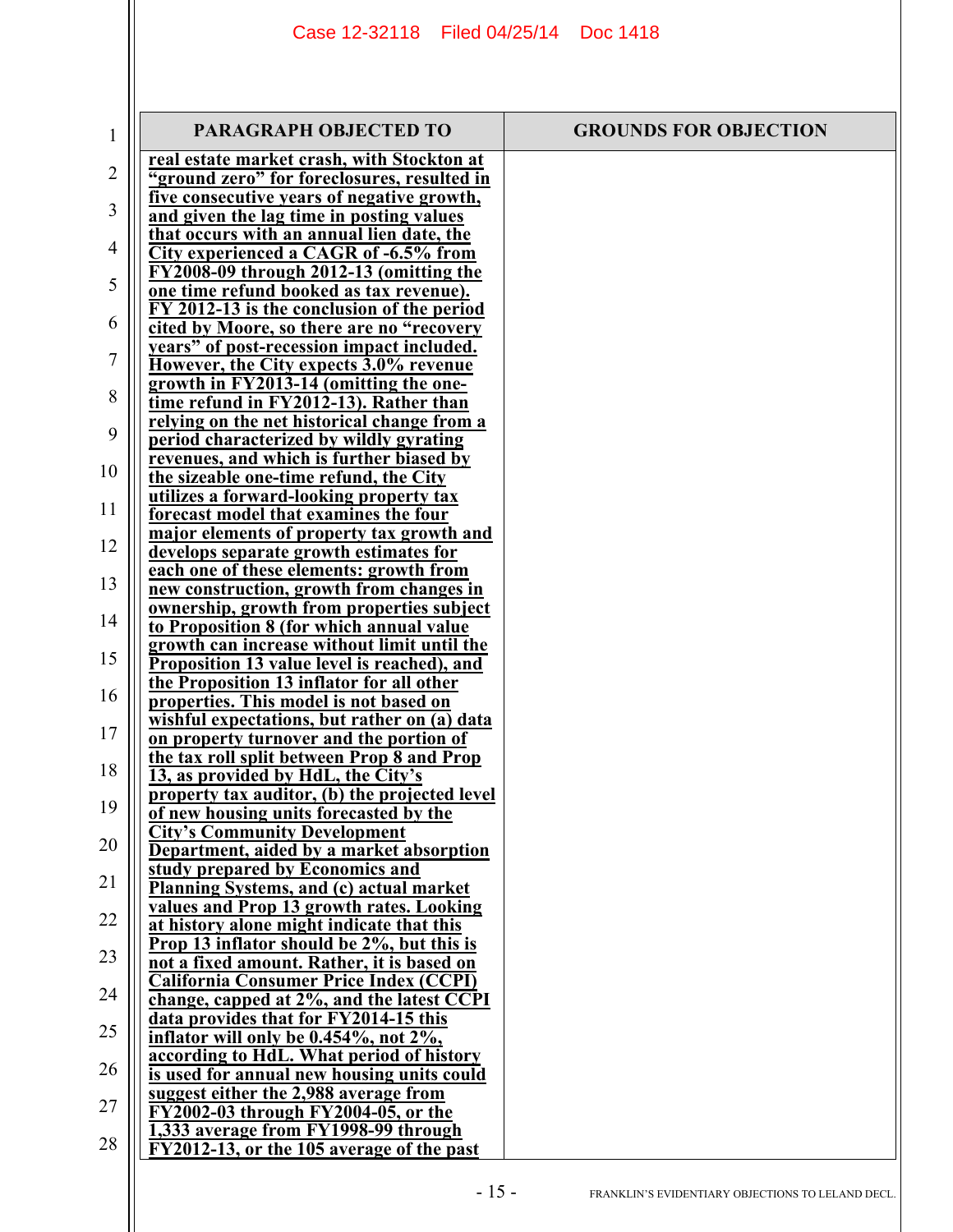| 1              | PARAGRAPH OBJECTED TO                                                                         | <b>GROUNDS FOR OBJECTION</b> |
|----------------|-----------------------------------------------------------------------------------------------|------------------------------|
| $\overline{2}$ | real estate market crash, with Stockton at<br>"ground zero" for foreclosures, resulted in     |                              |
| 3              | <u>five consecutive years of negative growth,</u>                                             |                              |
|                | and given the lag time in posting values<br>that occurs with an annual lien date, the         |                              |
| 4              | City experienced a CAGR of -6.5% from                                                         |                              |
| 5              | FY2008-09 through 2012-13 (omitting the<br>one time refund booked as tax revenue).            |                              |
| 6              | FY 2012-13 is the conclusion of the period                                                    |                              |
|                | cited by Moore, so there are no "recovery<br><u>years" of post-recession impact included.</u> |                              |
| 7              | However, the City expects 3.0% revenue                                                        |                              |
| 8              | growth in FY2013-14 (omitting the one-<br>time refund in FY2012-13). Rather than              |                              |
| 9              | relying on the net historical change from a                                                   |                              |
|                | period characterized by wildly gyrating<br>revenues, and which is further biased by           |                              |
| 10             | the sizeable one-time refund, the City                                                        |                              |
| 11             | utilizes a forward-looking property tax<br>forecast model that examines the four              |                              |
| 12             | major elements of property tax growth and<br>develops separate growth estimates for           |                              |
|                | each one of these elements: growth from                                                       |                              |
| 13             | new construction, growth from changes in<br><u>ownership, growth from properties subject</u>  |                              |
| 14             | to Proposition 8 (for which annual value                                                      |                              |
| 15             | growth can increase without limit until the<br>Proposition 13 value level is reached), and    |                              |
| 16             | the Proposition 13 inflator for all other                                                     |                              |
|                | properties. This model is not based on<br>wishful expectations, but rather on (a) data        |                              |
| 17             | on property turnover and the portion of                                                       |                              |
| 18             | the tax roll split between Prop 8 and Prop<br>13, as provided by HdL, the City's              |                              |
| 19             | property tax auditor, (b) the projected level                                                 |                              |
|                | of new housing units forecasted by the<br><b>City's Community Development</b>                 |                              |
| 20             | Department, aided by a market absorption<br>study prepared by Economics and                   |                              |
| 21             | <b>Planning Systems, and (c) actual market</b>                                                |                              |
| 22             | values and Prop 13 growth rates. Looking<br>at history alone might indicate that this         |                              |
| 23             | Prop 13 inflator should be 2%, but this is                                                    |                              |
|                | not a fixed amount. Rather, it is based on<br><b>California Consumer Price Index (CCPI)</b>   |                              |
| 24             | change, capped at 2%, and the latest CCPI                                                     |                              |
| 25             | data provides that for FY2014-15 this<br>inflator will only be 0.454%, not 2%,                |                              |
| 26             | according to HdL. What period of history<br>is used for annual new housing units could        |                              |
|                | suggest either the 2,988 average from                                                         |                              |
| 27             | FY2002-03 through FY2004-05, or the<br>1,333 average from FY1998-99 through                   |                              |
| 28             | FY2012-13, or the 105 average of the past                                                     |                              |
|                |                                                                                               |                              |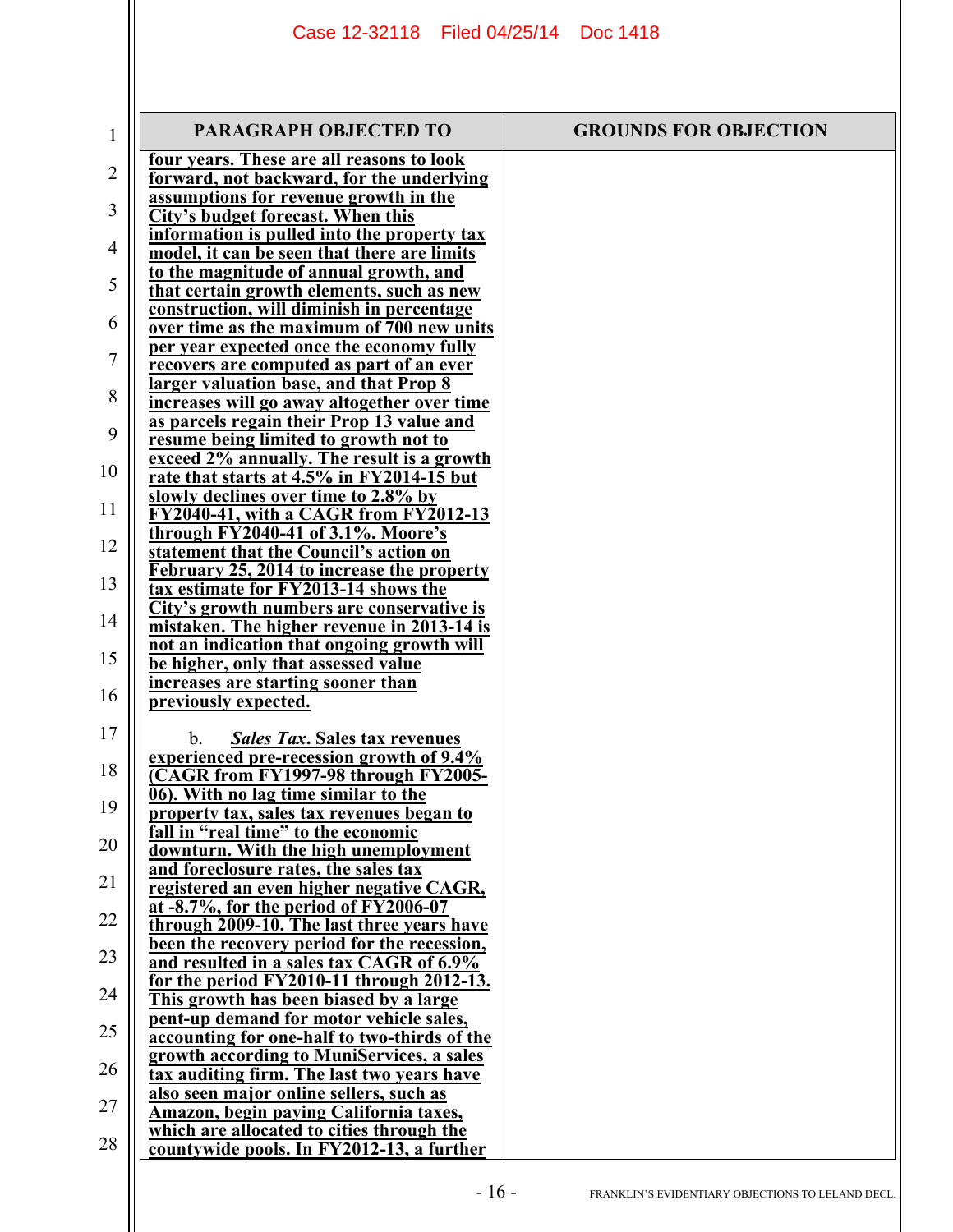| 1  | PARAGRAPH OBJECTED TO                                                                           | <b>GROUNDS FOR OBJECTION</b> |
|----|-------------------------------------------------------------------------------------------------|------------------------------|
| 2  | four years. These are all reasons to look<br>forward, not backward, for the underlying          |                              |
| 3  | assumptions for revenue growth in the<br><b>City's budget forecast. When this</b>               |                              |
| 4  | information is pulled into the property tax<br>model, it can be seen that there are limits      |                              |
| 5  | to the magnitude of annual growth, and<br>that certain growth elements, such as new             |                              |
| 6  | construction, will diminish in percentage<br>over time as the maximum of 700 new units          |                              |
| 7  | per year expected once the economy fully<br>recovers are computed as part of an ever            |                              |
| 8  | larger valuation base, and that Prop 8                                                          |                              |
| 9  | increases will go away altogether over time<br>as parcels regain their Prop 13 value and        |                              |
|    | resume being limited to growth not to<br>exceed 2% annually. The result is a growth             |                              |
| 10 | rate that starts at 4.5% in FY2014-15 but<br>slowly declines over time to 2.8% by               |                              |
| 11 | FY2040-41, with a CAGR from FY2012-13<br>through FY2040-41 of 3.1%. Moore's                     |                              |
| 12 | statement that the Council's action on<br>February 25, 2014 to increase the property            |                              |
| 13 | tax estimate for FY2013-14 shows the<br>City's growth numbers are conservative is               |                              |
| 14 | mistaken. The higher revenue in 2013-14 is<br>not an indication that ongoing growth will        |                              |
| 15 | be higher, only that assessed value                                                             |                              |
| 16 | increases are starting sooner than<br>previously expected.                                      |                              |
| 17 | <b>Sales Tax. Sales tax revenues</b><br>$b_{\perp}$<br>experienced pre-recession growth of 9.4% |                              |
| 18 | CAGR from FY1997-98 through FY2005-                                                             |                              |
| 19 | 06). With no lag time similar to the<br>property tax, sales tax revenues began to               |                              |
| 20 | fall in "real time" to the economic<br>downturn. With the high unemployment                     |                              |
| 21 | and foreclosure rates, the sales tax<br>registered an even higher negative CAGR,                |                              |
| 22 | at -8.7%, for the period of FY2006-07<br>through 2009-10. The last three years have             |                              |
| 23 | been the recovery period for the recession,<br>and resulted in a sales tax CAGR of 6.9%         |                              |
| 24 | for the period $FY2010-11$ through $2012-13$ .<br>This growth has been biased by a large        |                              |
| 25 | pent-up demand for motor vehicle sales,<br>accounting for one-half to two-thirds of the         |                              |
| 26 | growth according to MuniServices, a sales<br>tax auditing firm. The last two years have         |                              |
| 27 | also seen major online sellers, such as                                                         |                              |
| 28 | <u>Amazon, begin paying California taxes,</u><br>which are allocated to cities through the      |                              |
|    | countywide pools. In FY2012-13, a further                                                       |                              |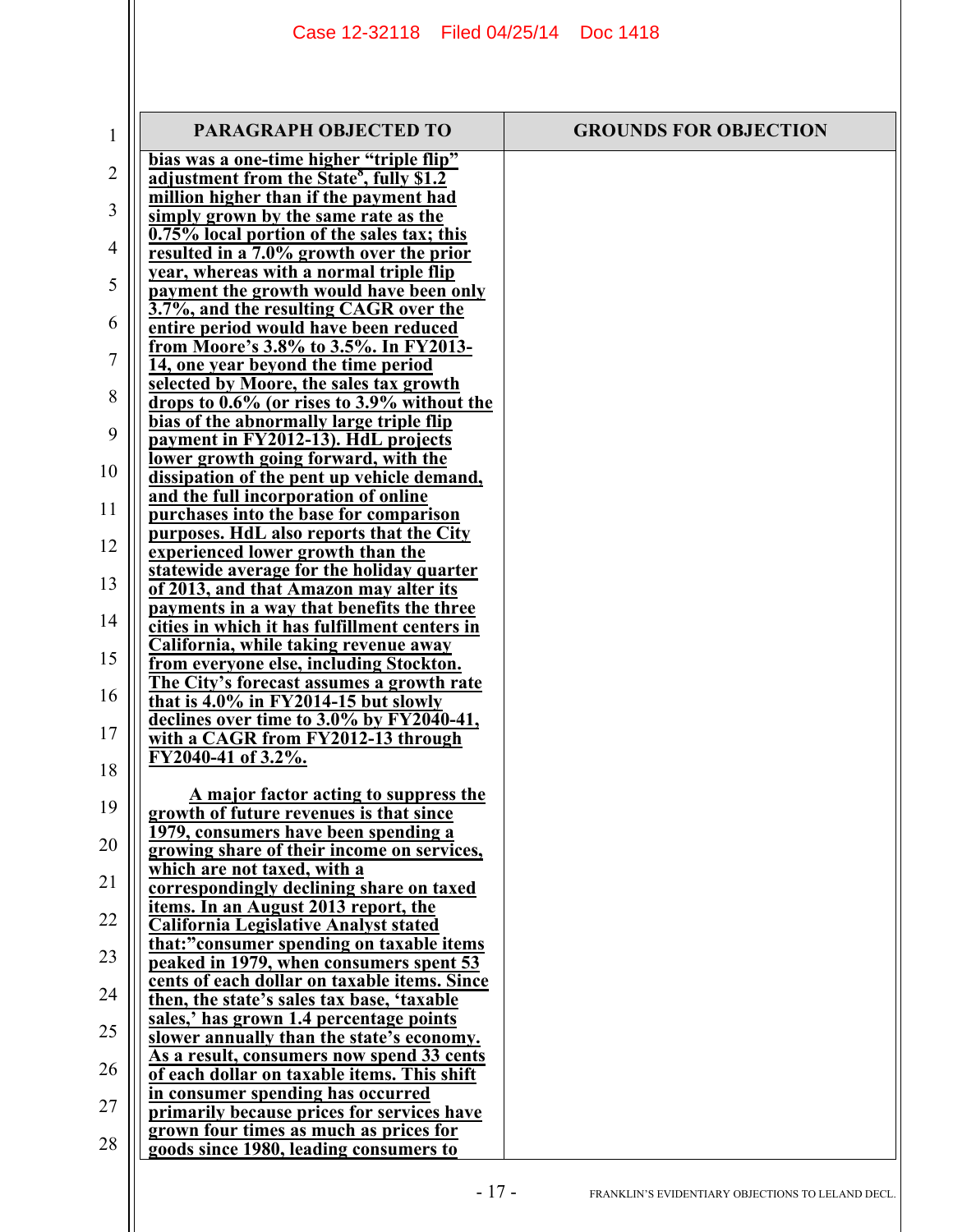| $\mathbf{1}$ | PARAGRAPH OBJECTED TO                                                                            | <b>GROUNDS FOR OBJECTION</b> |
|--------------|--------------------------------------------------------------------------------------------------|------------------------------|
| 2            | bias was a one-time higher "triple flip"<br>adjustment from the State <sup>8</sup> , fully \$1.2 |                              |
|              | million higher than if the payment had                                                           |                              |
| 3            | simply grown by the same rate as the                                                             |                              |
| 4            | 0.75% local portion of the sales tax; this<br>resulted in a 7.0% growth over the prior           |                              |
|              | year, whereas with a normal triple flip                                                          |                              |
| 5            | payment the growth would have been only<br>3.7%, and the resulting CAGR over the                 |                              |
| 6            | entire period would have been reduced                                                            |                              |
| 7            | from Moore's 3.8% to 3.5%. In FY2013-                                                            |                              |
|              | 14, one year beyond the time period<br>selected by Moore, the sales tax growth                   |                              |
| 8            | drops to 0.6% (or rises to 3.9% without the                                                      |                              |
| 9            | bias of the abnormally large triple flip                                                         |                              |
|              | payment in FY2012-13). HdL projects<br>lower growth going forward, with the                      |                              |
| 10           | dissipation of the pent up vehicle demand,                                                       |                              |
| 11           | and the full incorporation of online                                                             |                              |
|              | purchases into the base for comparison<br>purposes. HdL also reports that the City               |                              |
| 12           | experienced lower growth than the                                                                |                              |
| 13           | statewide average for the holiday quarter<br>of 2013, and that Amazon may alter its              |                              |
|              | payments in a way that benefits the three                                                        |                              |
| 14           | cities in which it has fulfillment centers in                                                    |                              |
| 15           | California, while taking revenue away<br>from everyone else, including Stockton.                 |                              |
|              | The City's forecast assumes a growth rate                                                        |                              |
| 16           | that is $4.0\%$ in FY2014-15 but slowly<br>declines over time to 3.0% by FY2040-41,              |                              |
| 17           | with a CAGR from FY2012-13 through                                                               |                              |
| 18           | FY2040-41 of 3.2%.                                                                               |                              |
|              | A major factor acting to suppress the                                                            |                              |
| 19           | growth of future revenues is that since                                                          |                              |
| 20           | <u>1979, consumers have been spending a</u><br>growing share of their income on services,        |                              |
|              | <u>which are not taxed, with a</u>                                                               |                              |
| 21           | correspondingly declining share on taxed                                                         |                              |
| 22           | <u>items. In an August 2013 report, the</u><br><b>California Legislative Analyst stated</b>      |                              |
| 23           | that:"consumer spending on taxable items                                                         |                              |
|              | peaked in 1979, when consumers spent 53<br>cents of each dollar on taxable items. Since          |                              |
| 24           | then, the state's sales tax base, 'taxable                                                       |                              |
| 25           | sales,' has grown 1.4 percentage points                                                          |                              |
|              | slower annually than the state's economy.<br>As a result, consumers now spend 33 cents           |                              |
| 26           | of each dollar on taxable items. This shift                                                      |                              |
| 27           | in consumer spending has occurred<br>primarily because prices for services have                  |                              |
|              | grown four times as much as prices for                                                           |                              |
| 28           | goods since 1980, leading consumers to                                                           |                              |
|              |                                                                                                  |                              |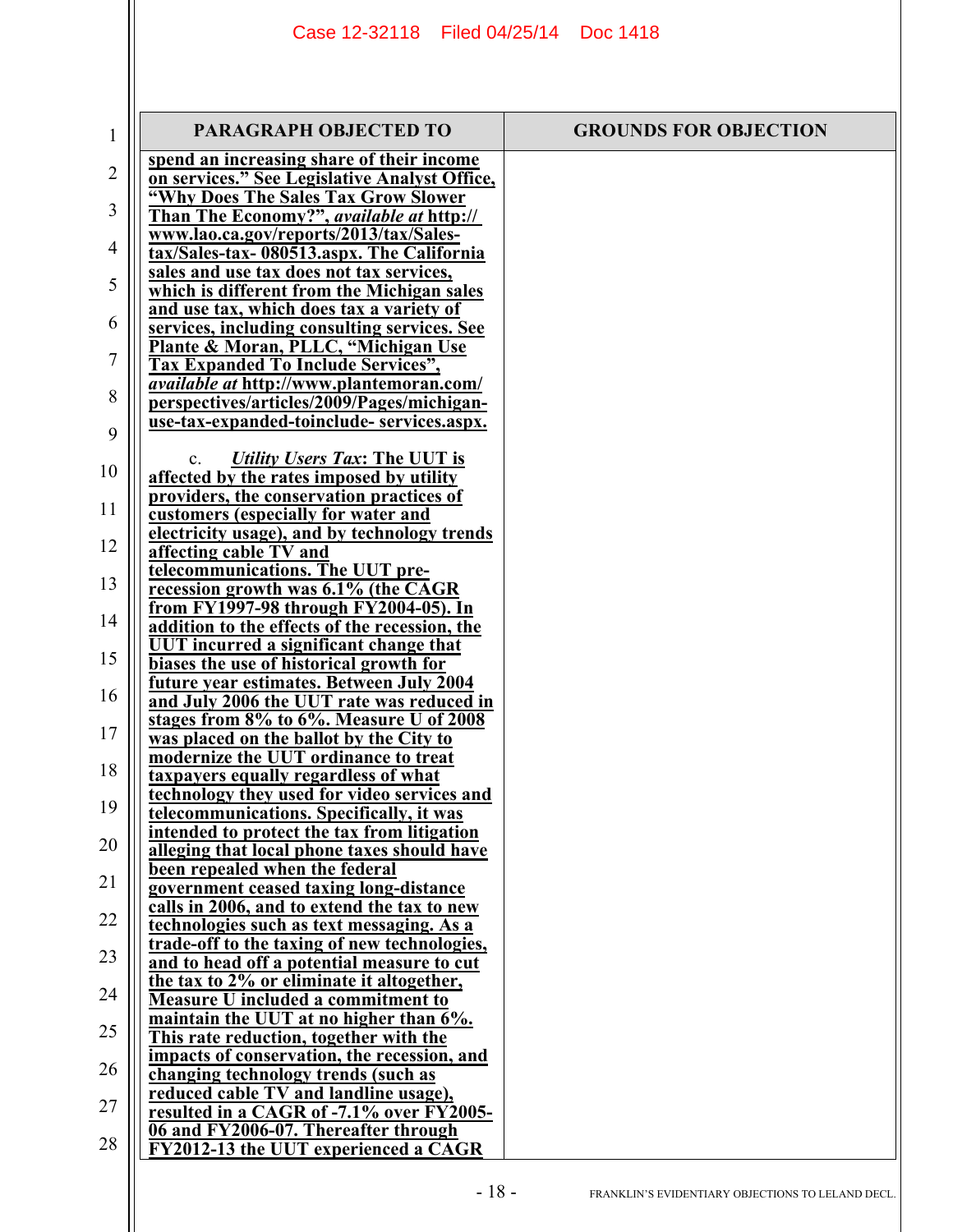| $\mathbf{1}$   | PARAGRAPH OBJECTED TO                                                                        | <b>GROUNDS FOR OBJECTION</b> |
|----------------|----------------------------------------------------------------------------------------------|------------------------------|
| $\overline{2}$ | spend an increasing share of their income                                                    |                              |
|                | on services." See Legislative Analyst Office,<br>"Why Does The Sales Tax Grow Slower         |                              |
| 3              | Than The Economy?", available at http://                                                     |                              |
|                | www.lao.ca.gov/reports/2013/tax/Sales-                                                       |                              |
| 4              | tax/Sales-tax-080513.aspx. The California                                                    |                              |
| 5              | sales and use tax does not tax services,<br>which is different from the Michigan sales       |                              |
|                | and use tax, which does tax a variety of                                                     |                              |
| 6              | services, including consulting services. See                                                 |                              |
| 7              | Plante & Moran, PLLC, "Michigan Use                                                          |                              |
|                | <b>Tax Expanded To Include Services",</b><br><i>available at http://www.plantemoran.com/</i> |                              |
| 8              | perspectives/articles/2009/Pages/michigan-                                                   |                              |
| 9              | use-tax-expanded-toinclude-services.aspx.                                                    |                              |
|                |                                                                                              |                              |
| 10             | Utility Users Tax: The UUT is<br>$\mathbf{c}$ .<br>affected by the rates imposed by utility  |                              |
|                | providers, the conservation practices of                                                     |                              |
| 11             | customers (especially for water and                                                          |                              |
| 12             | electricity usage), and by technology trends                                                 |                              |
|                | affecting cable TV and<br>telecommunications. The UUT pre-                                   |                              |
| 13             | recession growth was 6.1% (the CAGR                                                          |                              |
| 14             | from FY1997-98 through FY2004-05). In                                                        |                              |
|                | addition to the effects of the recession, the<br>UUT incurred a significant change that      |                              |
| 15             | biases the use of historical growth for                                                      |                              |
|                | future year estimates. Between July 2004                                                     |                              |
| 16             | and July 2006 the UUT rate was reduced in                                                    |                              |
| 17             | stages from 8% to 6%. Measure U of 2008<br>was placed on the ballot by the City to           |                              |
|                | modernize the UUT ordinance to treat                                                         |                              |
| 18             | taxpayers equally regardless of what                                                         |                              |
| 19             | technology they used for video services and<br>telecommunications. Specifically, it was      |                              |
|                | intended to protect the tax from litigation                                                  |                              |
| 20             | <u>alleging that local phone taxes should have</u>                                           |                              |
| 21             | been repealed when the federal<br>government ceased taxing long-distance                     |                              |
|                | calls in 2006, and to extend the tax to new                                                  |                              |
| 22             | technologies such as text messaging. As a                                                    |                              |
| 23             | <u>trade-off to the taxing of new technologies,</u>                                          |                              |
|                | and to head off a potential measure to cut<br>the tax to 2% or eliminate it altogether,      |                              |
| 24             | <b>Measure U included a commitment to</b>                                                    |                              |
| 25             | maintain the UUT at no higher than 6%.                                                       |                              |
|                | This rate reduction, together with the<br>impacts of conservation, the recession, and        |                              |
| 26             | changing technology trends (such as                                                          |                              |
|                | reduced cable TV and landline usage),                                                        |                              |
| 27             | resulted in a CAGR of -7.1% over FY2005-                                                     |                              |
| 28             | 06 and FY2006-07. Thereafter through<br>FY2012-13 the UUT experienced a CAGR                 |                              |
|                |                                                                                              |                              |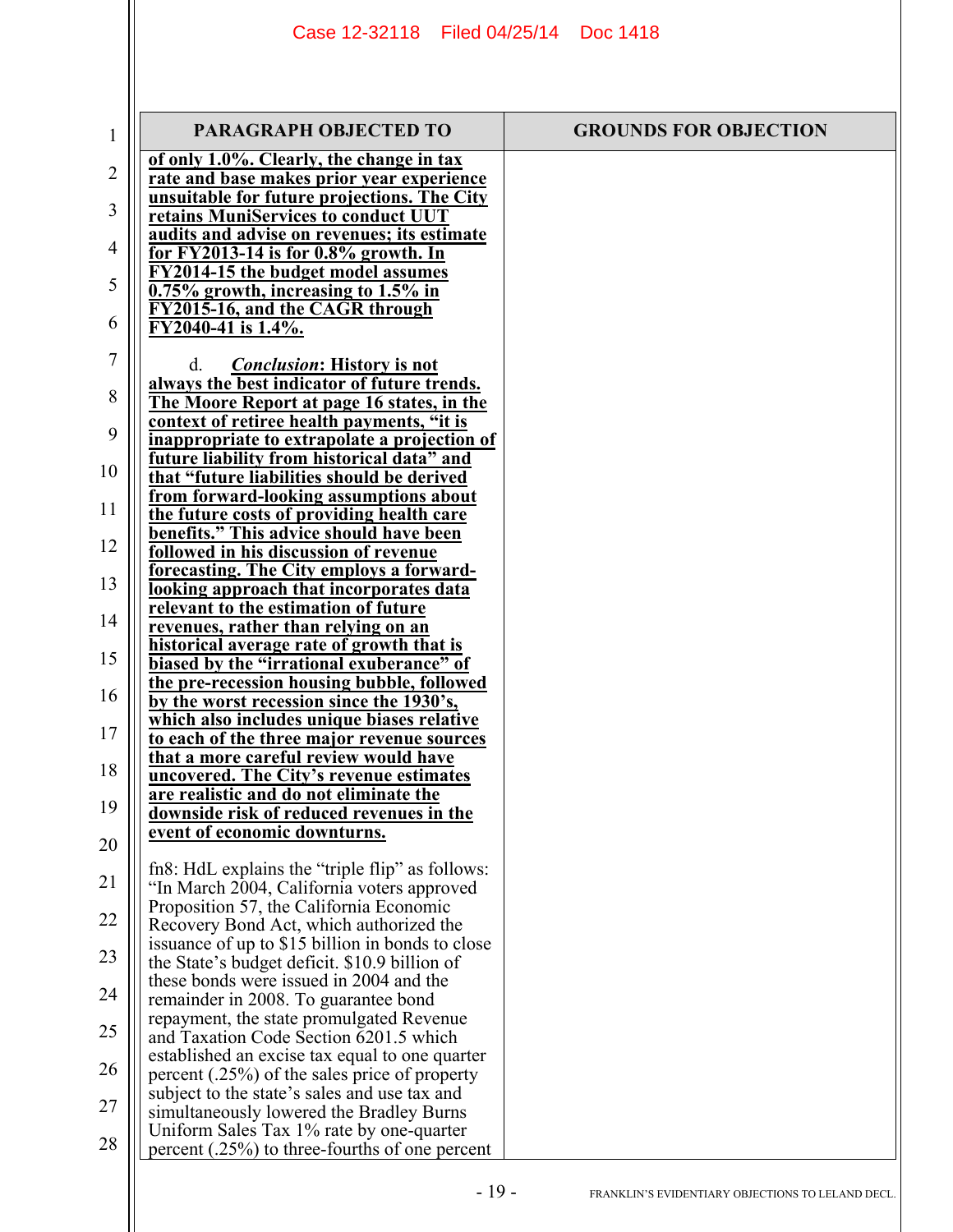| 1  | <b>PARAGRAPH OBJECTED TO</b>                                                                  | <b>GROUNDS FOR OBJECTION</b> |
|----|-----------------------------------------------------------------------------------------------|------------------------------|
| 2  | of only 1.0%. Clearly, the change in tax<br>rate and base makes prior year experience         |                              |
| 3  | unsuitable for future projections. The City<br>retains MuniServices to conduct UUT            |                              |
| 4  | audits and advise on revenues; its estimate                                                   |                              |
|    | <u>for FY2013-14 is for 0.8% growth. In</u><br><b>FY2014-15 the budget model assumes</b>      |                              |
| 5  | 0.75% growth, increasing to 1.5% in                                                           |                              |
| 6  | FY2015-16, and the CAGR through<br>FY2040-41 is 1.4%.                                         |                              |
| 7  | <i>Conclusion:</i> History is not<br>d.                                                       |                              |
| 8  | always the best indicator of future trends.<br>The Moore Report at page 16 states, in the     |                              |
| 9  | context of retiree health payments, "it is                                                    |                              |
|    | inappropriate to extrapolate a projection of<br>future liability from historical data" and    |                              |
| 10 | that "future liabilities should be derived                                                    |                              |
| 11 | from forward-looking assumptions about<br>the future costs of providing health care           |                              |
| 12 | benefits." This advice should have been                                                       |                              |
|    | followed in his discussion of revenue<br>forecasting. The City employs a forward-             |                              |
| 13 | looking approach that incorporates data                                                       |                              |
| 14 | relevant to the estimation of future<br>revenues, rather than relying on an                   |                              |
| 15 | historical average rate of growth that is                                                     |                              |
|    | biased by the "irrational exuberance" of<br>the pre-recession housing bubble, followed        |                              |
| 16 | by the worst recession since the 1930's,<br>which also includes unique biases relative        |                              |
| 17 | to each of the three major revenue sources                                                    |                              |
| 18 | that a more careful review would have<br>uncovered. The City's revenue estimates              |                              |
|    | are realistic and do not eliminate the                                                        |                              |
| 19 | downside risk of reduced revenues in the<br>event of economic downturns.                      |                              |
| 20 |                                                                                               |                              |
| 21 | fn8: HdL explains the "triple flip" as follows:<br>"In March 2004, California voters approved |                              |
| 22 | Proposition 57, the California Economic                                                       |                              |
|    | Recovery Bond Act, which authorized the<br>issuance of up to \$15 billion in bonds to close   |                              |
| 23 | the State's budget deficit. \$10.9 billion of                                                 |                              |
| 24 | these bonds were issued in 2004 and the<br>remainder in 2008. To guarantee bond               |                              |
| 25 | repayment, the state promulgated Revenue                                                      |                              |
|    | and Taxation Code Section 6201.5 which<br>established an excise tax equal to one quarter      |                              |
| 26 | percent $(.25%)$ of the sales price of property                                               |                              |
| 27 | subject to the state's sales and use tax and<br>simultaneously lowered the Bradley Burns      |                              |
| 28 | Uniform Sales Tax 1% rate by one-quarter                                                      |                              |
|    | percent $(.25%)$ to three-fourths of one percent                                              |                              |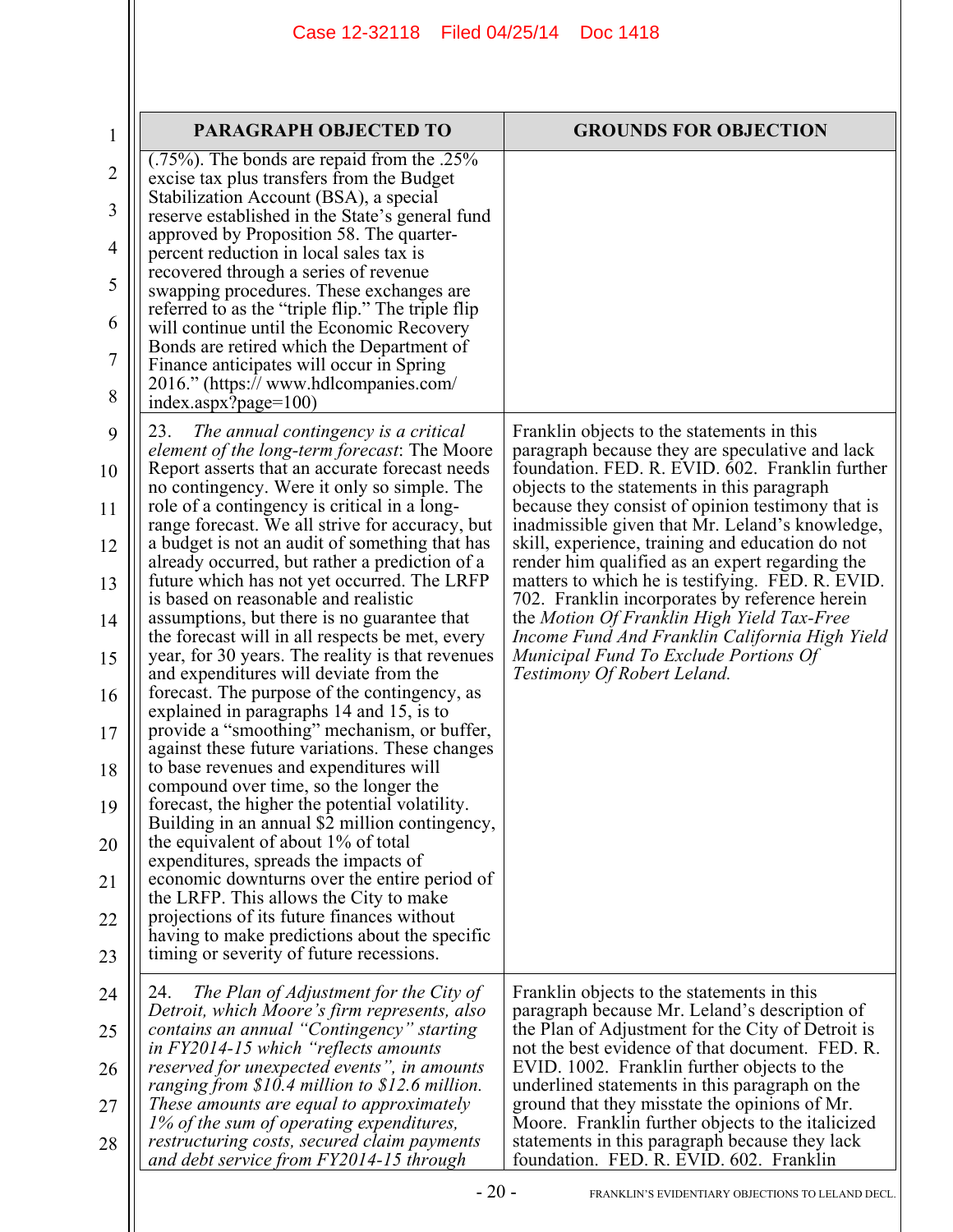|                | <b>PARAGRAPH OBJECTED TO</b>                                                                                                       | <b>GROUNDS FOR OBJECTION</b>                                                                                                                   |
|----------------|------------------------------------------------------------------------------------------------------------------------------------|------------------------------------------------------------------------------------------------------------------------------------------------|
| 1              | $(.75\%)$ . The bonds are repaid from the .25%                                                                                     |                                                                                                                                                |
| $\overline{2}$ | excise tax plus transfers from the Budget<br>Stabilization Account (BSA), a special                                                |                                                                                                                                                |
| 3              | reserve established in the State's general fund<br>approved by Proposition 58. The quarter-                                        |                                                                                                                                                |
| $\overline{4}$ | percent reduction in local sales tax is<br>recovered through a series of revenue                                                   |                                                                                                                                                |
| 5              | swapping procedures. These exchanges are<br>referred to as the "triple flip." The triple flip                                      |                                                                                                                                                |
| 6              | will continue until the Economic Recovery<br>Bonds are retired which the Department of                                             |                                                                                                                                                |
| 7              | Finance anticipates will occur in Spring                                                                                           |                                                                                                                                                |
| 8              | 2016." (https:// www.hdlcompanies.com/<br>index.aspx?page=100)                                                                     |                                                                                                                                                |
| 9              | 23.<br>The annual contingency is a critical<br>element of the long-term forecast: The Moore                                        | Franklin objects to the statements in this<br>paragraph because they are speculative and lack                                                  |
| 10             | Report asserts that an accurate forecast needs<br>no contingency. Were it only so simple. The                                      | foundation. FED. R. EVID. 602. Franklin further<br>objects to the statements in this paragraph                                                 |
| 11             | role of a contingency is critical in a long-<br>range forecast. We all strive for accuracy, but                                    | because they consist of opinion testimony that is<br>inadmissible given that Mr. Leland's knowledge,                                           |
| 12             | a budget is not an audit of something that has<br>already occurred, but rather a prediction of a                                   | skill, experience, training and education do not<br>render him qualified as an expert regarding the                                            |
| 13             | future which has not yet occurred. The LRFP<br>is based on reasonable and realistic                                                | matters to which he is testifying. FED. R. EVID.<br>702. Franklin incorporates by reference herein                                             |
| 14             | assumptions, but there is no guarantee that<br>the forecast will in all respects be met, every                                     | the Motion Of Franklin High Yield Tax-Free<br>Income Fund And Franklin California High Yield                                                   |
| 15             | year, for 30 years. The reality is that revenues<br>and expenditures will deviate from the                                         | Municipal Fund To Exclude Portions Of<br>Testimony Of Robert Leland.                                                                           |
| 16             | forecast. The purpose of the contingency, as<br>explained in paragraphs 14 and 15, is to                                           |                                                                                                                                                |
| 17             | provide a "smoothing" mechanism, or buffer,<br>against these future variations. These changes                                      |                                                                                                                                                |
| 18             | to base revenues and expenditures will<br>compound over time, so the longer the                                                    |                                                                                                                                                |
| 19             | forecast, the higher the potential volatility.<br>Building in an annual \$2 million contingency,                                   |                                                                                                                                                |
| 20             | the equivalent of about 1% of total<br>expenditures, spreads the impacts of                                                        |                                                                                                                                                |
| 21             | economic downturns over the entire period of<br>the LRFP. This allows the City to make                                             |                                                                                                                                                |
| 22             | projections of its future finances without                                                                                         |                                                                                                                                                |
| 23             | having to make predictions about the specific<br>timing or severity of future recessions.                                          |                                                                                                                                                |
| 24             | 24.<br>The Plan of Adjustment for the City of                                                                                      | Franklin objects to the statements in this                                                                                                     |
| 25             | Detroit, which Moore's firm represents, also<br>contains an annual "Contingency" starting                                          | paragraph because Mr. Leland's description of<br>the Plan of Adjustment for the City of Detroit is                                             |
| 26             | in FY2014-15 which "reflects amounts"<br>reserved for unexpected events", in amounts                                               | not the best evidence of that document. FED. R.<br>EVID. 1002. Franklin further objects to the                                                 |
| 27             | ranging from \$10.4 million to \$12.6 million.<br>These amounts are equal to approximately                                         | underlined statements in this paragraph on the<br>ground that they misstate the opinions of Mr.                                                |
| 28             | 1% of the sum of operating expenditures,<br>restructuring costs, secured claim payments<br>and debt service from FY2014-15 through | Moore. Franklin further objects to the italicized<br>statements in this paragraph because they lack<br>foundation. FED. R. EVID. 602. Franklin |
|                | $-20-$                                                                                                                             | FRANKLIN'S EVIDENTIARY OBJECTIONS TO LELAND DECL.                                                                                              |

 $\parallel$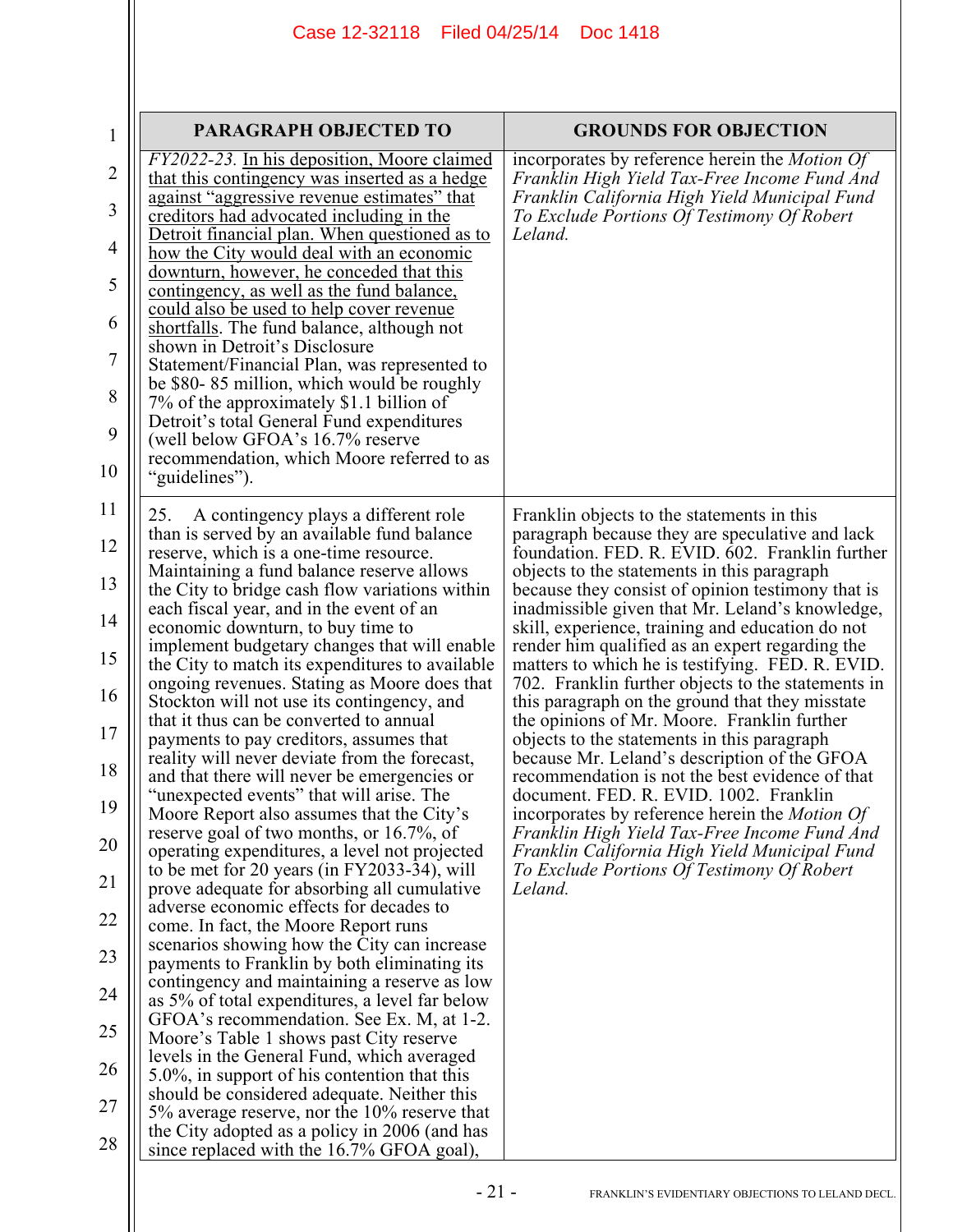| $\mathbf{1}$                                                                                             | PARAGRAPH OBJECTED TO                                                                                                                                                                                                                                                                                                                                                                                                                                                                                                                                                                                                                                                                                                                                                                                                                                                                                                                                                                                                                                                                                                                                                                                                                                                                                                                                                                                                                                                                                                                                                                                                                                                      | <b>GROUNDS FOR OBJECTION</b>                                                                                                                                                                                                                                                                                                                                                                                                                                                                                                                                                                                                                                                                                                                                                                                                                                                                                                                                                                                                              |
|----------------------------------------------------------------------------------------------------------|----------------------------------------------------------------------------------------------------------------------------------------------------------------------------------------------------------------------------------------------------------------------------------------------------------------------------------------------------------------------------------------------------------------------------------------------------------------------------------------------------------------------------------------------------------------------------------------------------------------------------------------------------------------------------------------------------------------------------------------------------------------------------------------------------------------------------------------------------------------------------------------------------------------------------------------------------------------------------------------------------------------------------------------------------------------------------------------------------------------------------------------------------------------------------------------------------------------------------------------------------------------------------------------------------------------------------------------------------------------------------------------------------------------------------------------------------------------------------------------------------------------------------------------------------------------------------------------------------------------------------------------------------------------------------|-------------------------------------------------------------------------------------------------------------------------------------------------------------------------------------------------------------------------------------------------------------------------------------------------------------------------------------------------------------------------------------------------------------------------------------------------------------------------------------------------------------------------------------------------------------------------------------------------------------------------------------------------------------------------------------------------------------------------------------------------------------------------------------------------------------------------------------------------------------------------------------------------------------------------------------------------------------------------------------------------------------------------------------------|
| $\overline{2}$<br>3<br>4<br>5<br>6<br>7<br>8<br>9<br>10                                                  | <i>FY2022-23.</i> In his deposition, Moore claimed<br>that this contingency was inserted as a hedge<br>against "aggressive revenue estimates" that<br>creditors had advocated including in the<br>Detroit financial plan. When questioned as to<br>how the City would deal with an economic<br>downturn, however, he conceded that this<br>contingency, as well as the fund balance,<br>could also be used to help cover revenue<br>shortfalls. The fund balance, although not<br>shown in Detroit's Disclosure<br>Statement/Financial Plan, was represented to<br>be \$80-85 million, which would be roughly<br>7% of the approximately \$1.1 billion of<br>Detroit's total General Fund expenditures<br>(well below GFOA's 16.7% reserve<br>recommendation, which Moore referred to as<br>"guidelines").                                                                                                                                                                                                                                                                                                                                                                                                                                                                                                                                                                                                                                                                                                                                                                                                                                                                 | incorporates by reference herein the <i>Motion Of</i><br>Franklin High Yield Tax-Free Income Fund And<br>Franklin California High Yield Municipal Fund<br>To Exclude Portions Of Testimony Of Robert<br>Leland.                                                                                                                                                                                                                                                                                                                                                                                                                                                                                                                                                                                                                                                                                                                                                                                                                           |
| 11<br>12<br>13<br>14<br>15<br>16<br>17<br>18<br>19<br>20<br>21<br>22<br>23<br>24<br>25<br>26<br>27<br>28 | A contingency plays a different role<br>25.<br>than is served by an available fund balance<br>reserve, which is a one-time resource.<br>Maintaining a fund balance reserve allows<br>the City to bridge cash flow variations within<br>each fiscal year, and in the event of an<br>economic downturn, to buy time to<br>implement budgetary changes that will enable<br>the City to match its expenditures to available<br>ongoing revenues. Stating as Moore does that<br>Stockton will not use its contingency, and<br>that it thus can be converted to annual<br>payments to pay creditors, assumes that<br>reality will never deviate from the forecast,<br>and that there will never be emergencies or<br>"unexpected events" that will arise. The<br>Moore Report also assumes that the City's<br>reserve goal of two months, or 16.7%, of<br>operating expenditures, a level not projected<br>to be met for 20 years (in FY2033-34), will<br>prove adequate for absorbing all cumulative<br>adverse economic effects for decades to<br>come. In fact, the Moore Report runs<br>scenarios showing how the City can increase<br>payments to Franklin by both eliminating its<br>contingency and maintaining a reserve as low<br>as 5% of total expenditures, a level far below<br>GFOA's recommendation. See Ex. M, at 1-2.<br>Moore's Table 1 shows past City reserve<br>levels in the General Fund, which averaged<br>$5.0\%$ , in support of his contention that this<br>should be considered adequate. Neither this<br>5% average reserve, nor the 10% reserve that<br>the City adopted as a policy in 2006 (and has<br>since replaced with the 16.7% GFOA goal), | Franklin objects to the statements in this<br>paragraph because they are speculative and lack<br>foundation. FED. R. EVID. 602. Franklin further<br>objects to the statements in this paragraph<br>because they consist of opinion testimony that is<br>inadmissible given that Mr. Leland's knowledge,<br>skill, experience, training and education do not<br>render him qualified as an expert regarding the<br>matters to which he is testifying. FED. R. EVID.<br>702. Franklin further objects to the statements in<br>this paragraph on the ground that they misstate<br>the opinions of Mr. Moore. Franklin further<br>objects to the statements in this paragraph<br>because Mr. Leland's description of the GFOA<br>recommendation is not the best evidence of that<br>document. FED. R. EVID. 1002. Franklin<br>incorporates by reference herein the <i>Motion Of</i><br>Franklin High Yield Tax-Free Income Fund And<br>Franklin California High Yield Municipal Fund<br>To Exclude Portions Of Testimony Of Robert<br>Leland. |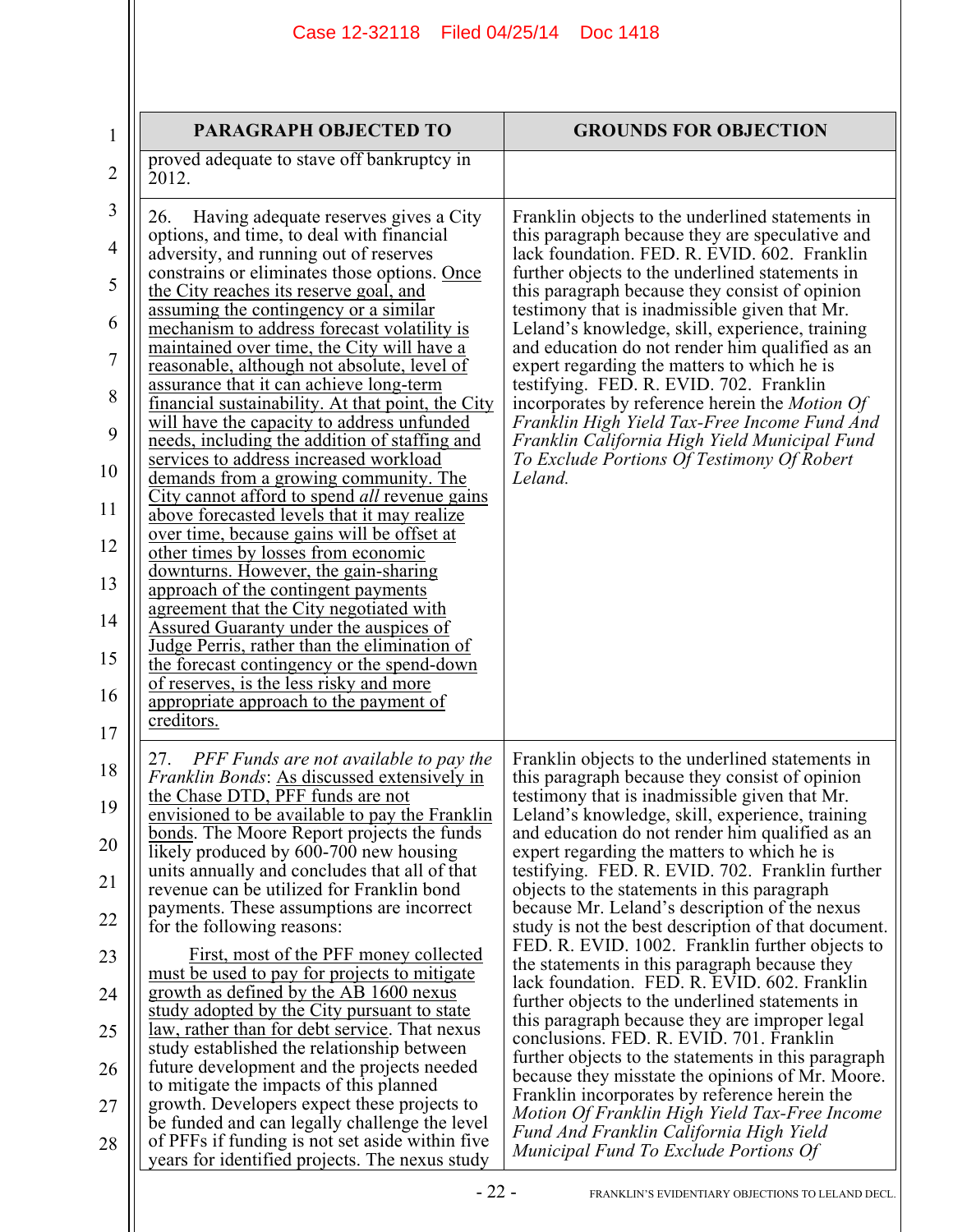| $\mathbf 1$    | <b>PARAGRAPH OBJECTED TO</b>                                                                                                                                                                                                  | <b>GROUNDS FOR OBJECTION</b>                                                                                                                                                                                                                             |
|----------------|-------------------------------------------------------------------------------------------------------------------------------------------------------------------------------------------------------------------------------|----------------------------------------------------------------------------------------------------------------------------------------------------------------------------------------------------------------------------------------------------------|
| $\overline{2}$ | proved adequate to stave off bankruptcy in<br>2012.                                                                                                                                                                           |                                                                                                                                                                                                                                                          |
| 3<br>4<br>5    | 26.<br>Having adequate reserves gives a City<br>options, and time, to deal with financial<br>adversity, and running out of reserves<br>constrains or eliminates those options. Once<br>the City reaches its reserve goal, and | Franklin objects to the underlined statements in<br>this paragraph because they are speculative and<br>lack foundation. FED. R. EVID. 602. Franklin<br>further objects to the underlined statements in<br>this paragraph because they consist of opinion |
| 6              | assuming the contingency or a similar<br>mechanism to address forecast volatility is                                                                                                                                          | testimony that is inadmissible given that Mr.<br>Leland's knowledge, skill, experience, training                                                                                                                                                         |
| $\overline{7}$ | maintained over time, the City will have a<br>reasonable, although not absolute, level of                                                                                                                                     | and education do not render him qualified as an<br>expert regarding the matters to which he is                                                                                                                                                           |
| 8              | assurance that it can achieve long-term<br>financial sustainability. At that point, the City<br>will have the capacity to address unfunded                                                                                    | testifying. FED. R. EVID. 702. Franklin<br>incorporates by reference herein the <i>Motion Of</i><br>Franklin High Yield Tax-Free Income Fund And                                                                                                         |
| 9              | needs, including the addition of staffing and<br>services to address increased workload                                                                                                                                       | Franklin California High Yield Municipal Fund<br>To Exclude Portions Of Testimony Of Robert                                                                                                                                                              |
| 10<br>11       | demands from a growing community. The<br>City cannot afford to spend all revenue gains<br>above forecasted levels that it may realize                                                                                         | Leland.                                                                                                                                                                                                                                                  |
| 12             | over time, because gains will be offset at<br>other times by losses from economic                                                                                                                                             |                                                                                                                                                                                                                                                          |
| 13             | downturns. However, the gain-sharing<br>approach of the contingent payments                                                                                                                                                   |                                                                                                                                                                                                                                                          |
| 14             | agreement that the City negotiated with<br><b>Assured Guaranty under the auspices of</b>                                                                                                                                      |                                                                                                                                                                                                                                                          |
| 15             | Judge Perris, rather than the elimination of<br>the forecast contingency or the spend-down<br>of reserves, is the less risky and more                                                                                         |                                                                                                                                                                                                                                                          |
| 16<br>17       | appropriate approach to the payment of<br>creditors.                                                                                                                                                                          |                                                                                                                                                                                                                                                          |
| 18             | PFF Funds are not available to pay the<br>27.                                                                                                                                                                                 | Franklin objects to the underlined statements in                                                                                                                                                                                                         |
| 19             | <i>Franklin Bonds:</i> As discussed extensively in<br>the Chase DTD. PFF funds are not<br><u>envisioned to be available to pay the Franklin</u>                                                                               | this paragraph because they consist of opinion<br>testimony that is inadmissible given that Mr.<br>Leland's knowledge, skill, experience, training                                                                                                       |
| 20             | <u>bonds</u> . The Moore Report projects the funds<br>likely produced by 600-700 new housing                                                                                                                                  | and education do not render him qualified as an<br>expert regarding the matters to which he is                                                                                                                                                           |
| 21             | units annually and concludes that all of that<br>revenue can be utilized for Franklin bond                                                                                                                                    | testifying. FED. R. EVID. 702. Franklin further<br>objects to the statements in this paragraph                                                                                                                                                           |
| 22             | payments. These assumptions are incorrect<br>for the following reasons:                                                                                                                                                       | because Mr. Leland's description of the nexus<br>study is not the best description of that document.                                                                                                                                                     |
| 23             | First, most of the PFF money collected<br>must be used to pay for projects to mitigate                                                                                                                                        | FED. R. EVID. 1002. Franklin further objects to<br>the statements in this paragraph because they<br>lack foundation. FED. R. EVID. 602. Franklin                                                                                                         |
| 24             | growth as defined by the AB 1600 nexus<br>study adopted by the City pursuant to state                                                                                                                                         | further objects to the underlined statements in<br>this paragraph because they are improper legal                                                                                                                                                        |
| 25             | <u>law, rather than for debt service</u> . That nexus<br>study established the relationship between                                                                                                                           | conclusions. FED. R. EVID. 701. Franklin<br>further objects to the statements in this paragraph                                                                                                                                                          |
| 26             | future development and the projects needed<br>to mitigate the impacts of this planned                                                                                                                                         | because they misstate the opinions of Mr. Moore.<br>Franklin incorporates by reference herein the                                                                                                                                                        |
| 27<br>28       | growth. Developers expect these projects to<br>be funded and can legally challenge the level<br>of PFFs if funding is not set aside within five                                                                               | Motion Of Franklin High Yield Tax-Free Income<br>Fund And Franklin California High Yield                                                                                                                                                                 |
|                | years for identified projects. The nexus study                                                                                                                                                                                | Municipal Fund To Exclude Portions Of                                                                                                                                                                                                                    |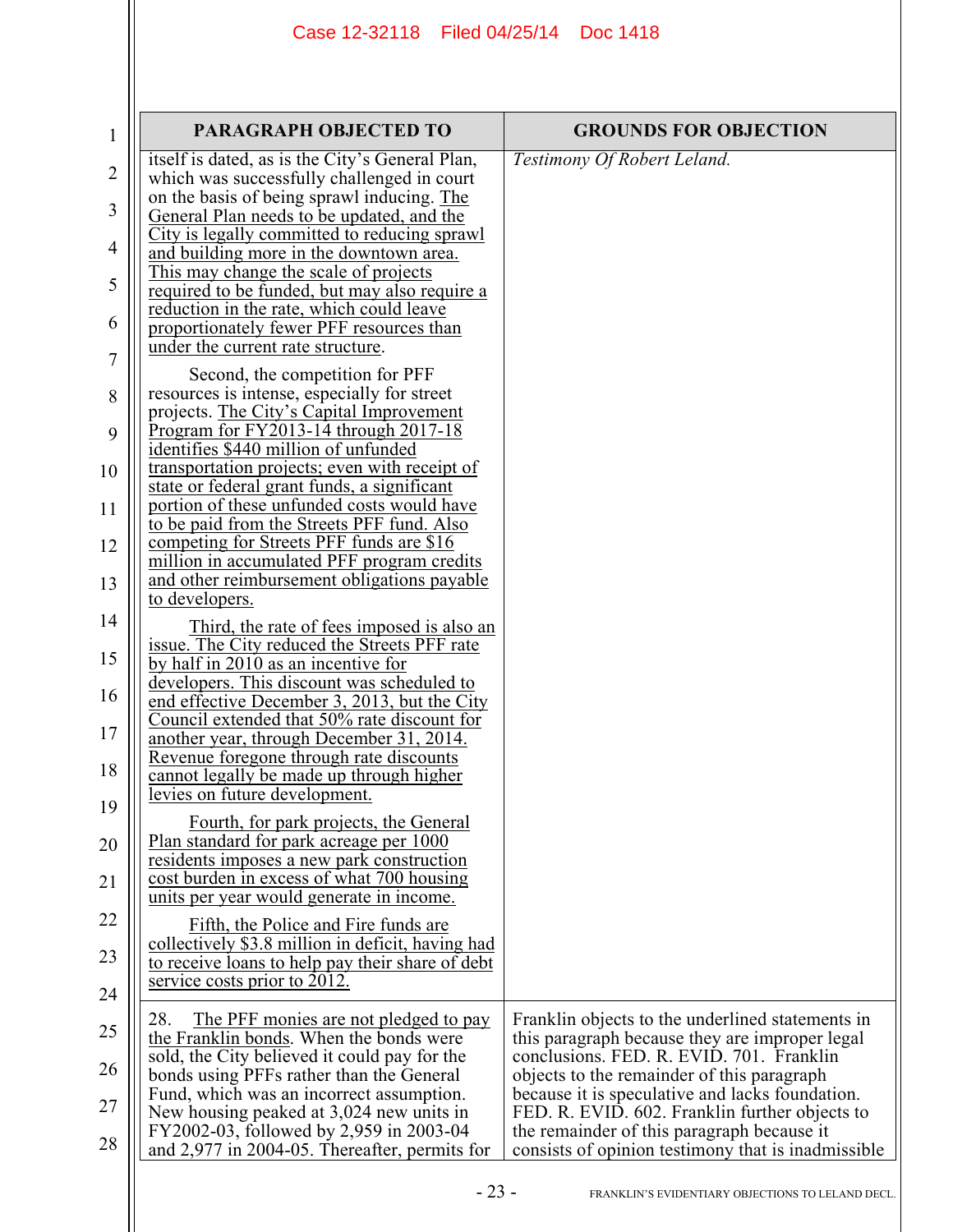| <b>GROUNDS FOR OBJECTION</b>                                                                                                                                                                                                                                                                                                                    |
|-------------------------------------------------------------------------------------------------------------------------------------------------------------------------------------------------------------------------------------------------------------------------------------------------------------------------------------------------|
| Testimony Of Robert Leland.                                                                                                                                                                                                                                                                                                                     |
|                                                                                                                                                                                                                                                                                                                                                 |
|                                                                                                                                                                                                                                                                                                                                                 |
| Franklin objects to the underlined statements in<br>this paragraph because they are improper legal<br>conclusions. FED. R. EVID. 701. Franklin<br>objects to the remainder of this paragraph<br>because it is speculative and lacks foundation.<br>FED. R. EVID. 602. Franklin further objects to<br>the remainder of this paragraph because it |
| Third, the rate of fees imposed is also an<br>collectively \$3.8 million in deficit, having had                                                                                                                                                                                                                                                 |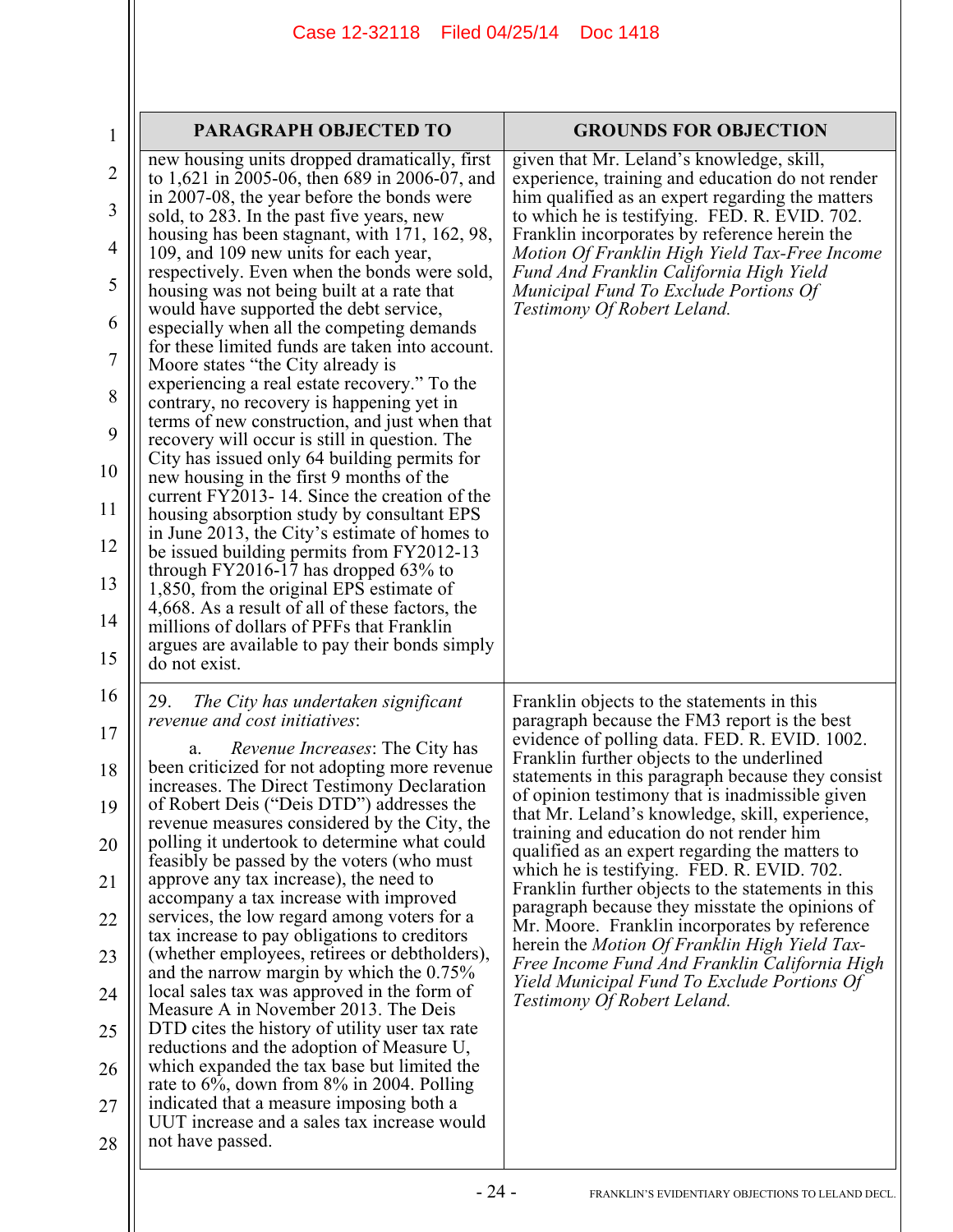| 1                | PARAGRAPH OBJECTED TO                                                                                                                        | <b>GROUNDS FOR OBJECTION</b>                                                                                                                      |
|------------------|----------------------------------------------------------------------------------------------------------------------------------------------|---------------------------------------------------------------------------------------------------------------------------------------------------|
| $\overline{2}$   | new housing units dropped dramatically, first<br>to 1,621 in 2005-06, then 689 in 2006-07, and<br>in 2007-08, the year before the bonds were | given that Mr. Leland's knowledge, skill,<br>experience, training and education do not render<br>him qualified as an expert regarding the matters |
| 3                | sold, to 283. In the past five years, new<br>housing has been stagnant, with 171, 162, 98,                                                   | to which he is testifying. FED. R. EVID. 702.<br>Franklin incorporates by reference herein the                                                    |
| $\overline{4}$   | 109, and 109 new units for each year,<br>respectively. Even when the bonds were sold,                                                        | Motion Of Franklin High Yield Tax-Free Income<br>Fund And Franklin California High Yield                                                          |
| 5                | housing was not being built at a rate that<br>would have supported the debt service,                                                         | Municipal Fund To Exclude Portions Of<br>Testimony Of Robert Leland.                                                                              |
| 6                | especially when all the competing demands<br>for these limited funds are taken into account.                                                 |                                                                                                                                                   |
| $\boldsymbol{7}$ | Moore states "the City already is<br>experiencing a real estate recovery." To the                                                            |                                                                                                                                                   |
| 8                | contrary, no recovery is happening yet in<br>terms of new construction, and just when that                                                   |                                                                                                                                                   |
| 9                | recovery will occur is still in question. The<br>City has issued only 64 building permits for                                                |                                                                                                                                                   |
| 10               | new housing in the first 9 months of the<br>current FY2013-14. Since the creation of the                                                     |                                                                                                                                                   |
| 11<br>12         | housing absorption study by consultant EPS<br>in June 2013, the City's estimate of homes to                                                  |                                                                                                                                                   |
| 13               | be issued building permits from FY2012-13<br>through $FY2016-17$ has dropped 63% to                                                          |                                                                                                                                                   |
| 14               | 1,850, from the original EPS estimate of<br>4,668. As a result of all of these factors, the                                                  |                                                                                                                                                   |
| 15               | millions of dollars of PFFs that Franklin<br>argues are available to pay their bonds simply<br>do not exist.                                 |                                                                                                                                                   |
| 16               | The City has undertaken significant<br>29.<br><i>revenue and cost initiatives:</i>                                                           | Franklin objects to the statements in this<br>paragraph because the FM3 report is the best                                                        |
| 17<br>18         | <i>Revenue Increases:</i> The City has<br>a.<br>been criticized for not adopting more revenue                                                | evidence of polling data. FED. R. EVID. 1002.<br>Franklin further objects to the underlined                                                       |
| 19               | increases. The Direct Testimony Declaration<br>of Robert Deis ("Deis DTD") addresses the                                                     | statements in this paragraph because they consist<br>of opinion testimony that is inadmissible given                                              |
| 20               | revenue measures considered by the City, the<br>polling it undertook to determine what could                                                 | that Mr. Leland's knowledge, skill, experience,<br>training and education do not render him                                                       |
| 21               | feasibly be passed by the voters (who must<br>approve any tax increase), the need to                                                         | qualified as an expert regarding the matters to<br>which he is testifying. FED. R. EVID. 702.                                                     |
| 22               | accompany a tax increase with improved<br>services, the low regard among voters for a                                                        | Franklin further objects to the statements in this<br>paragraph because they misstate the opinions of                                             |
| 23               | tax increase to pay obligations to creditors<br>(whether employees, retirees or debtholders),                                                | Mr. Moore. Franklin incorporates by reference<br>herein the <i>Motion Of Franklin High Yield Tax</i> -                                            |
| 24               | and the narrow margin by which the $0.75\%$<br>local sales tax was approved in the form of                                                   | Free Income Fund And Franklin California High<br>Yield Municipal Fund To Exclude Portions Of                                                      |
| 25               | Measure A in November 2013. The Deis<br>DTD cites the history of utility user tax rate                                                       | Testimony Of Robert Leland.                                                                                                                       |
| 26               | reductions and the adoption of Measure U,<br>which expanded the tax base but limited the                                                     |                                                                                                                                                   |
| 27               | rate to $6\%$ , down from $8\%$ in 2004. Polling<br>indicated that a measure imposing both a                                                 |                                                                                                                                                   |
| 28               | UUT increase and a sales tax increase would<br>not have passed.                                                                              |                                                                                                                                                   |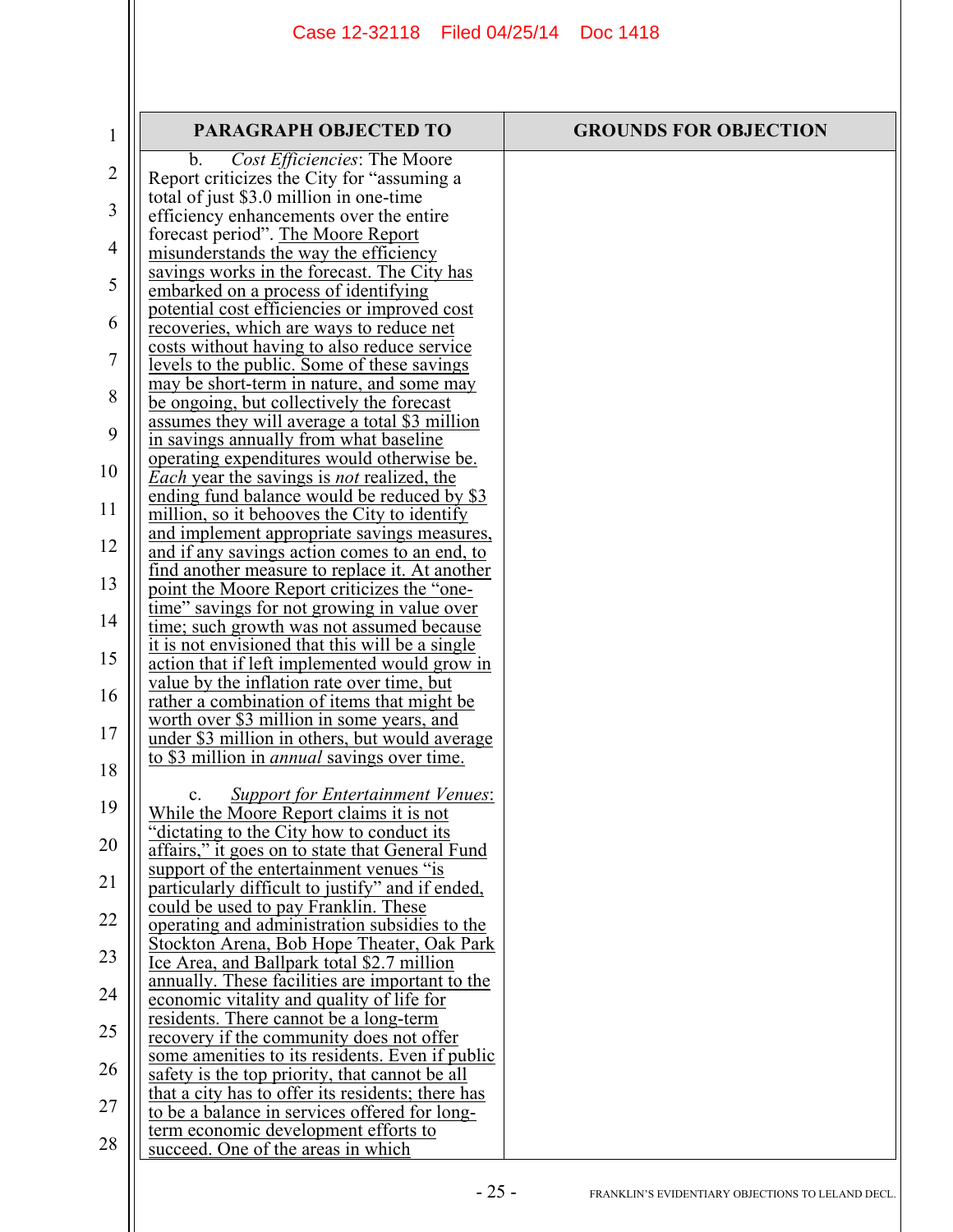| 1              | <b>PARAGRAPH OBJECTED TO</b>                                                                            | <b>GROUNDS FOR OBJECTION</b> |
|----------------|---------------------------------------------------------------------------------------------------------|------------------------------|
| $\overline{2}$ | Cost Efficiencies: The Moore<br>b.<br>Report criticizes the City for "assuming a                        |                              |
| 3              | total of just \$3.0 million in one-time                                                                 |                              |
|                | efficiency enhancements over the entire<br>forecast period". The Moore Report                           |                              |
| $\overline{4}$ | misunderstands the way the efficiency<br>savings works in the forecast. The City has                    |                              |
| 5              | embarked on a process of identifying                                                                    |                              |
| 6              | potential cost efficiencies or improved cost<br>recoveries, which are ways to reduce net                |                              |
| 7              | costs without having to also reduce service<br>levels to the public. Some of these savings              |                              |
| 8              | may be short-term in nature, and some may<br>be ongoing, but collectively the forecast                  |                              |
| 9              | assumes they will average a total \$3 million                                                           |                              |
| 10             | in savings annually from what baseline<br>operating expenditures would otherwise be.                    |                              |
|                | <i>Each</i> year the savings is <i>not</i> realized, the<br>ending fund balance would be reduced by \$3 |                              |
| 11             | million, so it behooves the City to identify<br>and implement appropriate savings measures,             |                              |
| 12             | and if any savings action comes to an end, to<br>find another measure to replace it. At another         |                              |
| 13             | point the Moore Report criticizes the "one-                                                             |                              |
| 14             | time" savings for not growing in value over<br>time; such growth was not assumed because                |                              |
| 15             | it is not envisioned that this will be a single<br>action that if left implemented would grow in        |                              |
| 16             | value by the inflation rate over time, but<br>rather a combination of items that might be               |                              |
| 17             | worth over \$3 million in some years, and                                                               |                              |
| 18             | under \$3 million in others, but would average<br>to \$3 million in <i>annual</i> savings over time.    |                              |
|                | <b>Support for Entertainment Venues:</b><br>c.                                                          |                              |
| 19             | While the Moore Report claims it is not<br>dictating to the City how to conduct its                     |                              |
| 20             | affairs," it goes on to state that General Fund<br>support of the entertainment venues "is              |                              |
| 21             | particularly difficult to justify" and if ended,                                                        |                              |
| 22             | could be used to pay Franklin. These<br>operating and administration subsidies to the                   |                              |
| 23             | Stockton Arena, Bob Hope Theater, Oak Park<br>Ice Area, and Ballpark total \$2.7 million                |                              |
| 24             | annually. These facilities are important to the<br>economic vitality and quality of life for            |                              |
| 25             | residents. There cannot be a long-term                                                                  |                              |
| 26             | recovery if the community does not offer<br>some amenities to its residents. Even if public             |                              |
|                | safety is the top priority, that cannot be all<br>that a city has to offer its residents; there has     |                              |
| 27             | to be a balance in services offered for long-<br>term economic development efforts to                   |                              |
| 28             | succeed. One of the areas in which                                                                      |                              |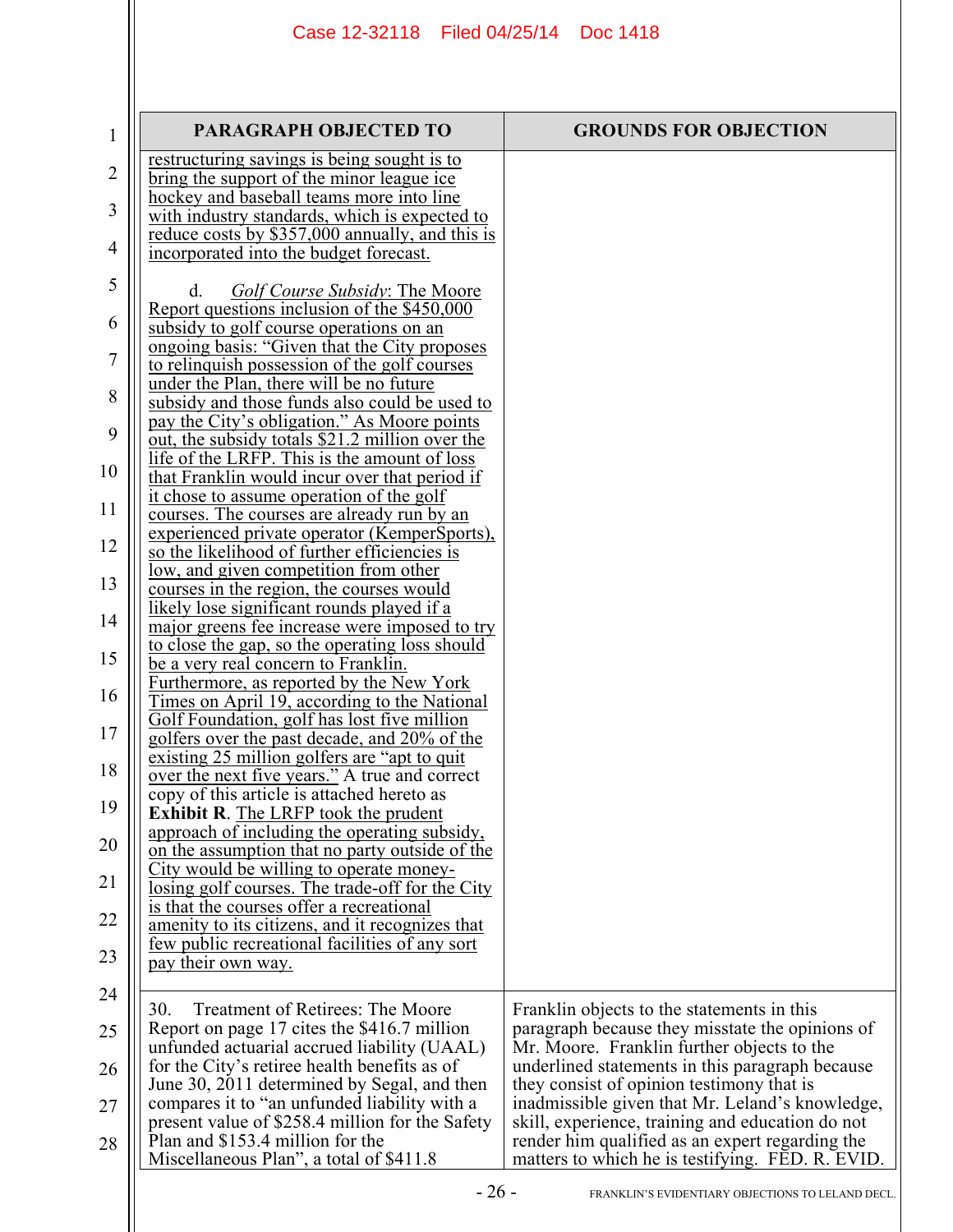| 1              | <b>PARAGRAPH OBJECTED TO</b>                                                             | <b>GROUNDS FOR OBJECTION</b>                     |
|----------------|------------------------------------------------------------------------------------------|--------------------------------------------------|
|                | restructuring savings is being sought is to                                              |                                                  |
| $\overline{2}$ | bring the support of the minor league ice                                                |                                                  |
|                | hockey and baseball teams more into line                                                 |                                                  |
| 3              | with industry standards, which is expected to                                            |                                                  |
|                | reduce costs by \$357,000 annually, and this is                                          |                                                  |
| 4              | incorporated into the budget forecast.                                                   |                                                  |
| 5              |                                                                                          |                                                  |
|                | <i>Golf Course Subsidy: The Moore</i><br>d.                                              |                                                  |
| 6              | Report questions inclusion of the \$450,000                                              |                                                  |
|                | subsidy to golf course operations on an                                                  |                                                  |
| 7              | ongoing basis: "Given that the City proposes                                             |                                                  |
|                | to relinquish possession of the golf courses<br>under the Plan, there will be no future  |                                                  |
| 8              | subsidy and those funds also could be used to                                            |                                                  |
|                | pay the City's obligation." As Moore points                                              |                                                  |
| 9              | out, the subsidy totals \$21.2 million over the                                          |                                                  |
|                | life of the LRFP. This is the amount of loss                                             |                                                  |
| 10             | that Franklin would incur over that period if                                            |                                                  |
|                | it chose to assume operation of the golf                                                 |                                                  |
| 11             | courses. The courses are already run by an                                               |                                                  |
|                | experienced private operator (KemperSports),                                             |                                                  |
| 12             | so the likelihood of further efficiencies is                                             |                                                  |
|                | low, and given competition from other                                                    |                                                  |
| 13             | courses in the region, the courses would                                                 |                                                  |
| 14             | likely lose significant rounds played if a                                               |                                                  |
|                | major greens fee increase were imposed to try                                            |                                                  |
| 15             | to close the gap, so the operating loss should                                           |                                                  |
|                | be a very real concern to Franklin.                                                      |                                                  |
| 16             | Furthermore, as reported by the New York<br>Times on April 19, according to the National |                                                  |
|                | Golf Foundation, golf has lost five million                                              |                                                  |
| 17             | golfers over the past decade, and 20% of the                                             |                                                  |
|                | existing 25 million golfers are "apt to quit                                             |                                                  |
| 18             | over the next five years." A true and correct                                            |                                                  |
|                | copy of this article is attached hereto as                                               |                                                  |
| 19             | <b>Exhibit R.</b> The LRFP took the prudent                                              |                                                  |
|                | approach of including the operating subsidy,                                             |                                                  |
| 20             | on the assumption that no party outside of the                                           |                                                  |
|                | City would be willing to operate money-                                                  |                                                  |
| 21             | losing golf courses. The trade-off for the City                                          |                                                  |
| 22             | is that the courses offer a recreational                                                 |                                                  |
|                | amenity to its citizens, and it recognizes that                                          |                                                  |
| 23             | few public recreational facilities of any sort                                           |                                                  |
|                | pay their own way.                                                                       |                                                  |
| 24             |                                                                                          |                                                  |
|                | <b>Treatment of Retirees: The Moore</b><br>30.                                           | Franklin objects to the statements in this       |
| 25             | Report on page 17 cites the \$416.7 million                                              | paragraph because they misstate the opinions of  |
|                | unfunded actuarial accrued liability (UAAL)                                              | Mr. Moore. Franklin further objects to the       |
| 26             | for the City's retiree health benefits as of                                             | underlined statements in this paragraph because  |
|                | June 30, 2011 determined by Segal, and then                                              | they consist of opinion testimony that is        |
| 27             | compares it to "an unfunded liability with a                                             | inadmissible given that Mr. Leland's knowledge,  |
|                | present value of \$258.4 million for the Safety                                          | skill, experience, training and education do not |
| 28             | Plan and \$153.4 million for the<br>Miscellaneous Plan", a total of \$411.8              | render him qualified as an expert regarding the  |
|                |                                                                                          | matters to which he is testifying. FED. R. EVID. |
|                | ገሬ                                                                                       |                                                  |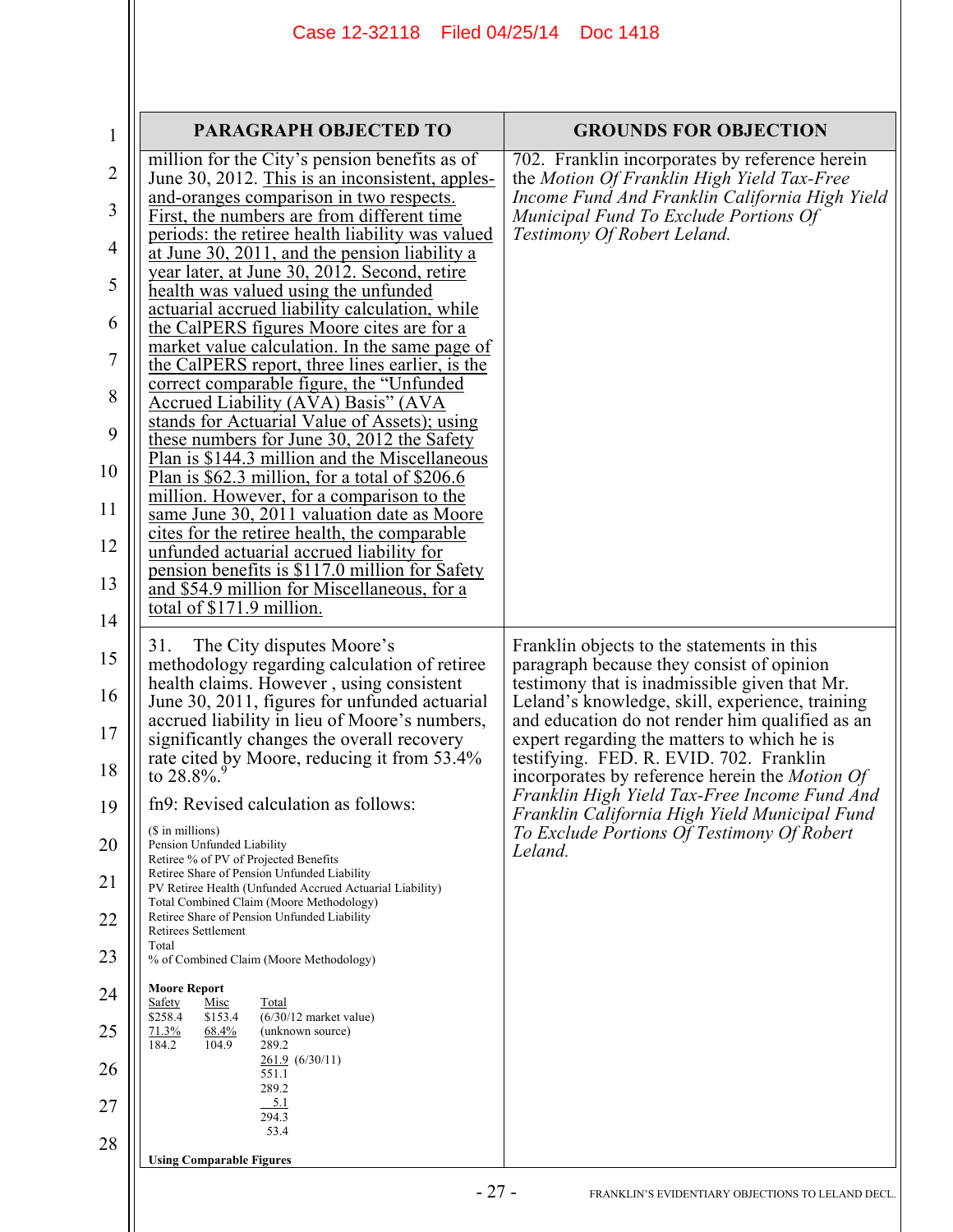| $\mathbf 1$                                                                            | <b>PARAGRAPH OBJECTED TO</b>                                                                                                                                                                                                                                                                                                                                                                                                                                                                                                                                                                                                                                                                                                                                                                                                                                                                                                                                                                                                                                                                                                                                                                                    | <b>GROUNDS FOR OBJECTION</b>                                                                                                                                                                                                                                                                                                                                                                                                                                                                                                                                |
|----------------------------------------------------------------------------------------|-----------------------------------------------------------------------------------------------------------------------------------------------------------------------------------------------------------------------------------------------------------------------------------------------------------------------------------------------------------------------------------------------------------------------------------------------------------------------------------------------------------------------------------------------------------------------------------------------------------------------------------------------------------------------------------------------------------------------------------------------------------------------------------------------------------------------------------------------------------------------------------------------------------------------------------------------------------------------------------------------------------------------------------------------------------------------------------------------------------------------------------------------------------------------------------------------------------------|-------------------------------------------------------------------------------------------------------------------------------------------------------------------------------------------------------------------------------------------------------------------------------------------------------------------------------------------------------------------------------------------------------------------------------------------------------------------------------------------------------------------------------------------------------------|
| $\overline{2}$<br>3<br>4<br>5<br>6<br>7<br>8<br>9<br>10<br>11<br>12<br>13              | million for the City's pension benefits as of<br>June 30, 2012. This is an inconsistent, apples-<br>and-oranges comparison in two respects.<br>First, the numbers are from different time<br>periods: the retiree health liability was valued<br>at June 30, 2011, and the pension liability a<br>year later, at June 30, 2012. Second, retire<br>health was valued using the unfunded<br>actuarial accrued liability calculation, while<br>the CalPERS figures Moore cites are for a<br>market value calculation. In the same page of<br>the CalPERS report, three lines earlier, is the<br>correct comparable figure, the "Unfunded<br>Accrued Liability (AVA) Basis" (AVA<br>stands for Actuarial Value of Assets); using<br>these numbers for June 30, 2012 the Safety<br>$\overline{Plan}$ is \$144.3 million and the Miscellaneous<br>Plan is \$62.3 million, for a total of \$206.6<br>million. However, for a comparison to the<br>same June 30, 2011 valuation date as Moore<br>cites for the retiree health, the comparable<br>unfunded actuarial accrued liability for<br>pension benefits is \$117.0 million for Safety<br>and \$54.9 million for Miscellaneous, for a<br>total of \$171.9 million. | 702. Franklin incorporates by reference herein<br>the Motion Of Franklin High Yield Tax-Free<br>Income Fund And Franklin California High Yield<br>Municipal Fund To Exclude Portions Of<br>Testimony Of Robert Leland.                                                                                                                                                                                                                                                                                                                                      |
| 14<br>15<br>16<br>17<br>18<br>19<br>20<br>21<br>22<br>23<br>24<br>25<br>26<br>27<br>28 | The City disputes Moore's<br>31.<br>methodology regarding calculation of retiree<br>health claims. However, using consistent<br>June 30, 2011, figures for unfunded actuarial<br>accrued liability in lieu of Moore's numbers,<br>significantly changes the overall recovery<br>rate cited by Moore, reducing it from 53.4%<br>to 28.8%.<br>fn9: Revised calculation as follows:<br>(\$ in millions)<br>Pension Unfunded Liability<br>Retiree % of PV of Projected Benefits<br>Retiree Share of Pension Unfunded Liability<br>PV Retiree Health (Unfunded Accrued Actuarial Liability)<br>Total Combined Claim (Moore Methodology)<br>Retiree Share of Pension Unfunded Liability<br>Retirees Settlement<br>Total<br>% of Combined Claim (Moore Methodology)<br><b>Moore Report</b><br>Safety<br>Misc<br>Total<br>$(6/30/12$ market value)<br>\$258.4<br>\$153.4<br>71.3%<br>68.4%<br>(unknown source)<br>184.2<br>104.9<br>289.2<br>$261.9$ $(6/30/11)$<br>551.1<br>289.2<br>5.1<br>294.3<br>53.4<br><b>Using Comparable Figures</b>                                                                                                                                                                           | Franklin objects to the statements in this<br>paragraph because they consist of opinion<br>testimony that is inadmissible given that Mr.<br>Leland's knowledge, skill, experience, training<br>and education do not render him qualified as an<br>expert regarding the matters to which he is<br>testifying. FED. R. EVID. 702. Franklin<br>incorporates by reference herein the <i>Motion Of</i><br>Franklin High Yield Tax-Free Income Fund And<br>Franklin California High Yield Municipal Fund<br>To Exclude Portions Of Testimony Of Robert<br>Leland. |
|                                                                                        | $-27-$                                                                                                                                                                                                                                                                                                                                                                                                                                                                                                                                                                                                                                                                                                                                                                                                                                                                                                                                                                                                                                                                                                                                                                                                          |                                                                                                                                                                                                                                                                                                                                                                                                                                                                                                                                                             |
|                                                                                        |                                                                                                                                                                                                                                                                                                                                                                                                                                                                                                                                                                                                                                                                                                                                                                                                                                                                                                                                                                                                                                                                                                                                                                                                                 | FRANKLIN'S EVIDENTIARY OBJECTIONS TO LELAND DECL.                                                                                                                                                                                                                                                                                                                                                                                                                                                                                                           |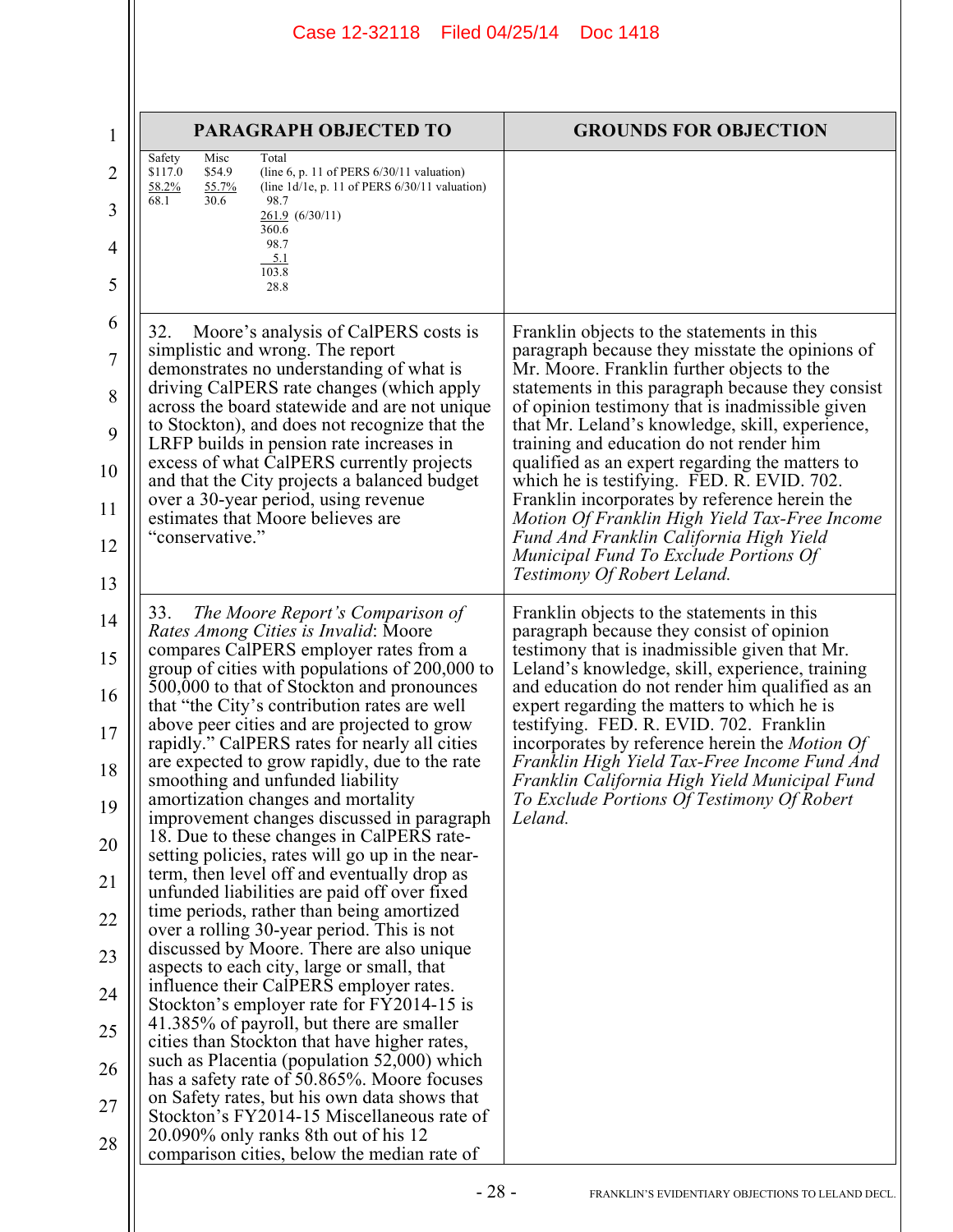| 1              | PARAGRAPH OBJECTED TO                                                                                                                 | <b>GROUNDS FOR OBJECTION</b>                                                                                                                |
|----------------|---------------------------------------------------------------------------------------------------------------------------------------|---------------------------------------------------------------------------------------------------------------------------------------------|
| 2              | Misc<br>Total<br>Safety<br>\$54.9<br>\$117.0<br>(line 6, p. 11 of PERS $6/30/11$ valuation)                                           |                                                                                                                                             |
| 3              | 58.2%<br>55.7%<br>(line $1d/1e$ , p. 11 of PERS $6/30/11$ valuation)<br>68.1<br>30.6<br>98.7<br>261.9(6/30/11)                        |                                                                                                                                             |
| 4              | 360.6<br>98.7                                                                                                                         |                                                                                                                                             |
| 5              | 5.1<br>103.8<br>28.8                                                                                                                  |                                                                                                                                             |
| 6              | 32.                                                                                                                                   |                                                                                                                                             |
| $\overline{7}$ | Moore's analysis of CalPERS costs is<br>simplistic and wrong. The report                                                              | Franklin objects to the statements in this<br>paragraph because they misstate the opinions of<br>Mr. Moore. Franklin further objects to the |
| 8              | demonstrates no understanding of what is<br>driving CalPERS rate changes (which apply                                                 | statements in this paragraph because they consist                                                                                           |
| 9              | across the board statewide and are not unique<br>to Stockton), and does not recognize that the                                        | of opinion testimony that is inadmissible given<br>that Mr. Leland's knowledge, skill, experience,                                          |
| 10             | LRFP builds in pension rate increases in<br>excess of what CalPERS currently projects<br>and that the City projects a balanced budget | training and education do not render him<br>qualified as an expert regarding the matters to<br>which he is testifying. FED. R. EVID. 702.   |
| 11             | over a 30-year period, using revenue<br>estimates that Moore believes are                                                             | Franklin incorporates by reference herein the<br>Motion Of Franklin High Yield Tax-Free Income                                              |
| 12             | "conservative."                                                                                                                       | Fund And Franklin California High Yield<br>Municipal Fund To Exclude Portions Of                                                            |
| 13             |                                                                                                                                       | Testimony Of Robert Leland.                                                                                                                 |
| 14             | 33.<br>The Moore Report's Comparison of<br>Rates Among Cities is Invalid: Moore                                                       | Franklin objects to the statements in this<br>paragraph because they consist of opinion                                                     |
| 15             | compares CalPERS employer rates from a<br>group of cities with populations of 200,000 to                                              | testimony that is inadmissible given that Mr.<br>Leland's knowledge, skill, experience, training                                            |
| 16             | 500,000 to that of Stockton and pronounces<br>that "the City's contribution rates are well                                            | and education do not render him qualified as an<br>expert regarding the matters to which he is                                              |
| 17             | above peer cities and are projected to grow<br>rapidly." CalPERS rates for nearly all cities                                          | testifying. FED. R. EVID. 702. Franklin<br>incorporates by reference herein the <i>Motion Of</i>                                            |
| 18             | are expected to grow rapidly, due to the rate<br>smoothing and unfunded liability                                                     | Franklin High Yield Tax-Free Income Fund And<br>Franklin California High Yield Municipal Fund                                               |
| 19             | amortization changes and mortality<br>improvement changes discussed in paragraph                                                      | To Exclude Portions Of Testimony Of Robert<br>Leland.                                                                                       |
| 20             | 18. Due to these changes in CalPERS rate-<br>setting policies, rates will go up in the near-                                          |                                                                                                                                             |
| 21             | term, then level off and eventually drop as<br>unfunded liabilities are paid off over fixed                                           |                                                                                                                                             |
| 22             | time periods, rather than being amortized<br>over a rolling 30-year period. This is not                                               |                                                                                                                                             |
| 23             | discussed by Moore. There are also unique<br>aspects to each city, large or small, that                                               |                                                                                                                                             |
| 24             | influence their CalPERS employer rates.<br>Stockton's employer rate for FY2014-15 is                                                  |                                                                                                                                             |
| 25             | 41.385% of payroll, but there are smaller<br>cities than Stockton that have higher rates,                                             |                                                                                                                                             |
| 26             | such as Placentia (population 52,000) which<br>has a safety rate of 50.865%. Moore focuses                                            |                                                                                                                                             |
| 27             | on Safety rates, but his own data shows that<br>Stockton's FY2014-15 Miscellaneous rate of                                            |                                                                                                                                             |
| 28             | 20.090% only ranks 8th out of his 12<br>comparison cities, below the median rate of                                                   |                                                                                                                                             |
|                | $-28-$                                                                                                                                | FRANKLIN'S EVIDENTIARY OBJECTIONS TO LELAND DECL.                                                                                           |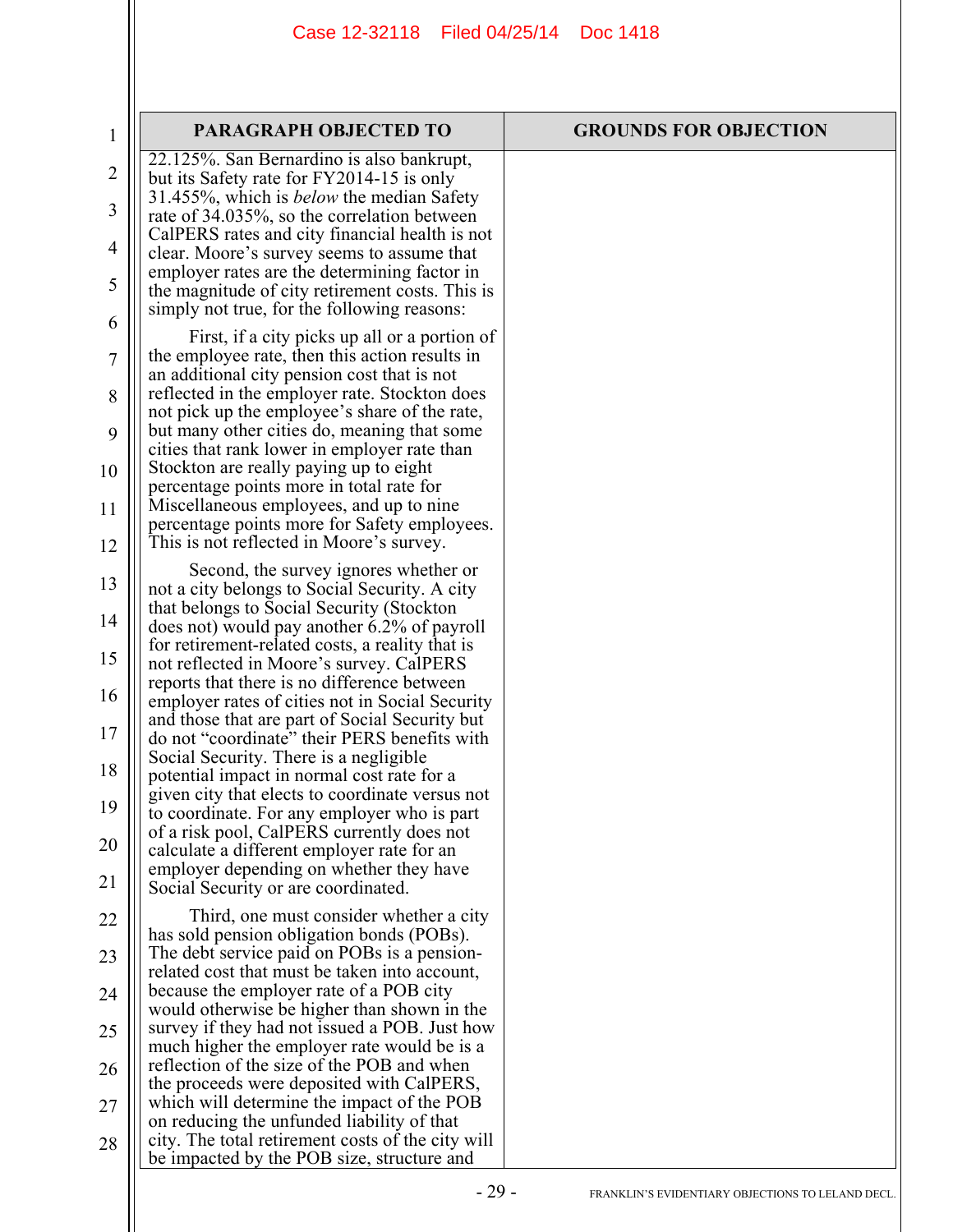| $\mathbf 1$    | <b>PARAGRAPH OBJECTED TO</b>                                                                      | <b>GROUNDS FOR OBJECTION</b>                      |
|----------------|---------------------------------------------------------------------------------------------------|---------------------------------------------------|
| $\overline{2}$ | 22.125%. San Bernardino is also bankrupt,<br>but its Safety rate for FY2014-15 is only            |                                                   |
| 3              | 31.455%, which is <i>below</i> the median Safety                                                  |                                                   |
|                | rate of 34.035%, so the correlation between<br>CalPERS rates and city financial health is not     |                                                   |
| 4              | clear. Moore's survey seems to assume that<br>employer rates are the determining factor in        |                                                   |
| 5              | the magnitude of city retirement costs. This is<br>simply not true, for the following reasons:    |                                                   |
| 6              | First, if a city picks up all or a portion of                                                     |                                                   |
| 7              | the employee rate, then this action results in                                                    |                                                   |
| 8              | an additional city pension cost that is not<br>reflected in the employer rate. Stockton does      |                                                   |
| 9              | not pick up the employee's share of the rate,<br>but many other cities do, meaning that some      |                                                   |
| 10             | cities that rank lower in employer rate than<br>Stockton are really paying up to eight            |                                                   |
|                | percentage points more in total rate for                                                          |                                                   |
| 11             | Miscellaneous employees, and up to nine<br>percentage points more for Safety employees.           |                                                   |
| 12             | This is not reflected in Moore's survey.                                                          |                                                   |
| 13             | Second, the survey ignores whether or<br>not a city belongs to Social Security. A city            |                                                   |
| 14             | that belongs to Social Security (Stockton<br>does not) would pay another 6.2% of payroll          |                                                   |
| 15             | for retirement-related costs, a reality that is<br>not reflected in Moore's survey. CalPERS       |                                                   |
| 16             | reports that there is no difference between                                                       |                                                   |
| 17             | employer rates of cities not in Social Security<br>and those that are part of Social Security but |                                                   |
|                | do not "coordinate" their PERS benefits with<br>Social Security. There is a negligible            |                                                   |
| 18             | potential impact in normal cost rate for a<br>given city that elects to coordinate versus not     |                                                   |
| 19             | to coordinate. For any employer who is part<br>of a risk pool, CalPERS currently does not         |                                                   |
| 20             | calculate a different employer rate for an                                                        |                                                   |
| 21             | employer depending on whether they have<br>Social Security or are coordinated.                    |                                                   |
| 22             | Third, one must consider whether a city                                                           |                                                   |
| 23             | has sold pension obligation bonds (POBs).<br>The debt service paid on POBs is a pension-          |                                                   |
| 24             | related cost that must be taken into account,<br>because the employer rate of a POB city          |                                                   |
|                | would otherwise be higher than shown in the<br>survey if they had not issued a POB. Just how      |                                                   |
| 25             | much higher the employer rate would be is a                                                       |                                                   |
| 26             | reflection of the size of the POB and when<br>the proceeds were deposited with CalPERS,           |                                                   |
| 27             | which will determine the impact of the POB<br>on reducing the unfunded liability of that          |                                                   |
| 28             | city. The total retirement costs of the city will<br>be impacted by the POB size, structure and   |                                                   |
|                | $-29-$                                                                                            | FRANKLIN'S EVIDENTIARY OBJECTIONS TO LELAND DECL. |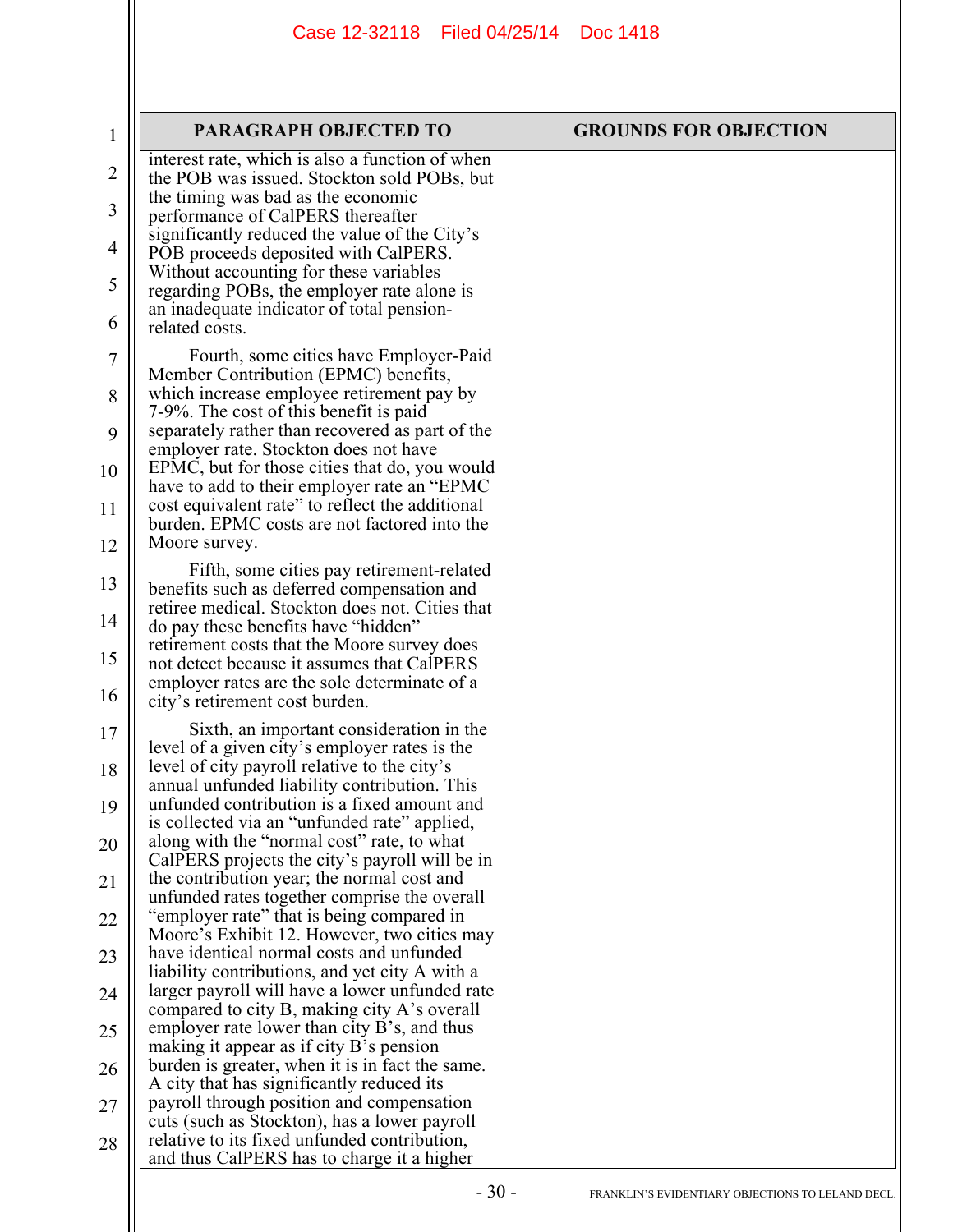| $\mathbf 1$ | PARAGRAPH OBJECTED TO                                                                                                                            | <b>GROUNDS FOR OBJECTION</b> |
|-------------|--------------------------------------------------------------------------------------------------------------------------------------------------|------------------------------|
| 2           | interest rate, which is also a function of when<br>the POB was issued. Stockton sold POBs, but                                                   |                              |
| 3           | the timing was bad as the economic<br>performance of CalPERS thereafter                                                                          |                              |
| 4           | significantly reduced the value of the City's<br>POB proceeds deposited with CalPERS.                                                            |                              |
| 5           | Without accounting for these variables<br>regarding POBs, the employer rate alone is                                                             |                              |
| 6           | an inadequate indicator of total pension-<br>related costs.                                                                                      |                              |
| 7           | Fourth, some cities have Employer-Paid<br>Member Contribution (EPMC) benefits,                                                                   |                              |
| 8           | which increase employee retirement pay by<br>7-9%. The cost of this benefit is paid                                                              |                              |
| 9           | separately rather than recovered as part of the<br>employer rate. Stockton does not have                                                         |                              |
| 10          | EPMC, but for those cities that do, you would<br>have to add to their employer rate an "EPMC"<br>cost equivalent rate" to reflect the additional |                              |
| 11<br>12    | burden. EPMC costs are not factored into the<br>Moore survey.                                                                                    |                              |
| 13          | Fifth, some cities pay retirement-related<br>benefits such as deferred compensation and                                                          |                              |
| 14          | retiree medical. Stockton does not. Cities that<br>do pay these benefits have "hidden"                                                           |                              |
| 15          | retirement costs that the Moore survey does<br>not detect because it assumes that CalPERS<br>employer rates are the sole determinate of a        |                              |
| 16          | city's retirement cost burden.                                                                                                                   |                              |
| 17          | Sixth, an important consideration in the<br>level of a given city's employer rates is the<br>level of city payroll relative to the city's        |                              |
| 18<br>19    | annual unfunded liability contribution. This<br>unfunded contribution is a fixed amount and                                                      |                              |
| 20          | is collected via an "unfunded rate" applied,<br>along with the "normal cost" rate, to what                                                       |                              |
| 21          | CalPERS projects the city's payroll will be in<br>the contribution year; the normal cost and                                                     |                              |
| 22          | unfunded rates together comprise the overall<br>"employer rate" that is being compared in<br>Moore's Exhibit 12. However, two cities may         |                              |
| 23          | have identical normal costs and unfunded<br>liability contributions, and yet city A with a                                                       |                              |
| 24          | larger payroll will have a lower unfunded rate<br>compared to city B, making city A's overall                                                    |                              |
| 25          | employer rate lower than city $B$ 's, and thus<br>making it appear as if city B's pension                                                        |                              |
| 26          | burden is greater, when it is in fact the same.<br>A city that has significantly reduced its                                                     |                              |
| 27          | payroll through position and compensation<br>cuts (such as Stockton), has a lower payroll<br>relative to its fixed unfunded contribution,        |                              |
| 28          | and thus CalPERS has to charge it a higher                                                                                                       |                              |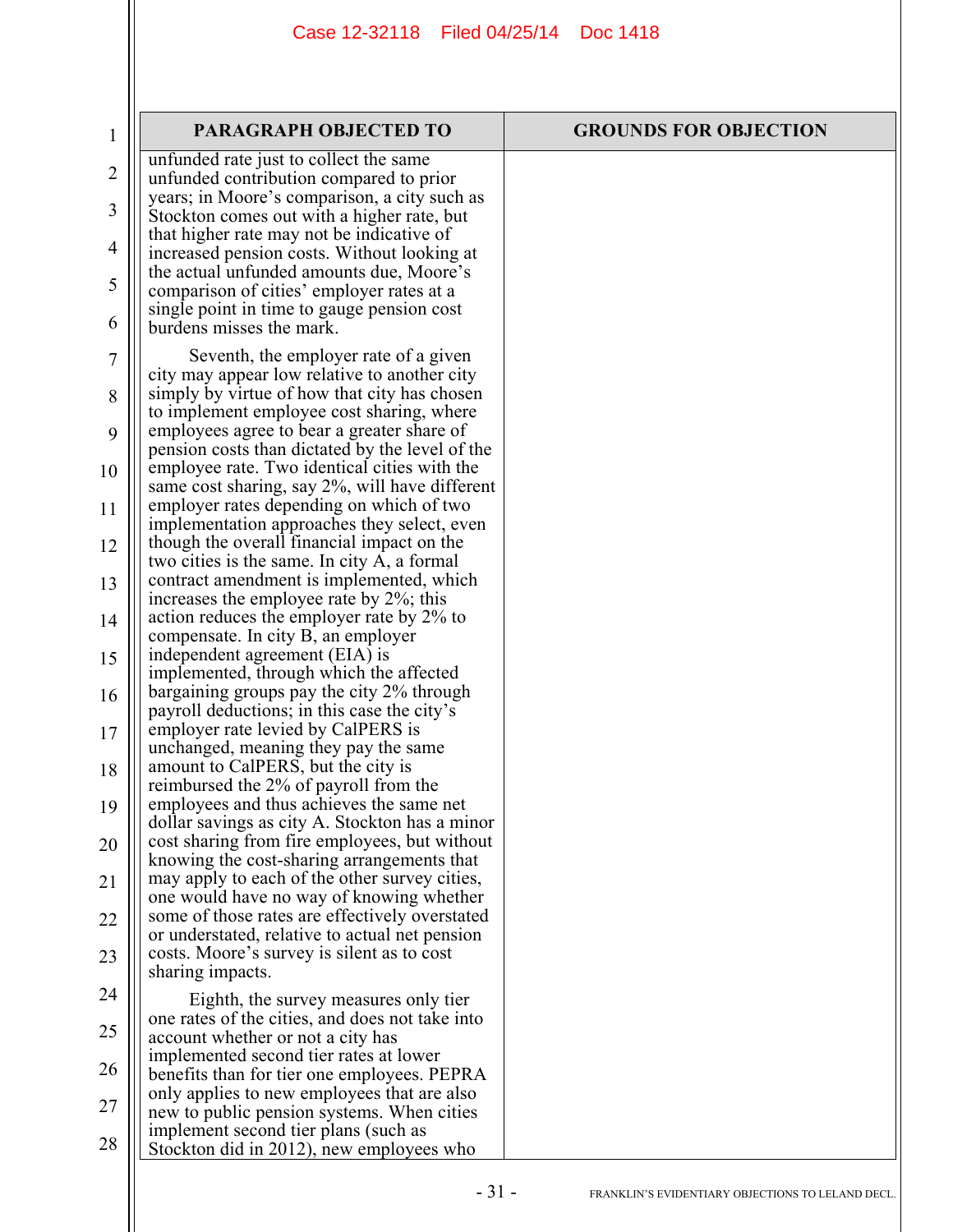| $\mathbf 1$    | <b>PARAGRAPH OBJECTED TO</b>                                                                     | <b>GROUNDS FOR OBJECTION</b> |
|----------------|--------------------------------------------------------------------------------------------------|------------------------------|
| $\overline{2}$ | unfunded rate just to collect the same                                                           |                              |
|                | unfunded contribution compared to prior<br>years; in Moore's comparison, a city such as          |                              |
| 3              | Stockton comes out with a higher rate, but                                                       |                              |
|                | that higher rate may not be indicative of                                                        |                              |
| $\overline{4}$ | increased pension costs. Without looking at                                                      |                              |
| 5              | the actual unfunded amounts due, Moore's<br>comparison of cities' employer rates at a            |                              |
|                | single point in time to gauge pension cost                                                       |                              |
| 6              | burdens misses the mark.                                                                         |                              |
| 7              | Seventh, the employer rate of a given                                                            |                              |
|                | city may appear low relative to another city                                                     |                              |
| 8              | simply by virtue of how that city has chosen<br>to implement employee cost sharing, where        |                              |
| 9              | employees agree to bear a greater share of                                                       |                              |
|                | pension costs than dictated by the level of the                                                  |                              |
| 10             | employee rate. Two identical cities with the<br>same cost sharing, say 2%, will have different   |                              |
| 11             | employer rates depending on which of two                                                         |                              |
|                | implementation approaches they select, even                                                      |                              |
| 12             | though the overall financial impact on the                                                       |                              |
|                | two cities is the same. In city A, a formal<br>contract amendment is implemented, which          |                              |
| 13             | increases the employee rate by 2%; this                                                          |                              |
| 14             | action reduces the employer rate by 2% to                                                        |                              |
|                | compensate. In city B, an employer                                                               |                              |
| 15             | independent agreement (EIA) is<br>implemented, through which the affected                        |                              |
| 16             | bargaining groups pay the city 2% through                                                        |                              |
|                | payroll deductions; in this case the city's                                                      |                              |
| 17             | employer rate levied by CalPERS is                                                               |                              |
| 18             | unchanged, meaning they pay the same<br>amount to CalPERS, but the city is                       |                              |
|                | reimbursed the 2% of payroll from the                                                            |                              |
| 19             | employees and thus achieves the same net                                                         |                              |
|                | dollar savings as city A. Stockton has a minor                                                   |                              |
| 20             | cost sharing from fire employees, but without<br>knowing the cost-sharing arrangements that      |                              |
| 21             | may apply to each of the other survey cities,                                                    |                              |
|                | one would have no way of knowing whether                                                         |                              |
| 22             | some of those rates are effectively overstated<br>or understated, relative to actual net pension |                              |
| 23             | costs. Moore's survey is silent as to cost                                                       |                              |
|                | sharing impacts.                                                                                 |                              |
| 24             | Eighth, the survey measures only tier                                                            |                              |
| 25             | one rates of the cities, and does not take into                                                  |                              |
|                | account whether or not a city has                                                                |                              |
| 26             | implemented second tier rates at lower<br>benefits than for tier one employees. PEPRA            |                              |
|                | only applies to new employees that are also                                                      |                              |
| 27             | new to public pension systems. When cities                                                       |                              |
| 28             | implement second tier plans (such as<br>Stockton did in 2012), new employees who                 |                              |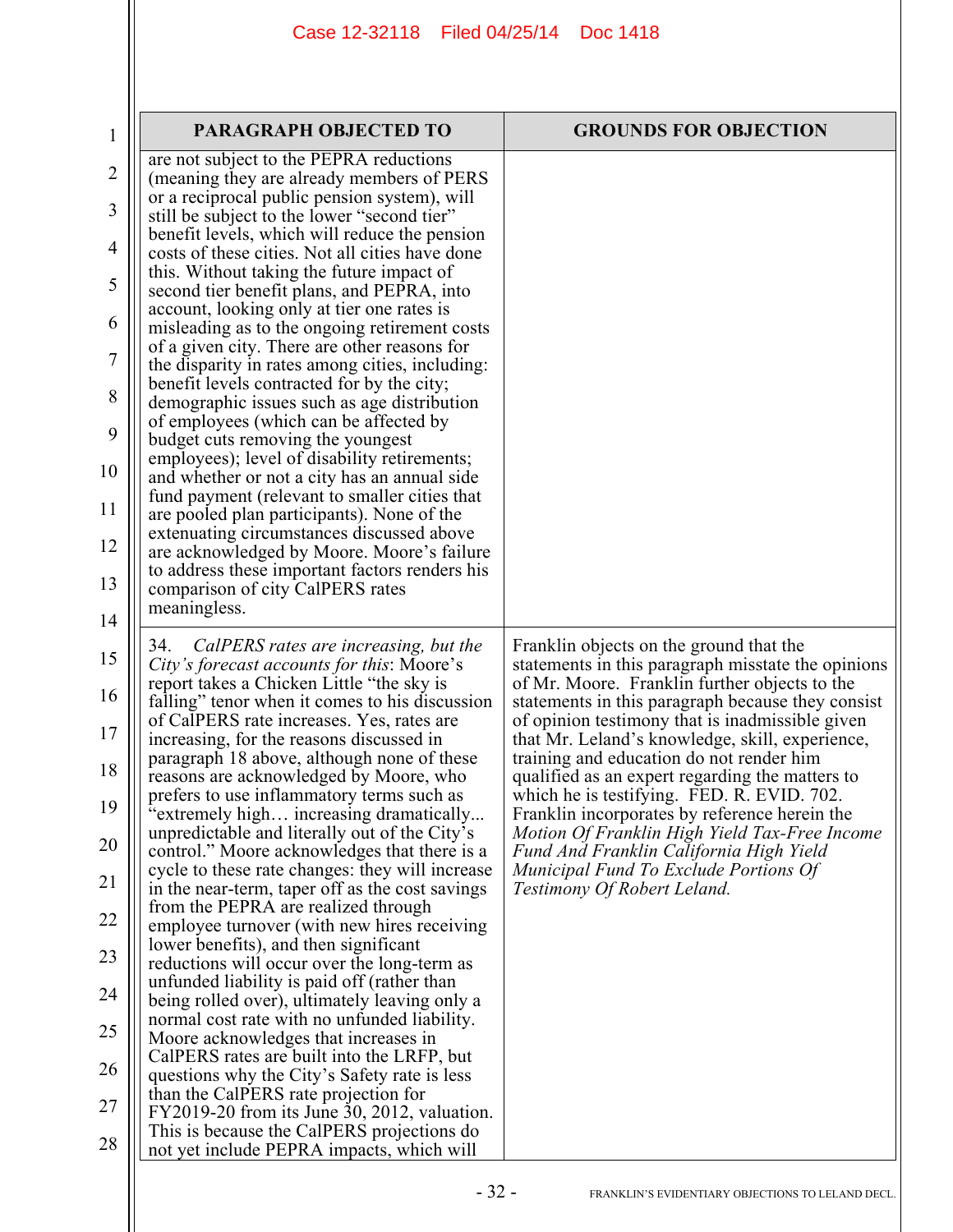| 1              | <b>PARAGRAPH OBJECTED TO</b>                                                                                                        | <b>GROUNDS FOR OBJECTION</b>                                                                                                                   |
|----------------|-------------------------------------------------------------------------------------------------------------------------------------|------------------------------------------------------------------------------------------------------------------------------------------------|
| 2              | are not subject to the PEPRA reductions<br>(meaning they are already members of PERS                                                |                                                                                                                                                |
| 3              | or a reciprocal public pension system), will<br>still be subject to the lower "second tier"                                         |                                                                                                                                                |
| 4              | benefit levels, which will reduce the pension<br>costs of these cities. Not all cities have done                                    |                                                                                                                                                |
| 5              | this. Without taking the future impact of<br>second tier benefit plans, and PEPRA, into                                             |                                                                                                                                                |
| 6              | account, looking only at tier one rates is<br>misleading as to the ongoing retirement costs                                         |                                                                                                                                                |
| $\overline{7}$ | of a given city. There are other reasons for<br>the disparity in rates among cities, including:                                     |                                                                                                                                                |
| 8              | benefit levels contracted for by the city;<br>demographic issues such as age distribution                                           |                                                                                                                                                |
| 9              | of employees (which can be affected by<br>budget cuts removing the youngest                                                         |                                                                                                                                                |
| 10             | employees); level of disability retirements;<br>and whether or not a city has an annual side                                        |                                                                                                                                                |
| 11             | fund payment (relevant to smaller cities that<br>are pooled plan participants). None of the                                         |                                                                                                                                                |
| 12             | extenuating circumstances discussed above<br>are acknowledged by Moore. Moore's failure                                             |                                                                                                                                                |
| 13             | to address these important factors renders his<br>comparison of city CalPERS rates                                                  |                                                                                                                                                |
| 14             | meaningless.                                                                                                                        |                                                                                                                                                |
| 15             | CalPERS rates are increasing, but the<br>34.<br>City's forecast accounts for this: Moore's                                          | Franklin objects on the ground that the<br>statements in this paragraph misstate the opinions                                                  |
| 16             | report takes a Chicken Little "the sky is<br>falling" tenor when it comes to his discussion                                         | of Mr. Moore. Franklin further objects to the<br>statements in this paragraph because they consist                                             |
| 17             | of CalPERS rate increases. Yes, rates are<br>increasing, for the reasons discussed in<br>paragraph 18 above, although none of these | of opinion testimony that is inadmissible given<br>that Mr. Leland's knowledge, skill, experience,<br>training and education do not render him |
| 18             | reasons are acknowledged by Moore, who<br>prefers to use inflammatory terms such as                                                 | qualified as an expert regarding the matters to<br>which he is testifying. FED. R. EVID. 702.                                                  |
| 19             | "extremely high increasing dramatically<br>unpredictable and literally out of the City's                                            | Franklin incorporates by reference herein the<br>Motion Of Franklin High Yield Tax-Free Income                                                 |
| 20             | control." Moore acknowledges that there is a<br>cycle to these rate changes: they will increase                                     | Fund And Franklin California High Yield<br>Municipal Fund To Exclude Portions Of                                                               |
| 21             | in the near-term, taper off as the cost savings<br>from the PEPRA are realized through                                              | Testimony Of Robert Leland.                                                                                                                    |
| 22             | employee turnover (with new hires receiving<br>lower benefits), and then significant                                                |                                                                                                                                                |
| 23             | reductions will occur over the long-term as<br>unfunded liability is paid off (rather than                                          |                                                                                                                                                |
| 24             | being rolled over), ultimately leaving only a<br>normal cost rate with no unfunded liability.                                       |                                                                                                                                                |
| 25             | Moore acknowledges that increases in<br>CalPERS rates are built into the LRFP, but                                                  |                                                                                                                                                |
| 26             | questions why the City's Safety rate is less<br>than the CalPERS rate projection for                                                |                                                                                                                                                |
| 27             | FY2019-20 from its June 30, 2012, valuation.<br>This is because the CalPERS projections do                                          |                                                                                                                                                |
| 28             | not yet include PEPRA impacts, which will                                                                                           |                                                                                                                                                |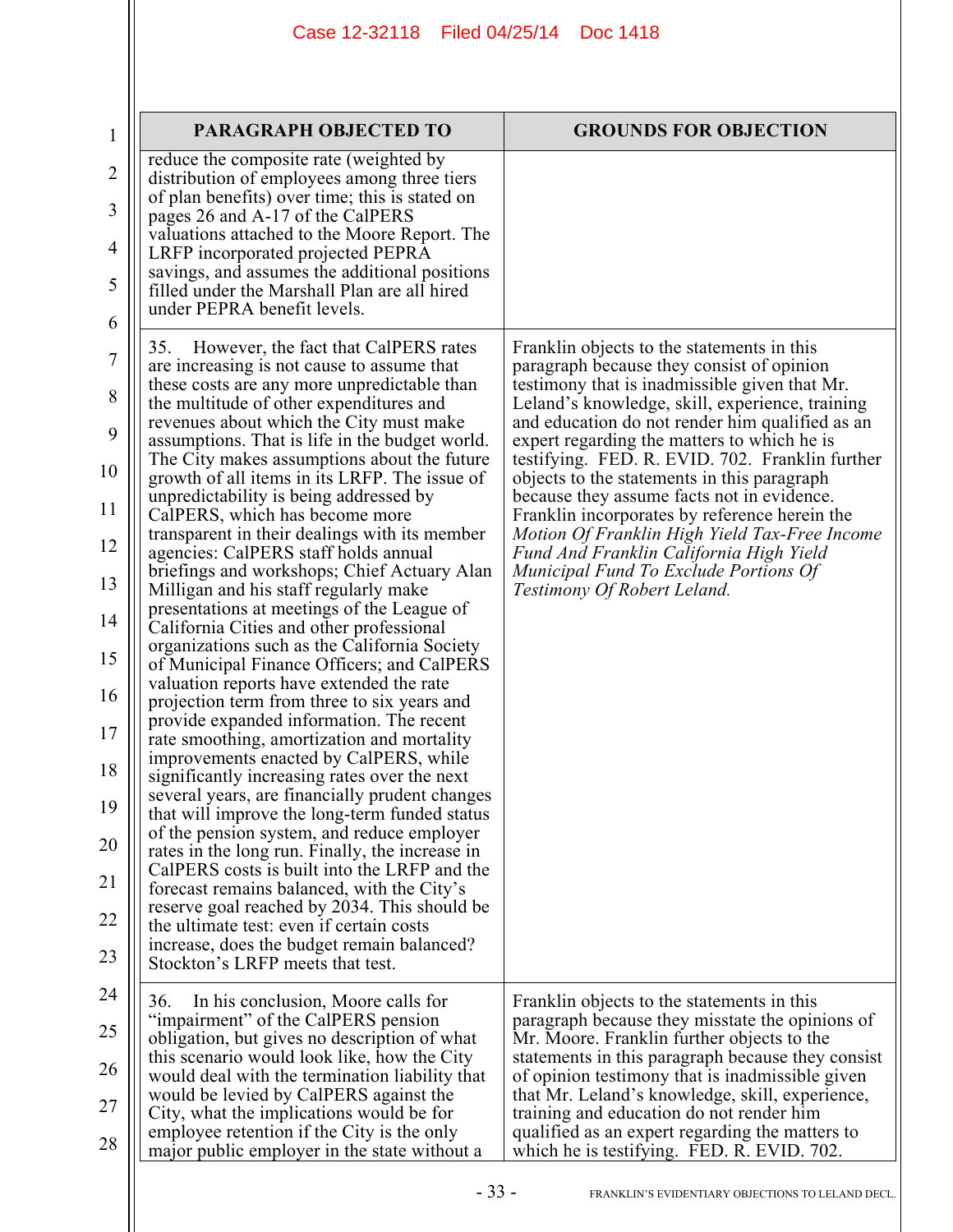| $\mathbf{1}$ | PARAGRAPH OBJECTED TO                                                                           | <b>GROUNDS FOR OBJECTION</b>                                                                         |
|--------------|-------------------------------------------------------------------------------------------------|------------------------------------------------------------------------------------------------------|
| 2            | reduce the composite rate (weighted by<br>distribution of employees among three tiers           |                                                                                                      |
| 3            | of plan benefits) over time; this is stated on<br>pages 26 and A-17 of the CalPERS              |                                                                                                      |
| 4            | valuations attached to the Moore Report. The<br>LRFP incorporated projected PEPRA               |                                                                                                      |
| 5            | savings, and assumes the additional positions<br>filled under the Marshall Plan are all hired   |                                                                                                      |
| 6            | under PEPRA benefit levels.                                                                     |                                                                                                      |
| 7            | However, the fact that CalPERS rates<br>35.<br>are increasing is not cause to assume that       | Franklin objects to the statements in this<br>paragraph because they consist of opinion              |
| 8            | these costs are any more unpredictable than<br>the multitude of other expenditures and          | testimony that is inadmissible given that Mr.<br>Leland's knowledge, skill, experience, training     |
| 9            | revenues about which the City must make<br>assumptions. That is life in the budget world.       | and education do not render him qualified as an<br>expert regarding the matters to which he is       |
| 10           | The City makes assumptions about the future<br>growth of all items in its LRFP. The issue of    | testifying. FED. R. EVID. 702. Franklin further<br>objects to the statements in this paragraph       |
| 11           | unpredictability is being addressed by<br>CalPERS, which has become more                        | because they assume facts not in evidence.<br>Franklin incorporates by reference herein the          |
| 12           | transparent in their dealings with its member<br>agencies: CalPERS staff holds annual           | Motion Of Franklin High Yield Tax-Free Income<br>Fund And Franklin California High Yield             |
| 13           | briefings and workshops; Chief Actuary Alan<br>Milligan and his staff regularly make            | Municipal Fund To Exclude Portions Of<br>Testimony Of Robert Leland.                                 |
| 14           | presentations at meetings of the League of<br>California Cities and other professional          |                                                                                                      |
| 15           | organizations such as the California Society<br>of Municipal Finance Officers; and CalPERS      |                                                                                                      |
| 16           | valuation reports have extended the rate<br>projection term from three to six years and         |                                                                                                      |
| 17           | provide expanded information. The recent<br>rate smoothing, amortization and mortality          |                                                                                                      |
| 18           | improvements enacted by CalPERS, while<br>significantly increasing rates over the next          |                                                                                                      |
| 19           | several years, are financially prudent changes<br>that will improve the long-term funded status |                                                                                                      |
| 20           | of the pension system, and reduce employer<br>rates in the long run. Finally, the increase in   |                                                                                                      |
| 21           | CalPERS costs is built into the LRFP and the<br>forecast remains balanced, with the City's      |                                                                                                      |
| 22           | reserve goal reached by 2034. This should be<br>the ultimate test: even if certain costs        |                                                                                                      |
| 23           | increase, does the budget remain balanced?<br>Stockton's LRFP meets that test.                  |                                                                                                      |
| 24           | In his conclusion, Moore calls for<br>36.                                                       | Franklin objects to the statements in this                                                           |
| 25           | "impairment" of the CalPERS pension<br>obligation, but gives no description of what             | paragraph because they misstate the opinions of<br>Mr. Moore. Franklin further objects to the        |
| 26           | this scenario would look like, how the City<br>would deal with the termination liability that   | statements in this paragraph because they consist<br>of opinion testimony that is inadmissible given |
| 27           | would be levied by CalPERS against the<br>City, what the implications would be for              | that Mr. Leland's knowledge, skill, experience,<br>training and education do not render him          |
| 28           | employee retention if the City is the only<br>major public employer in the state without a      | qualified as an expert regarding the matters to<br>which he is testifying. FED. R. EVID. 702.        |
|              | $-33-$                                                                                          | FRANKLIN'S EVIDENTIARY OBJECTIONS TO LELAND DECL.                                                    |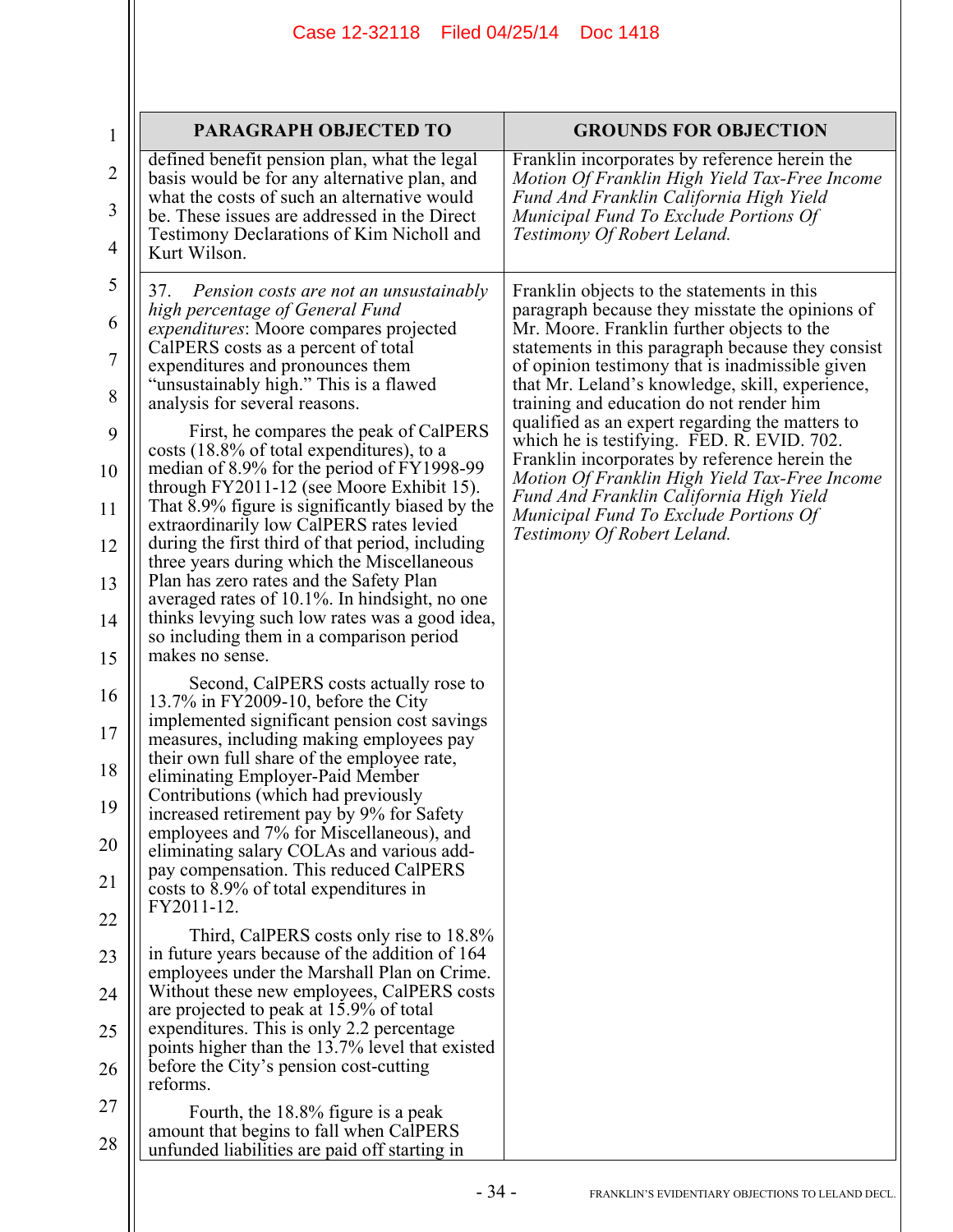| $\mathbf{1}$   | <b>PARAGRAPH OBJECTED TO</b>                                                                                                                | <b>GROUNDS FOR OBJECTION</b>                                                                                                                   |
|----------------|---------------------------------------------------------------------------------------------------------------------------------------------|------------------------------------------------------------------------------------------------------------------------------------------------|
| 2              | defined benefit pension plan, what the legal<br>basis would be for any alternative plan, and<br>what the costs of such an alternative would | Franklin incorporates by reference herein the<br>Motion Of Franklin High Yield Tax-Free Income<br>Fund And Franklin California High Yield      |
| 3<br>4         | be. These issues are addressed in the Direct<br>Testimony Declarations of Kim Nicholl and<br>Kurt Wilson.                                   | Municipal Fund To Exclude Portions Of<br>Testimony Of Robert Leland.                                                                           |
| 5              | Pension costs are not an unsustainably<br>37.                                                                                               | Franklin objects to the statements in this                                                                                                     |
| 6              | high percentage of General Fund<br><i>expenditures:</i> Moore compares projected                                                            | paragraph because they misstate the opinions of<br>Mr. Moore. Franklin further objects to the                                                  |
| $\overline{7}$ | CalPERS costs as a percent of total<br>expenditures and pronounces them                                                                     | statements in this paragraph because they consist<br>of opinion testimony that is inadmissible given                                           |
| 8              | "unsustainably high." This is a flawed<br>analysis for several reasons.                                                                     | that Mr. Leland's knowledge, skill, experience,<br>training and education do not render him                                                    |
| 9              | First, he compares the peak of CalPERS<br>costs (18.8% of total expenditures), to a<br>median of 8.9% for the period of FY1998-99           | qualified as an expert regarding the matters to<br>which he is testifying. FED. R. EVID. 702.<br>Franklin incorporates by reference herein the |
| 10<br>11       | through FY2011-12 (see Moore Exhibit 15).<br>That 8.9% figure is significantly biased by the                                                | Motion Of Franklin High Yield Tax-Free Income<br>Fund And Franklin California High Yield<br>Municipal Fund To Exclude Portions Of              |
| 12             | extraordinarily low CalPERS rates levied<br>during the first third of that period, including<br>three years during which the Miscellaneous  | Testimony Of Robert Leland.                                                                                                                    |
| 13             | Plan has zero rates and the Safety Plan                                                                                                     |                                                                                                                                                |
| 14             | averaged rates of 10.1%. In hindsight, no one<br>thinks levying such low rates was a good idea,                                             |                                                                                                                                                |
| 15             | so including them in a comparison period<br>makes no sense.                                                                                 |                                                                                                                                                |
| 16             | Second, CalPERS costs actually rose to<br>13.7% in FY2009-10, before the City                                                               |                                                                                                                                                |
| 17             | implemented significant pension cost savings<br>measures, including making employees pay                                                    |                                                                                                                                                |
| 18             | their own full share of the employee rate,<br>eliminating Employer-Paid Member                                                              |                                                                                                                                                |
| 19             | Contributions (which had previously<br>increased retirement pay by 9% for Safety                                                            |                                                                                                                                                |
| 20             | employees and 7% for Miscellaneous), and<br>eliminating salary COLAs and various add-<br>pay compensation. This reduced CalPERS             |                                                                                                                                                |
| 21             | costs to 8.9% of total expenditures in<br>FY2011-12.                                                                                        |                                                                                                                                                |
| 22             | Third, CalPERS costs only rise to 18.8%                                                                                                     |                                                                                                                                                |
| 23             | in future years because of the addition of 164<br>employees under the Marshall Plan on Crime.                                               |                                                                                                                                                |
| 24             | Without these new employees, CalPERS costs<br>are projected to peak at 15.9% of total                                                       |                                                                                                                                                |
| 25             | expenditures. This is only 2.2 percentage<br>points higher than the 13.7% level that existed                                                |                                                                                                                                                |
| 26             | before the City's pension cost-cutting<br>reforms.                                                                                          |                                                                                                                                                |
| 27<br>28       | Fourth, the 18.8% figure is a peak<br>amount that begins to fall when CalPERS<br>unfunded liabilities are paid off starting in              |                                                                                                                                                |
|                |                                                                                                                                             |                                                                                                                                                |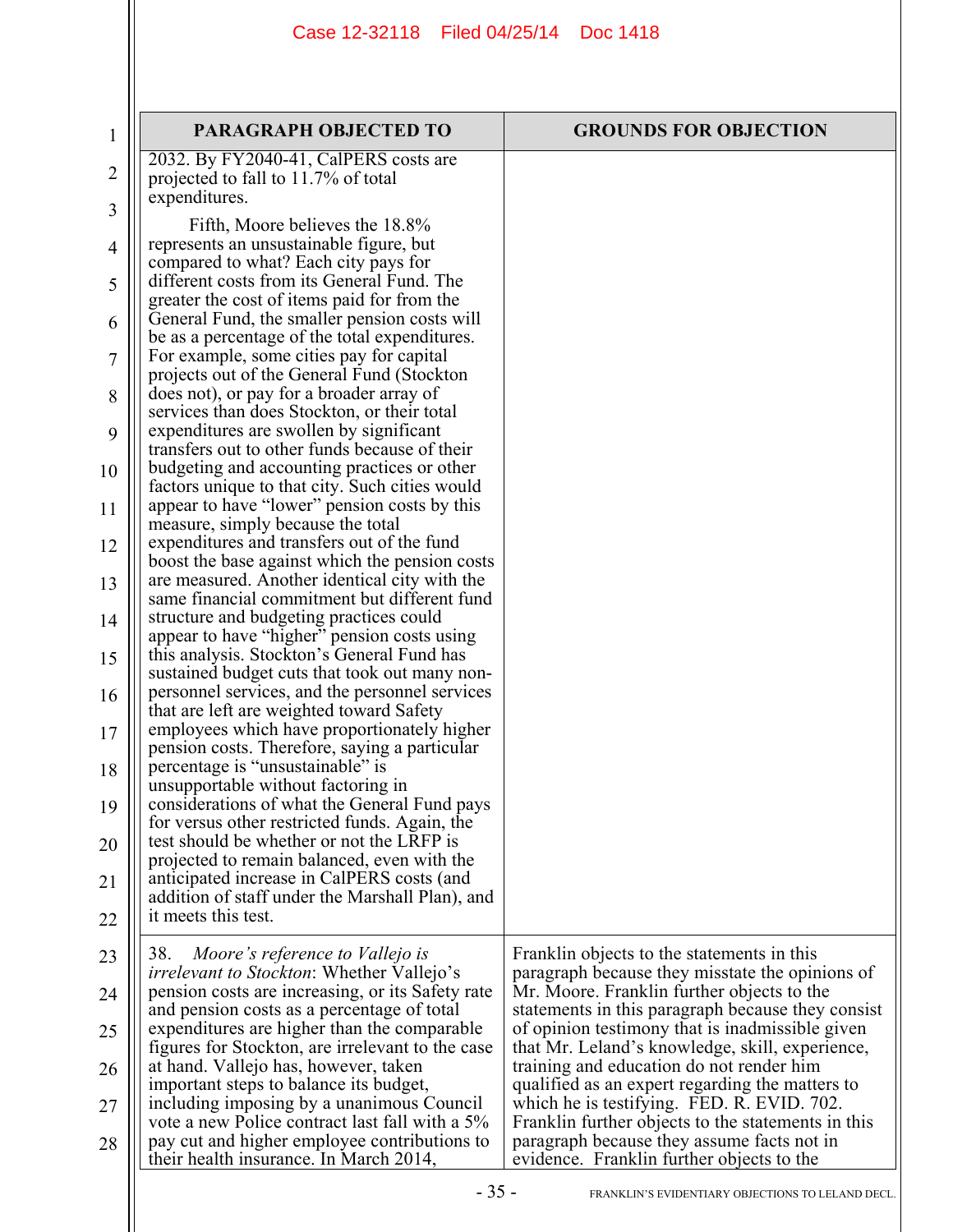| 1  | <b>PARAGRAPH OBJECTED TO</b>                                                                    | <b>GROUNDS FOR OBJECTION</b>                                                                  |
|----|-------------------------------------------------------------------------------------------------|-----------------------------------------------------------------------------------------------|
|    | 2032. By FY2040-41, CalPERS costs are                                                           |                                                                                               |
| 2  | projected to fall to 11.7% of total                                                             |                                                                                               |
| 3  | expenditures.                                                                                   |                                                                                               |
|    | Fifth, Moore believes the 18.8%                                                                 |                                                                                               |
| 4  | represents an unsustainable figure, but                                                         |                                                                                               |
|    | compared to what? Each city pays for<br>different costs from its General Fund. The              |                                                                                               |
| 5  | greater the cost of items paid for from the                                                     |                                                                                               |
| 6  | General Fund, the smaller pension costs will                                                    |                                                                                               |
|    | be as a percentage of the total expenditures.                                                   |                                                                                               |
| 7  | For example, some cities pay for capital                                                        |                                                                                               |
| 8  | projects out of the General Fund (Stockton<br>does not), or pay for a broader array of          |                                                                                               |
|    | services than does Stockton, or their total                                                     |                                                                                               |
| 9  | expenditures are swollen by significant                                                         |                                                                                               |
|    | transfers out to other funds because of their                                                   |                                                                                               |
| 10 | budgeting and accounting practices or other<br>factors unique to that city. Such cities would   |                                                                                               |
| 11 | appear to have "lower" pension costs by this                                                    |                                                                                               |
|    | measure, simply because the total                                                               |                                                                                               |
| 12 | expenditures and transfers out of the fund                                                      |                                                                                               |
|    | boost the base against which the pension costs                                                  |                                                                                               |
| 13 | are measured. Another identical city with the<br>same financial commitment but different fund   |                                                                                               |
| 14 | structure and budgeting practices could                                                         |                                                                                               |
|    | appear to have "higher" pension costs using                                                     |                                                                                               |
| 15 | this analysis. Stockton's General Fund has                                                      |                                                                                               |
|    | sustained budget cuts that took out many non-<br>personnel services, and the personnel services |                                                                                               |
| 16 | that are left are weighted toward Safety                                                        |                                                                                               |
| 17 | employees which have proportionately higher                                                     |                                                                                               |
|    | pension costs. Therefore, saying a particular                                                   |                                                                                               |
| 18 | percentage is "unsustainable" is<br>unsupportable without factoring in                          |                                                                                               |
| 19 | considerations of what the General Fund pays                                                    |                                                                                               |
|    | for versus other restricted funds. Again, the                                                   |                                                                                               |
| 20 | test should be whether or not the LRFP is                                                       |                                                                                               |
|    | projected to remain balanced, even with the<br>anticipated increase in CalPERS costs (and       |                                                                                               |
| 21 | addition of staff under the Marshall Plan), and                                                 |                                                                                               |
| 22 | it meets this test.                                                                             |                                                                                               |
|    |                                                                                                 |                                                                                               |
| 23 | Moore's reference to Vallejo is<br>38.<br><i>irrelevant to Stockton</i> : Whether Vallejo's     | Franklin objects to the statements in this<br>paragraph because they misstate the opinions of |
| 24 | pension costs are increasing, or its Safety rate                                                | Mr. Moore. Franklin further objects to the                                                    |
|    | and pension costs as a percentage of total                                                      | statements in this paragraph because they consist                                             |
| 25 | expenditures are higher than the comparable                                                     | of opinion testimony that is inadmissible given                                               |
| 26 | figures for Stockton, are irrelevant to the case<br>at hand. Vallejo has, however, taken        | that Mr. Leland's knowledge, skill, experience,<br>training and education do not render him   |
|    | important steps to balance its budget,                                                          | qualified as an expert regarding the matters to                                               |
| 27 | including imposing by a unanimous Council                                                       | which he is testifying. FED. R. EVID. 702.                                                    |
|    | vote a new Police contract last fall with a 5%                                                  | Franklin further objects to the statements in this                                            |
| 28 | pay cut and higher employee contributions to<br>their health insurance. In March 2014,          | paragraph because they assume facts not in<br>evidence. Franklin further objects to the       |
|    |                                                                                                 |                                                                                               |
|    | $-35-$                                                                                          | FRANKLIN'S EVIDENTIARY OBJECTIONS TO LELAND DECL.                                             |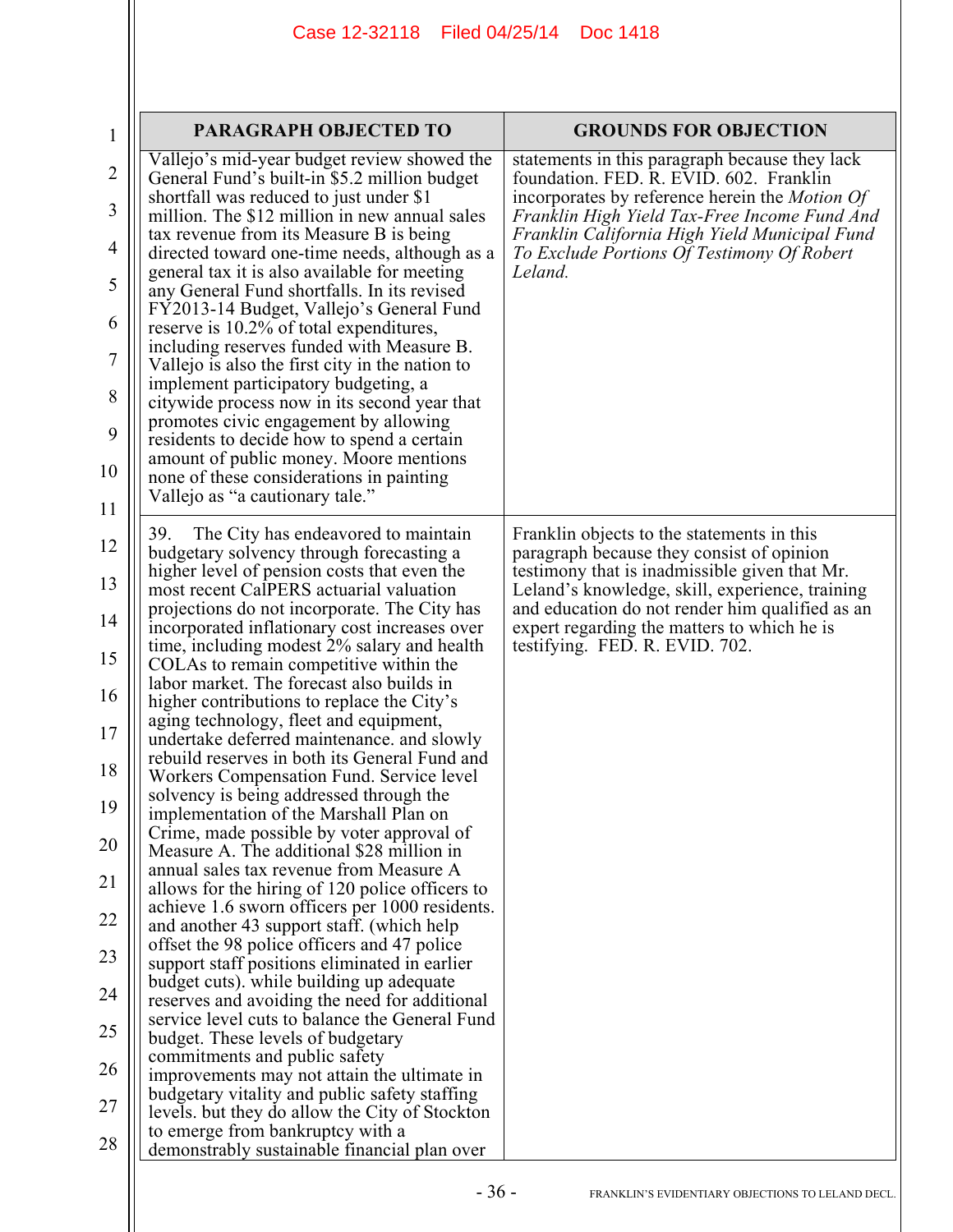| $\mathbf{1}$   | <b>PARAGRAPH OBJECTED TO</b>                                                                                                           | <b>GROUNDS FOR OBJECTION</b>                                                                                                                       |
|----------------|----------------------------------------------------------------------------------------------------------------------------------------|----------------------------------------------------------------------------------------------------------------------------------------------------|
| $\overline{2}$ | Vallejo's mid-year budget review showed the<br>General Fund's built-in \$5.2 million budget<br>shortfall was reduced to just under \$1 | statements in this paragraph because they lack<br>foundation. FED. R. EVID. 602. Franklin<br>incorporates by reference herein the <i>Motion Of</i> |
| 3              | million. The \$12 million in new annual sales<br>tax revenue from its Measure B is being                                               | Franklin High Yield Tax-Free Income Fund And<br>Franklin California High Yield Municipal Fund                                                      |
| 4              | directed toward one-time needs, although as a<br>general tax it is also available for meeting                                          | To Exclude Portions Of Testimony Of Robert<br>Leland.                                                                                              |
| 5              | any General Fund shortfalls. In its revised<br>FY2013-14 Budget, Vallejo's General Fund                                                |                                                                                                                                                    |
| 6              | reserve is 10.2% of total expenditures,                                                                                                |                                                                                                                                                    |
| $\overline{7}$ | including reserves funded with Measure B.<br>Vallejo is also the first city in the nation to                                           |                                                                                                                                                    |
| 8              | implement participatory budgeting, a<br>citywide process now in its second year that                                                   |                                                                                                                                                    |
| 9              | promotes civic engagement by allowing<br>residents to decide how to spend a certain                                                    |                                                                                                                                                    |
| 10             | amount of public money. Moore mentions<br>none of these considerations in painting                                                     |                                                                                                                                                    |
| 11             | Vallejo as "a cautionary tale."                                                                                                        |                                                                                                                                                    |
| 12             | The City has endeavored to maintain<br>39.<br>budgetary solvency through forecasting a                                                 | Franklin objects to the statements in this<br>paragraph because they consist of opinion                                                            |
| 13             | higher level of pension costs that even the<br>most recent CalPERS actuarial valuation                                                 | testimony that is inadmissible given that Mr.<br>Leland's knowledge, skill, experience, training                                                   |
| 14             | projections do not incorporate. The City has<br>incorporated inflationary cost increases over                                          | and education do not render him qualified as an<br>expert regarding the matters to which he is                                                     |
| 15             | time, including modest 2% salary and health<br>COLAs to remain competitive within the                                                  | testifying. FED. R. EVID. 702.                                                                                                                     |
| 16             | labor market. The forecast also builds in<br>higher contributions to replace the City's                                                |                                                                                                                                                    |
| 17             | aging technology, fleet and equipment,                                                                                                 |                                                                                                                                                    |
| 18             | undertake deferred maintenance, and slowly<br>rebuild reserves in both its General Fund and                                            |                                                                                                                                                    |
| 19             | Workers Compensation Fund. Service level<br>solvency is being addressed through the                                                    |                                                                                                                                                    |
| 20             | implementation of the Marshall Plan on<br>Crime, made possible by voter approval of                                                    |                                                                                                                                                    |
|                | Measure A. The additional \$28 million in<br>annual sales tax revenue from Measure A                                                   |                                                                                                                                                    |
| 21             | allows for the hiring of 120 police officers to<br>achieve 1.6 sworn officers per 1000 residents.                                      |                                                                                                                                                    |
| 22             | and another 43 support staff. (which help<br>offset the 98 police officers and 47 police                                               |                                                                                                                                                    |
| 23             | support staff positions eliminated in earlier<br>budget cuts). while building up adequate                                              |                                                                                                                                                    |
| 24             | reserves and avoiding the need for additional                                                                                          |                                                                                                                                                    |
| 25             | service level cuts to balance the General Fund<br>budget. These levels of budgetary                                                    |                                                                                                                                                    |
| 26             | commitments and public safety<br>improvements may not attain the ultimate in                                                           |                                                                                                                                                    |
| 27             | budgetary vitality and public safety staffing<br>levels. but they do allow the City of Stockton                                        |                                                                                                                                                    |
| 28             | to emerge from bankruptcy with a<br>demonstrably sustainable financial plan over                                                       |                                                                                                                                                    |
|                |                                                                                                                                        |                                                                                                                                                    |